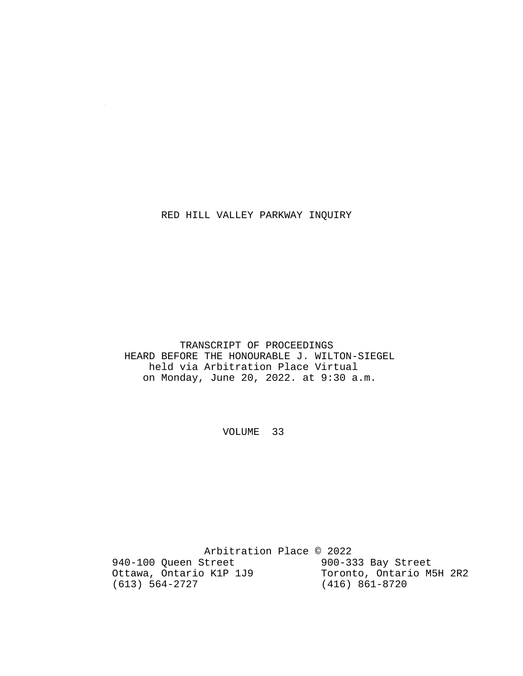### RED HILL VALLEY PARKWAY INQUIRY

 $\sim$ 

 TRANSCRIPT OF PROCEEDINGS HEARD BEFORE THE HONOURABLE J. WILTON-SIEGEL held via Arbitration Place Virtual on Monday, June 20, 2022. at 9:30 a.m.

VOLUME 33

 Arbitration Place © 2022 940-100 Queen Street 900-333 Bay Street<br>Ottawa, Ontario K1P 1J9 Toronto, Ontario M5H 2R2 Ottawa, Ontario K1P 1J9<br>(613) 564-2727 (416) 861-8720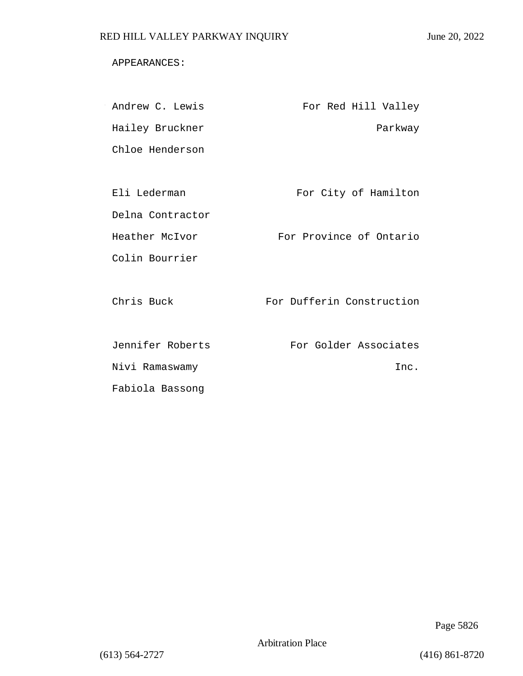### APPEARANCES:

| Andrew C. Lewis  | For Red Hill Valley       |
|------------------|---------------------------|
| Hailey Bruckner  | Parkway                   |
| Chloe Henderson  |                           |
|                  |                           |
| Eli Lederman     | For City of Hamilton      |
| Delna Contractor |                           |
| Heather McIvor   | For Province of Ontario   |
| Colin Bourrier   |                           |
|                  |                           |
| Chris Buck       | For Dufferin Construction |
|                  |                           |
| Jennifer Roberts | For Golder Associates     |
| Nivi Ramaswamy   | Inc.                      |
| Fabiola Bassong  |                           |

Page 5826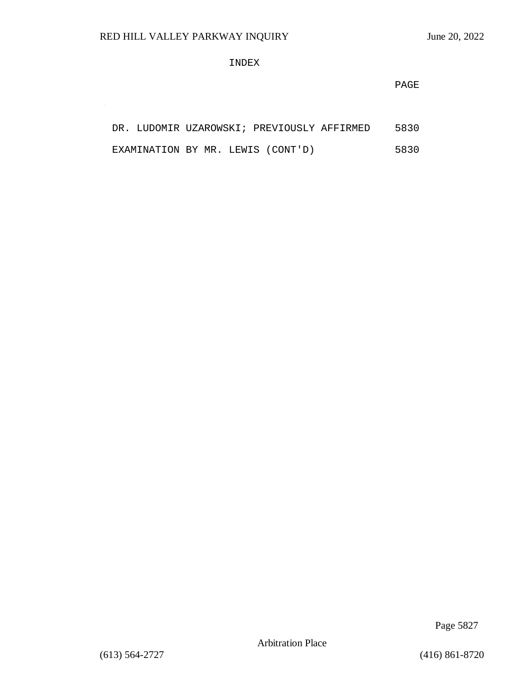$\sim$ 

### INDEX

**PAGE** 

|  |  |  |                                   | DR. LUDOMIR UZAROWSKI; PREVIOUSLY AFFIRMED | 5830 |
|--|--|--|-----------------------------------|--------------------------------------------|------|
|  |  |  | EXAMINATION BY MR. LEWIS (CONT'D) |                                            | 5830 |

Page 5827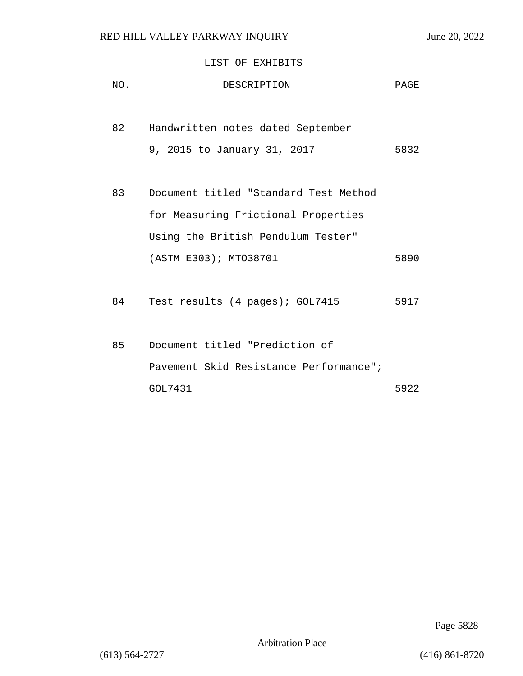### LIST OF EXHIBITS

| NO. | DESCRIPTION                            | PAGE |
|-----|----------------------------------------|------|
|     |                                        |      |
| 82  | Handwritten notes dated September      |      |
|     | 9, 2015 to January 31, 2017            | 5832 |
|     |                                        |      |
| 83  | Document titled "Standard Test Method  |      |
|     | for Measuring Frictional Properties    |      |
|     | Using the British Pendulum Tester"     |      |
|     | (ASTM E303); MTO38701                  | 5890 |
|     |                                        |      |
| 84  | Test results (4 pages); GOL7415        | 5917 |
|     |                                        |      |
| 85  | Document titled "Prediction of         |      |
|     | Pavement Skid Resistance Performance"; |      |
|     | GOL7431                                | 5922 |

Page 5828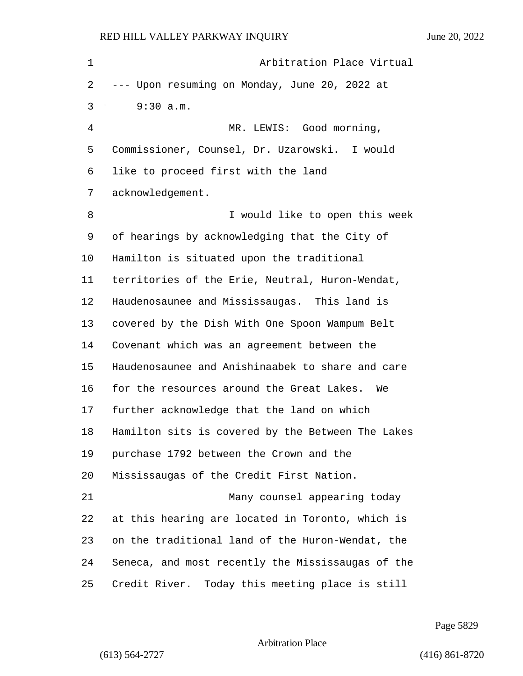1 Arbitration Place Virtual --- Upon resuming on Monday, June 20, 2022 at 3 9:30 a.m. 4 MR. LEWIS: Good morning, Commissioner, Counsel, Dr. Uzarowski. I would like to proceed first with the land acknowledgement. 8 I would like to open this week of hearings by acknowledging that the City of Hamilton is situated upon the traditional territories of the Erie, Neutral, Huron-Wendat, Haudenosaunee and Mississaugas. This land is covered by the Dish With One Spoon Wampum Belt Covenant which was an agreement between the Haudenosaunee and Anishinaabek to share and care for the resources around the Great Lakes. We further acknowledge that the land on which Hamilton sits is covered by the Between The Lakes purchase 1792 between the Crown and the Mississaugas of the Credit First Nation. 21 Many counsel appearing today at this hearing are located in Toronto, which is on the traditional land of the Huron-Wendat, the Seneca, and most recently the Mississaugas of the Credit River. Today this meeting place is still

Page 5829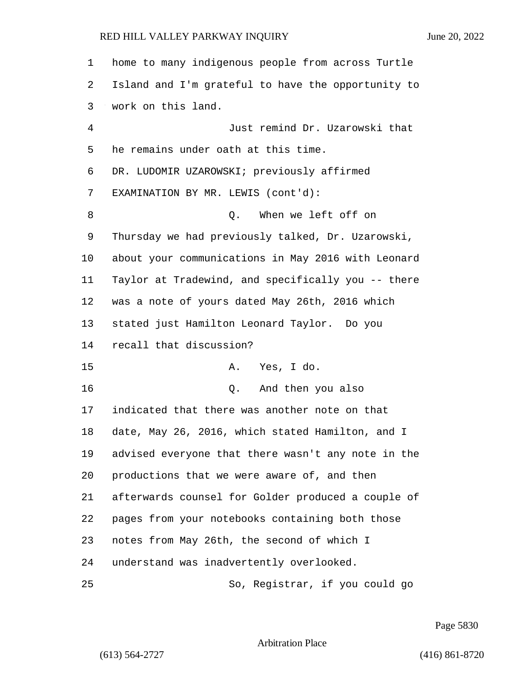| 1       | home to many indigenous people from across Turtle  |
|---------|----------------------------------------------------|
| 2       | Island and I'm grateful to have the opportunity to |
| 3       | work on this land.                                 |
| 4       | Just remind Dr. Uzarowski that                     |
| 5       | he remains under oath at this time.                |
| 6       | DR. LUDOMIR UZAROWSKI; previously affirmed         |
| 7       | EXAMINATION BY MR. LEWIS (cont'd):                 |
| 8       | When we left off on<br>Q.                          |
| 9       | Thursday we had previously talked, Dr. Uzarowski,  |
| $10 \,$ | about your communications in May 2016 with Leonard |
| 11      | Taylor at Tradewind, and specifically you -- there |
| 12      | was a note of yours dated May 26th, 2016 which     |
| 13      | stated just Hamilton Leonard Taylor. Do you        |
| 14      | recall that discussion?                            |
| 15      | Yes, I do.<br>Α.                                   |
| 16      | Q. And then you also                               |
| 17      | indicated that there was another note on that      |
| 18      | date, May 26, 2016, which stated Hamilton, and I   |
| 19      | advised everyone that there wasn't any note in the |
| 20      | productions that we were aware of, and then        |
| 21      | afterwards counsel for Golder produced a couple of |
| 22      | pages from your notebooks containing both those    |
| 23      | notes from May 26th, the second of which I         |
| 24      | understand was inadvertently overlooked.           |
| 25      | So, Registrar, if you could go                     |

Page 5830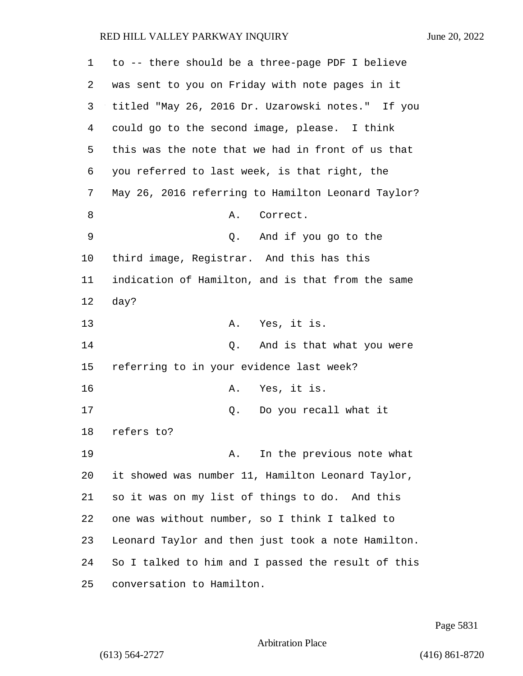| 1  | to -- there should be a three-page PDF I believe   |
|----|----------------------------------------------------|
| 2  | was sent to you on Friday with note pages in it    |
| 3  | titled "May 26, 2016 Dr. Uzarowski notes." If you  |
| 4  | could go to the second image, please. I think      |
| 5  | this was the note that we had in front of us that  |
| 6  | you referred to last week, is that right, the      |
| 7  | May 26, 2016 referring to Hamilton Leonard Taylor? |
| 8  | Α.<br>Correct.                                     |
| 9  | Q. And if you go to the                            |
| 10 | third image, Registrar. And this has this          |
| 11 | indication of Hamilton, and is that from the same  |
| 12 | day?                                               |
| 13 | A. Yes, it is.                                     |
| 14 | Q. And is that what you were                       |
| 15 | referring to in your evidence last week?           |
| 16 | A. Yes, it is.                                     |
| 17 | Q. Do you recall what it                           |
| 18 | refers to?                                         |
| 19 | In the previous note what<br>Α.                    |
| 20 | it showed was number 11, Hamilton Leonard Taylor,  |
| 21 | so it was on my list of things to do. And this     |
| 22 | one was without number, so I think I talked to     |
| 23 | Leonard Taylor and then just took a note Hamilton. |
| 24 | So I talked to him and I passed the result of this |
| 25 | conversation to Hamilton.                          |

Page 5831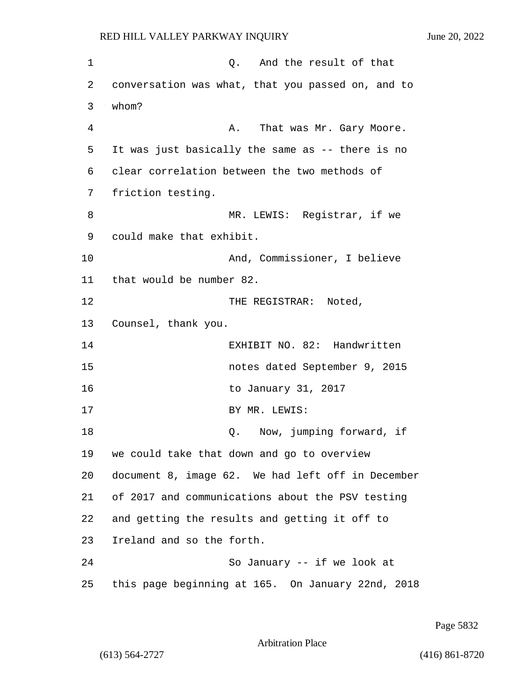| 1  | Q. And the result of that                         |
|----|---------------------------------------------------|
| 2  | conversation was what, that you passed on, and to |
| 3  | whom?                                             |
| 4  | That was Mr. Gary Moore.<br>Α.                    |
| 5  | It was just basically the same as -- there is no  |
| 6  | clear correlation between the two methods of      |
| 7  | friction testing.                                 |
| 8  | MR. LEWIS: Registrar, if we                       |
| 9  | could make that exhibit.                          |
| 10 | And, Commissioner, I believe                      |
| 11 | that would be number 82.                          |
| 12 | THE REGISTRAR: Noted,                             |
| 13 | Counsel, thank you.                               |
| 14 | EXHIBIT NO. 82: Handwritten                       |
| 15 | notes dated September 9, 2015                     |
| 16 | to January 31, 2017                               |
| 17 | BY MR. LEWIS:                                     |
| 18 | Now, jumping forward, if<br>Q.                    |
| 19 | we could take that down and go to overview        |
| 20 | document 8, image 62. We had left off in December |
| 21 | of 2017 and communications about the PSV testing  |
| 22 | and getting the results and getting it off to     |
| 23 | Ireland and so the forth.                         |
| 24 | So January -- if we look at                       |
| 25 | this page beginning at 165. On January 22nd, 2018 |

Page 5832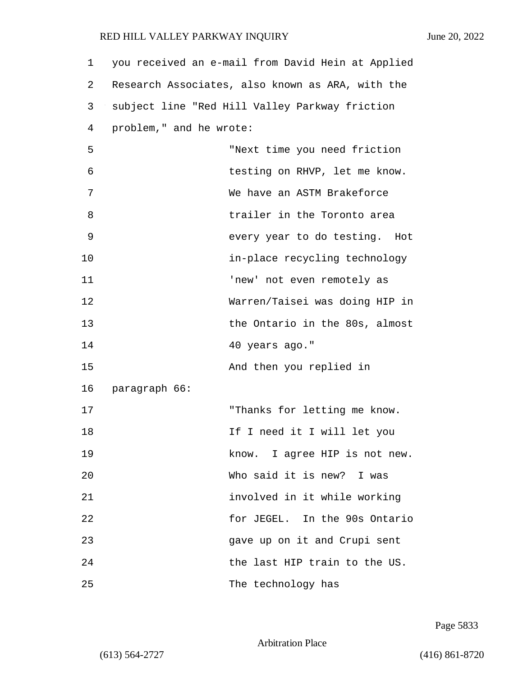| $\mathbf 1$ | you received an e-mail from David Hein at Applied |
|-------------|---------------------------------------------------|
| 2           | Research Associates, also known as ARA, with the  |
| 3           | subject line "Red Hill Valley Parkway friction    |
| 4           | problem," and he wrote:                           |
| 5           | "Next time you need friction                      |
| 6           | testing on RHVP, let me know.                     |
| 7           | We have an ASTM Brakeforce                        |
| 8           | trailer in the Toronto area                       |
| 9           | every year to do testing. Hot                     |
| 10          | in-place recycling technology                     |
| 11          | 'new' not even remotely as                        |
| 12          | Warren/Taisei was doing HIP in                    |
| 13          | the Ontario in the 80s, almost                    |
| 14          | 40 years ago."                                    |
| 15          | And then you replied in                           |
| 16          | paragraph 66:                                     |
| 17          | "Thanks for letting me know.                      |
| 18          | If I need it I will let you                       |
| 19          | know. I agree HIP is not new.                     |
| 20          | Who said it is new? I was                         |
| 21          | involved in it while working                      |
| 22          | for JEGEL. In the 90s Ontario                     |
| 23          | gave up on it and Crupi sent                      |
| 24          | the last HIP train to the US.                     |
| 25          | The technology has                                |

Page 5833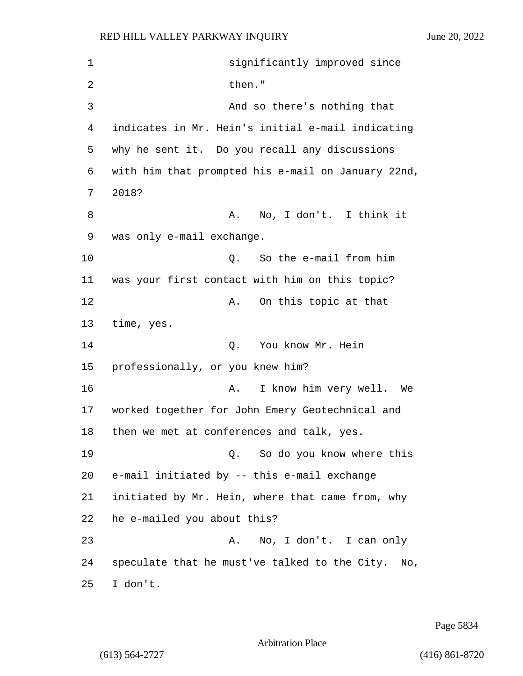1 significantly improved since 2 then." 3 And so there's nothing that 4 indicates in Mr. Hein's initial e-mail indicating 5 why he sent it. Do you recall any discussions 6 with him that prompted his e-mail on January 22nd, 7 2018? 8 A. No, I don't. I think it 9 was only e-mail exchange. 10 Q. So the e-mail from him 11 was your first contact with him on this topic? 12 A. On this topic at that 13 time, yes. 14 O. You know Mr. Hein 15 professionally, or you knew him? 16 A. I know him very well. We 17 worked together for John Emery Geotechnical and 18 then we met at conferences and talk, yes. 19 Q. So do you know where this 20 e-mail initiated by -- this e-mail exchange 21 initiated by Mr. Hein, where that came from, why 22 he e-mailed you about this? 23 A. No, I don't. I can only 24 speculate that he must've talked to the City. No, 25 I don't.

Page 5834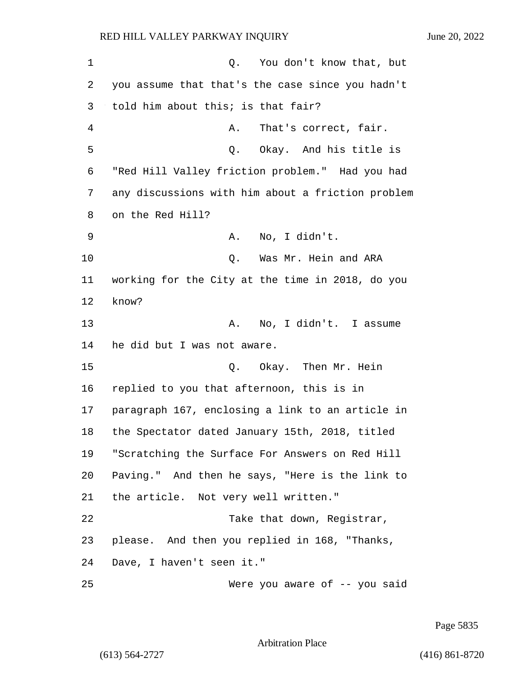| 1  | Q.<br>You don't know that, but                    |
|----|---------------------------------------------------|
| 2  | you assume that that's the case since you hadn't  |
| 3  | told him about this; is that fair?                |
| 4  | That's correct, fair.<br>Α.                       |
| 5  | Q. Okay. And his title is                         |
| 6  | "Red Hill Valley friction problem." Had you had   |
| 7  | any discussions with him about a friction problem |
| 8  | on the Red Hill?                                  |
| 9  | No, I didn't.<br>Α.                               |
| 10 | Was Mr. Hein and ARA<br>Q.                        |
| 11 | working for the City at the time in 2018, do you  |
| 12 | know?                                             |
| 13 | No, I didn't. I assume<br>Α.                      |
| 14 | he did but I was not aware.                       |
| 15 | Okay. Then Mr. Hein<br>Q.                         |
| 16 | replied to you that afternoon, this is in         |
| 17 | paragraph 167, enclosing a link to an article in  |
| 18 | the Spectator dated January 15th, 2018, titled    |
| 19 | "Scratching the Surface For Answers on Red Hill   |
| 20 | Paving." And then he says, "Here is the link to   |
| 21 | the article. Not very well written."              |
| 22 | Take that down, Registrar,                        |
| 23 | please. And then you replied in 168, "Thanks,     |
| 24 | Dave, I haven't seen it."                         |
| 25 | Were you aware of -- you said                     |

Page 5835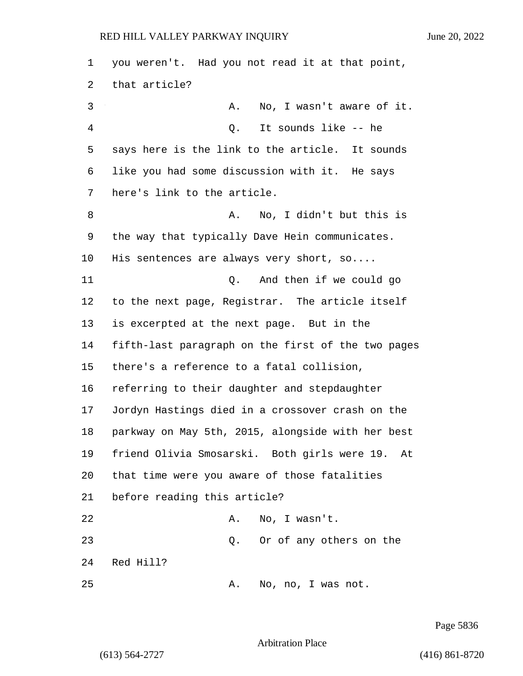| 1  | you weren't. Had you not read it at that point,    |
|----|----------------------------------------------------|
| 2  | that article?                                      |
| 3  | No, I wasn't aware of it.<br>Α.                    |
| 4  | It sounds like -- he<br>Q.                         |
| 5  | says here is the link to the article. It sounds    |
| 6  | like you had some discussion with it. He says      |
| 7  | here's link to the article.                        |
| 8  | No, I didn't but this is<br>Α.                     |
| 9  | the way that typically Dave Hein communicates.     |
| 10 | His sentences are always very short, so            |
| 11 | And then if we could go<br>Q.                      |
| 12 | to the next page, Registrar. The article itself    |
| 13 | is excerpted at the next page. But in the          |
| 14 | fifth-last paragraph on the first of the two pages |
| 15 | there's a reference to a fatal collision,          |
| 16 | referring to their daughter and stepdaughter       |
| 17 | Jordyn Hastings died in a crossover crash on the   |
| 18 | parkway on May 5th, 2015, alongside with her best  |
| 19 | friend Olivia Smosarski. Both girls were 19. At    |
| 20 | that time were you aware of those fatalities       |
| 21 | before reading this article?                       |
| 22 | No, I wasn't.<br>Α.                                |
| 23 | Or of any others on the<br>Q.                      |
| 24 | Red Hill?                                          |
| 25 | No, no, I was not.<br>Α.                           |

Page 5836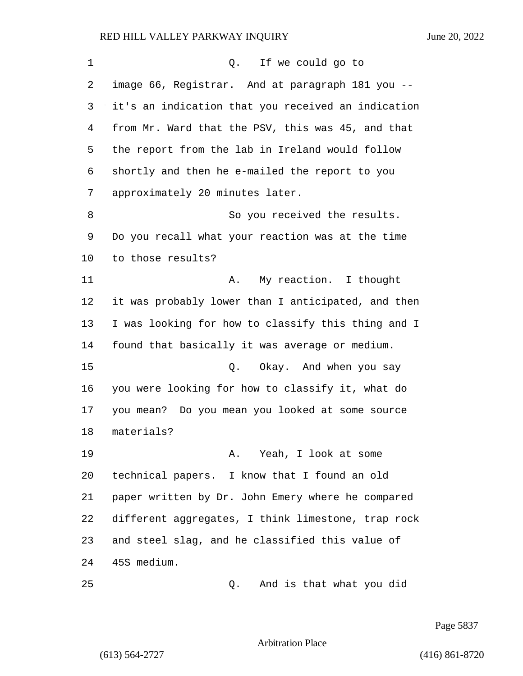| 1  | Q. If we could go to                               |
|----|----------------------------------------------------|
| 2  | image 66, Registrar. And at paragraph 181 you --   |
| 3  | it's an indication that you received an indication |
| 4  | from Mr. Ward that the PSV, this was 45, and that  |
| 5  | the report from the lab in Ireland would follow    |
| 6  | shortly and then he e-mailed the report to you     |
| 7  | approximately 20 minutes later.                    |
| 8  | So you received the results.                       |
| 9  | Do you recall what your reaction was at the time   |
| 10 | to those results?                                  |
| 11 | My reaction. I thought<br>Α.                       |
| 12 | it was probably lower than I anticipated, and then |
| 13 | I was looking for how to classify this thing and I |
| 14 | found that basically it was average or medium.     |
| 15 | Okay. And when you say<br>Q.                       |
| 16 | you were looking for how to classify it, what do   |
| 17 | you mean? Do you mean you looked at some source    |
| 18 | materials?                                         |
| 19 | A. Yeah, I look at some                            |
| 20 | technical papers. I know that I found an old       |
| 21 | paper written by Dr. John Emery where he compared  |
| 22 | different aggregates, I think limestone, trap rock |
| 23 | and steel slag, and he classified this value of    |
| 24 | 45S medium.                                        |
| 25 | And is that what you did<br>Q.                     |

Page 5837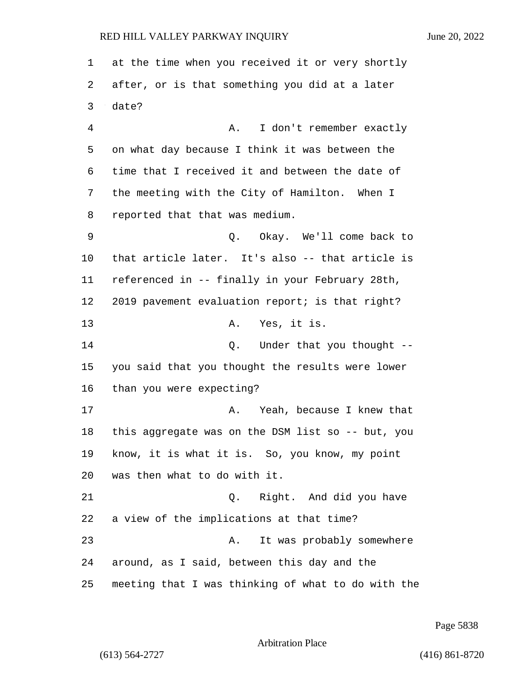at the time when you received it or very shortly after, or is that something you did at a later date? 4 A. I don't remember exactly on what day because I think it was between the time that I received it and between the date of the meeting with the City of Hamilton. When I reported that that was medium. 9 Q. Okay. We'll come back to that article later. It's also -- that article is referenced in -- finally in your February 28th, 2019 pavement evaluation report; is that right? 13 A. Yes, it is. **Q.** Under that you thought -- you said that you thought the results were lower than you were expecting? 17 A. Yeah, because I knew that this aggregate was on the DSM list so -- but, you know, it is what it is. So, you know, my point was then what to do with it. 21 Q. Right. And did you have a view of the implications at that time? 23 A. It was probably somewhere around, as I said, between this day and the meeting that I was thinking of what to do with the

Page 5838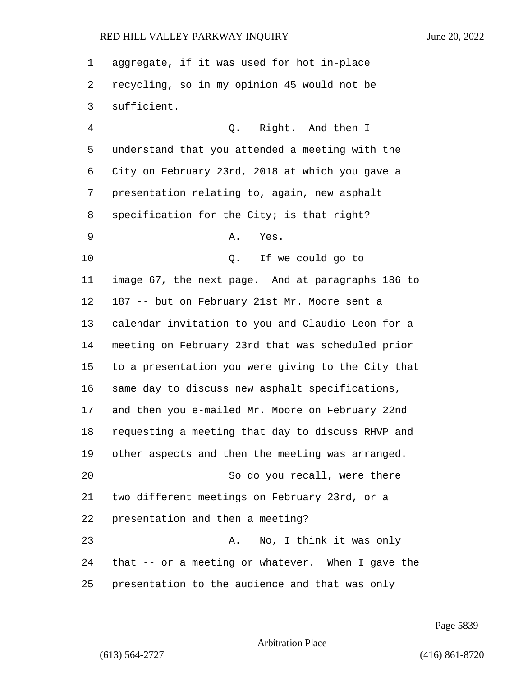aggregate, if it was used for hot in-place recycling, so in my opinion 45 would not be sufficient. 4 Q. Right. And then I understand that you attended a meeting with the City on February 23rd, 2018 at which you gave a presentation relating to, again, new asphalt 8 specification for the City; is that right? 9 A. Yes. 10 Q. If we could go to image 67, the next page. And at paragraphs 186 to 187 -- but on February 21st Mr. Moore sent a calendar invitation to you and Claudio Leon for a meeting on February 23rd that was scheduled prior to a presentation you were giving to the City that same day to discuss new asphalt specifications, and then you e-mailed Mr. Moore on February 22nd requesting a meeting that day to discuss RHVP and other aspects and then the meeting was arranged. 20 So do you recall, were there two different meetings on February 23rd, or a presentation and then a meeting? 23 A. No, I think it was only that -- or a meeting or whatever. When I gave the presentation to the audience and that was only

Page 5839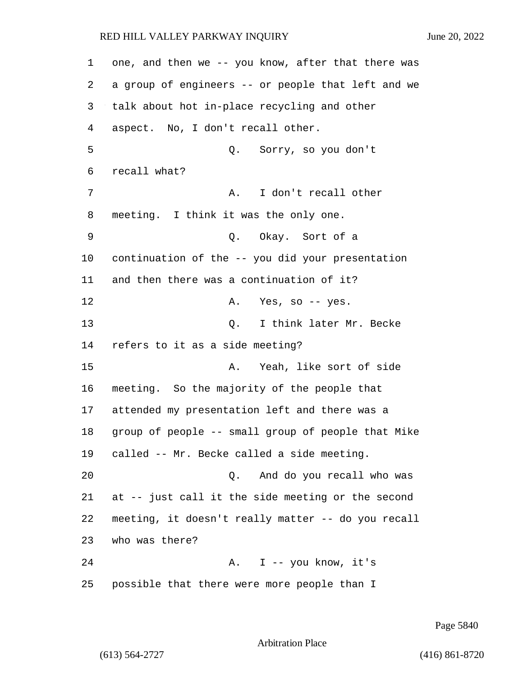one, and then we -- you know, after that there was a group of engineers -- or people that left and we talk about hot in-place recycling and other aspect. No, I don't recall other. 5 Q. Sorry, so you don't recall what? 7 A. I don't recall other meeting. I think it was the only one. 9 Q. Okay. Sort of a continuation of the -- you did your presentation and then there was a continuation of it? 12 A. Yes, so -- yes. 13 C. I think later Mr. Becke refers to it as a side meeting? 15 A. Yeah, like sort of side meeting. So the majority of the people that attended my presentation left and there was a group of people -- small group of people that Mike called -- Mr. Becke called a side meeting. 20 Q. And do you recall who was at -- just call it the side meeting or the second meeting, it doesn't really matter -- do you recall who was there? 24 A. I -- you know, it's possible that there were more people than I

Page 5840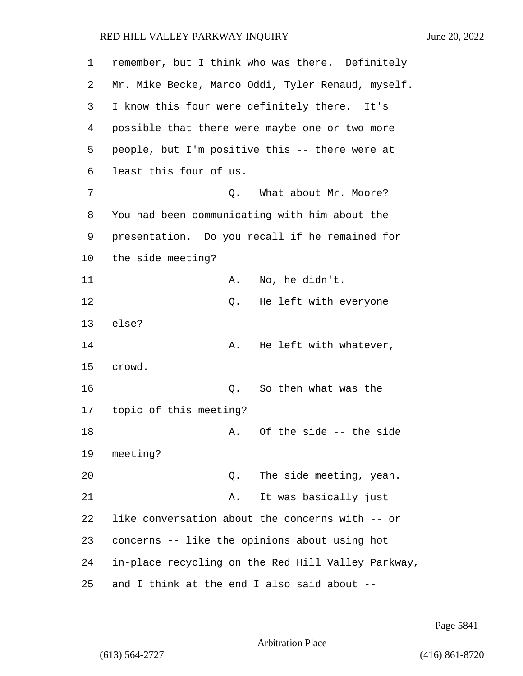| 1  | remember, but I think who was there. Definitely    |
|----|----------------------------------------------------|
| 2  | Mr. Mike Becke, Marco Oddi, Tyler Renaud, myself.  |
| 3  | I know this four were definitely there. It's       |
| 4  | possible that there were maybe one or two more     |
| 5  | people, but I'm positive this -- there were at     |
| 6  | least this four of us.                             |
| 7  | What about Mr. Moore?<br>Q.                        |
| 8  | You had been communicating with him about the      |
| 9  | presentation. Do you recall if he remained for     |
| 10 | the side meeting?                                  |
| 11 | No, he didn't.<br>Α.                               |
| 12 | He left with everyone<br>Q.                        |
| 13 | else?                                              |
| 14 | He left with whatever,<br>Α.                       |
| 15 | crowd.                                             |
| 16 | So then what was the<br>Q.                         |
| 17 | topic of this meeting?                             |
| 18 | Of the side -- the side<br>Α.                      |
| 19 | meeting?                                           |
| 20 | The side meeting, yeah.<br>Q.                      |
| 21 | It was basically just<br>Α.                        |
| 22 | like conversation about the concerns with -- or    |
| 23 | concerns -- like the opinions about using hot      |
| 24 | in-place recycling on the Red Hill Valley Parkway, |
| 25 | and I think at the end I also said about --        |

Page 5841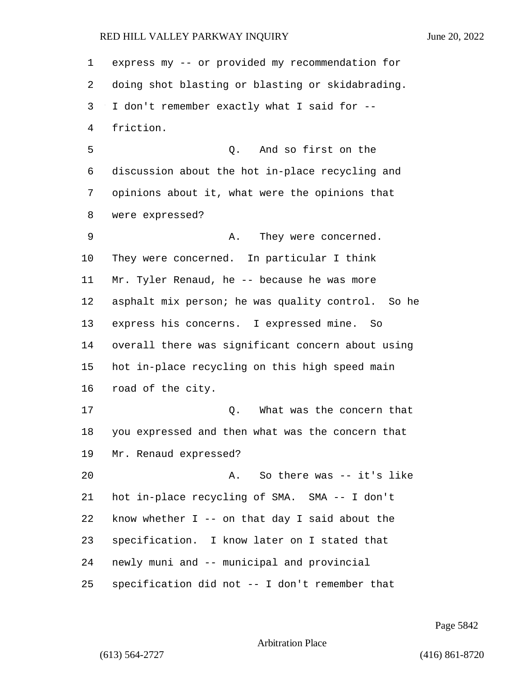express my -- or provided my recommendation for doing shot blasting or blasting or skidabrading. I don't remember exactly what I said for -- friction. 5 Q. And so first on the discussion about the hot in-place recycling and opinions about it, what were the opinions that were expressed? 9 A. They were concerned. They were concerned. In particular I think Mr. Tyler Renaud, he -- because he was more asphalt mix person; he was quality control. So he express his concerns. I expressed mine. So overall there was significant concern about using hot in-place recycling on this high speed main road of the city. 17 C. What was the concern that you expressed and then what was the concern that Mr. Renaud expressed? 20 A. So there was -- it's like hot in-place recycling of SMA. SMA -- I don't know whether I -- on that day I said about the specification. I know later on I stated that newly muni and -- municipal and provincial specification did not -- I don't remember that

Page 5842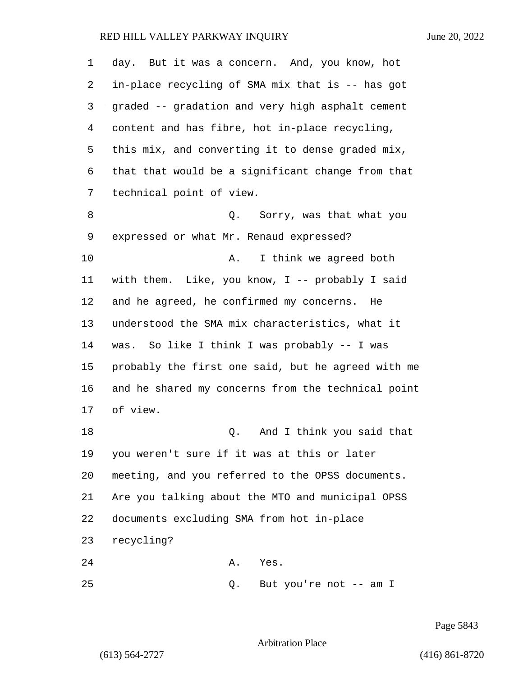| 1  | day. But it was a concern. And, you know, hot      |
|----|----------------------------------------------------|
| 2  | in-place recycling of SMA mix that is -- has got   |
| 3  | graded -- gradation and very high asphalt cement   |
| 4  | content and has fibre, hot in-place recycling,     |
| 5  | this mix, and converting it to dense graded mix,   |
| 6  | that that would be a significant change from that  |
| 7  | technical point of view.                           |
| 8  | Sorry, was that what you<br>Q.                     |
| 9  | expressed or what Mr. Renaud expressed?            |
| 10 | I think we agreed both<br>Α.                       |
| 11 | with them. Like, you know, I -- probably I said    |
| 12 | and he agreed, he confirmed my concerns. He        |
| 13 | understood the SMA mix characteristics, what it    |
| 14 | was. So like I think I was probably -- I was       |
| 15 | probably the first one said, but he agreed with me |
| 16 | and he shared my concerns from the technical point |
| 17 | of view.                                           |
| 18 | And I think you said that<br>Q.                    |
| 19 | you weren't sure if it was at this or later        |
| 20 | meeting, and you referred to the OPSS documents.   |
| 21 | Are you talking about the MTO and municipal OPSS   |
| 22 | documents excluding SMA from hot in-place          |
| 23 | recycling?                                         |
| 24 | Α.<br>Yes.                                         |
| 25 | But you're not -- am I<br>Q.                       |

Page 5843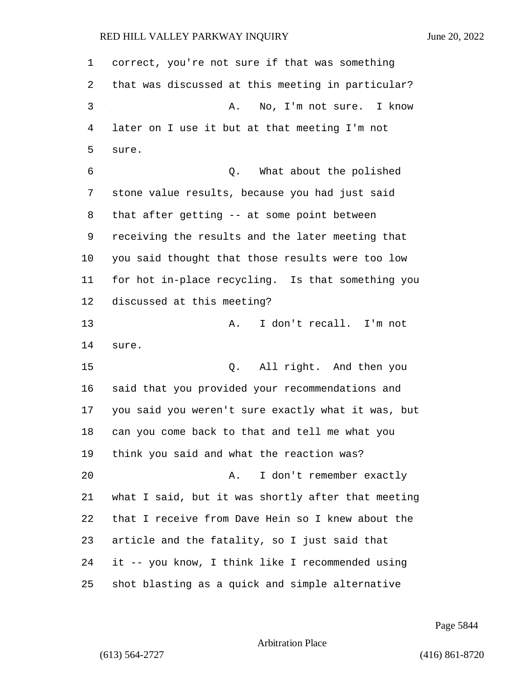| 1  | correct, you're not sure if that was something     |
|----|----------------------------------------------------|
| 2  | that was discussed at this meeting in particular?  |
| 3  | No, I'm not sure. I know<br>Α.                     |
| 4  | later on I use it but at that meeting I'm not      |
| 5  | sure.                                              |
| 6  | Q. What about the polished                         |
| 7  | stone value results, because you had just said     |
| 8  | that after getting -- at some point between        |
| 9  | receiving the results and the later meeting that   |
| 10 | you said thought that those results were too low   |
| 11 | for hot in-place recycling. Is that something you  |
| 12 | discussed at this meeting?                         |
| 13 | I don't recall. I'm not<br>Α.                      |
| 14 | sure.                                              |
| 15 | All right. And then you<br>Q.                      |
| 16 | said that you provided your recommendations and    |
| 17 | you said you weren't sure exactly what it was, but |
| 18 | can you come back to that and tell me what you     |
| 19 | think you said and what the reaction was?          |
| 20 | I don't remember exactly<br>Α.                     |
| 21 | what I said, but it was shortly after that meeting |
| 22 | that I receive from Dave Hein so I knew about the  |
| 23 | article and the fatality, so I just said that      |
| 24 | it -- you know, I think like I recommended using   |
| 25 | shot blasting as a quick and simple alternative    |

Page 5844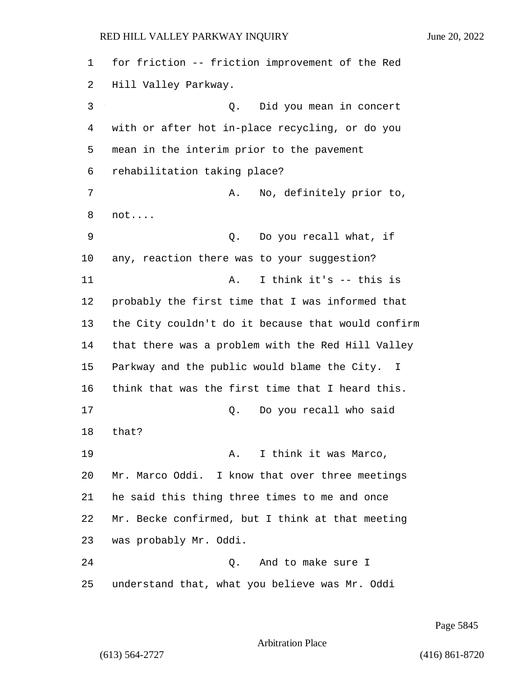for friction -- friction improvement of the Red Hill Valley Parkway. 3 Q. Did you mean in concert with or after hot in-place recycling, or do you mean in the interim prior to the pavement rehabilitation taking place? 7 A. No, definitely prior to, not.... 9 Q. Do you recall what, if any, reaction there was to your suggestion? 11 A. I think it's -- this is probably the first time that I was informed that the City couldn't do it because that would confirm that there was a problem with the Red Hill Valley Parkway and the public would blame the City. I think that was the first time that I heard this. 17 Q. Do you recall who said that? 19 A. I think it was Marco, Mr. Marco Oddi. I know that over three meetings he said this thing three times to me and once Mr. Becke confirmed, but I think at that meeting was probably Mr. Oddi. 24 Q. And to make sure I understand that, what you believe was Mr. Oddi

Page 5845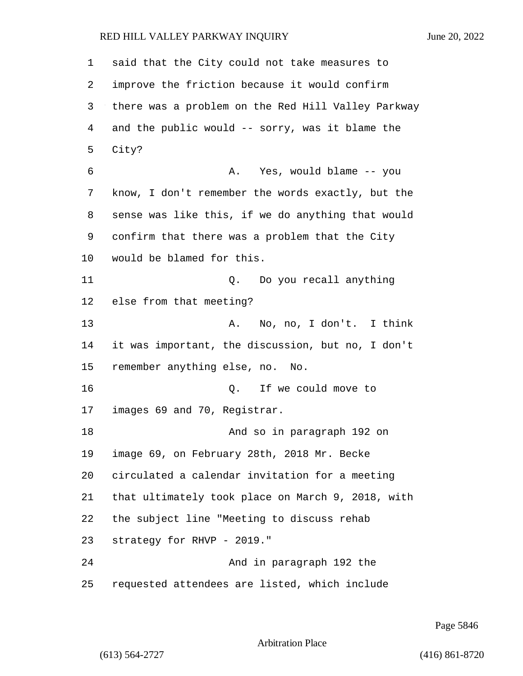said that the City could not take measures to improve the friction because it would confirm there was a problem on the Red Hill Valley Parkway and the public would -- sorry, was it blame the City? 6 A. Yes, would blame -- you know, I don't remember the words exactly, but the sense was like this, if we do anything that would confirm that there was a problem that the City would be blamed for this. 11 Q. Do you recall anything else from that meeting? 13 A. No, no, I don't. I think it was important, the discussion, but no, I don't remember anything else, no. No. 16 Q. If we could move to images 69 and 70, Registrar. 18 And so in paragraph 192 on image 69, on February 28th, 2018 Mr. Becke circulated a calendar invitation for a meeting that ultimately took place on March 9, 2018, with the subject line "Meeting to discuss rehab strategy for RHVP - 2019." 24 And in paragraph 192 the requested attendees are listed, which include

Page 5846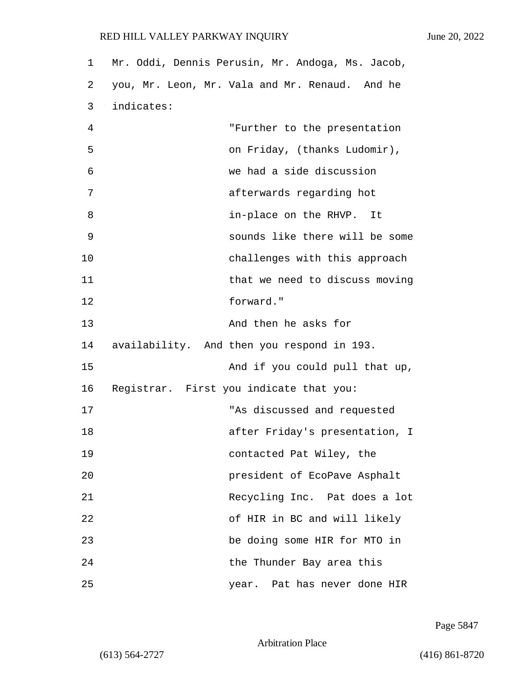| 1  | Mr. Oddi, Dennis Perusin, Mr. Andoga, Ms. Jacob, |
|----|--------------------------------------------------|
| 2  | you, Mr. Leon, Mr. Vala and Mr. Renaud. And he   |
| 3  | indicates:                                       |
| 4  | "Further to the presentation                     |
| 5  | on Friday, (thanks Ludomir),                     |
| 6  | we had a side discussion                         |
| 7  | afterwards regarding hot                         |
| 8  | in-place on the RHVP. It                         |
| 9  | sounds like there will be some                   |
| 10 | challenges with this approach                    |
| 11 | that we need to discuss moving                   |
| 12 | forward."                                        |
| 13 | And then he asks for                             |
| 14 | availability. And then you respond in 193.       |
| 15 | And if you could pull that up,                   |
| 16 | Registrar. First you indicate that you:          |
| 17 | "As discussed and requested                      |
| 18 | after Friday's presentation, I                   |
| 19 | contacted Pat Wiley, the                         |
| 20 | president of EcoPave Asphalt                     |
| 21 | Recycling Inc. Pat does a lot                    |
| 22 | of HIR in BC and will likely                     |
| 23 | be doing some HIR for MTO in                     |
| 24 | the Thunder Bay area this                        |
| 25 | year. Pat has never done HIR                     |

Page 5847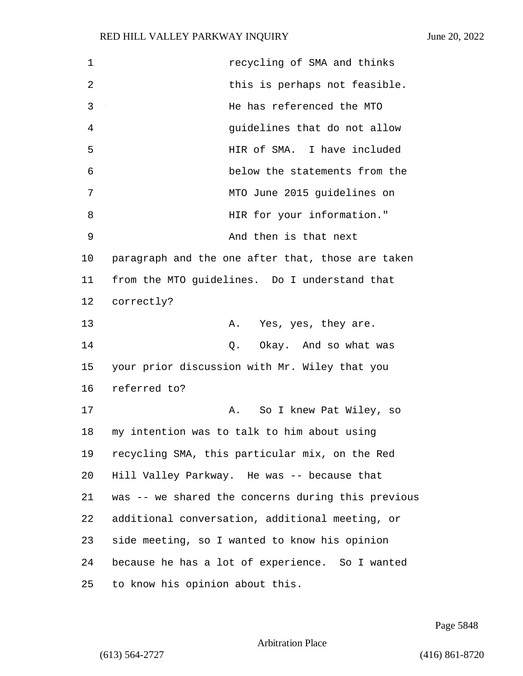| $\mathbf 1$ | recycling of SMA and thinks                        |
|-------------|----------------------------------------------------|
| 2           | this is perhaps not feasible.                      |
| 3           | He has referenced the MTO                          |
| 4           | guidelines that do not allow                       |
| 5           | HIR of SMA. I have included                        |
| 6           | below the statements from the                      |
| 7           | MTO June 2015 guidelines on                        |
| 8           | HIR for your information."                         |
| 9           | And then is that next                              |
| 10          | paragraph and the one after that, those are taken  |
| 11          | from the MTO guidelines. Do I understand that      |
| 12          | correctly?                                         |
| 13          | Yes, yes, they are.<br>Α.                          |
| 14          | Okay. And so what was<br>Q.                        |
| 15          | your prior discussion with Mr. Wiley that you      |
| 16          | referred to?                                       |
| 17          | So I knew Pat Wiley, so<br>Α.                      |
| 18          | my intention was to talk to him about using        |
| 19          | recycling SMA, this particular mix, on the Red     |
| 20          | Hill Valley Parkway. He was -- because that        |
| 21          | was -- we shared the concerns during this previous |
| 22          | additional conversation, additional meeting, or    |
| 23          | side meeting, so I wanted to know his opinion      |
| 24          | because he has a lot of experience. So I wanted    |
| 25          | to know his opinion about this.                    |

Page 5848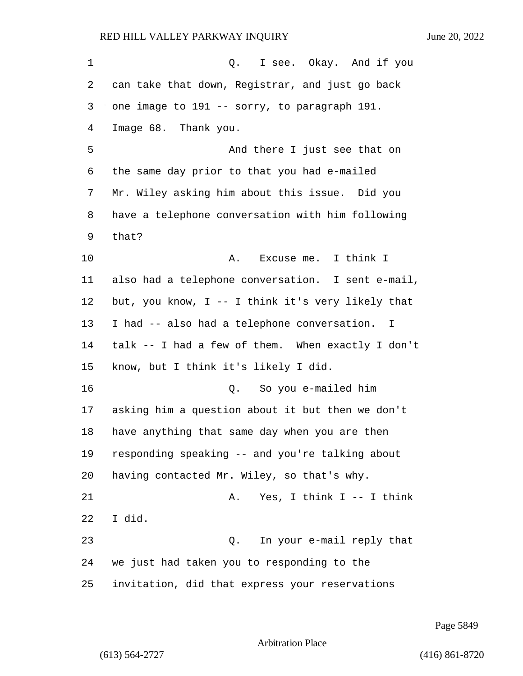1 0. I see. Okay. And if you can take that down, Registrar, and just go back one image to 191 -- sorry, to paragraph 191. Image 68. Thank you. 5 And there I just see that on the same day prior to that you had e-mailed Mr. Wiley asking him about this issue. Did you have a telephone conversation with him following that? 10 A. Excuse me. I think I also had a telephone conversation. I sent e-mail, but, you know, I -- I think it's very likely that I had -- also had a telephone conversation. I talk -- I had a few of them. When exactly I don't know, but I think it's likely I did. 16 Q. So you e-mailed him asking him a question about it but then we don't have anything that same day when you are then responding speaking -- and you're talking about having contacted Mr. Wiley, so that's why. 21 A. Yes, I think I -- I think I did. 23 Q. In your e-mail reply that we just had taken you to responding to the invitation, did that express your reservations

Page 5849

```
Arbitration Place
```
(613) 564-2727 (416) 861-8720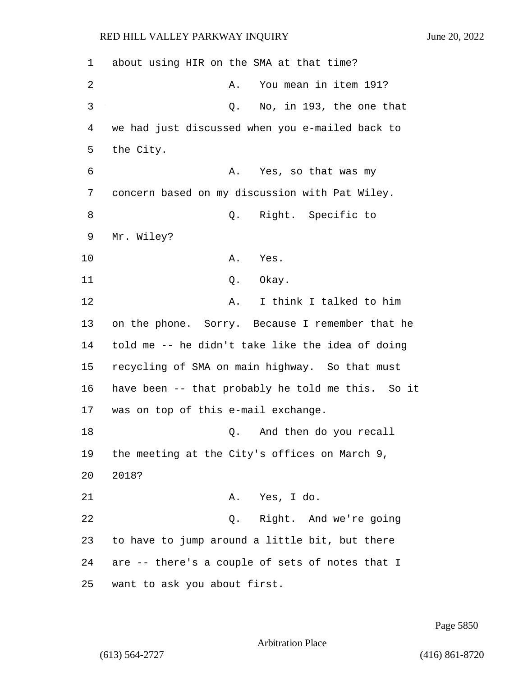1 about using HIR on the SMA at that time? 2 A. You mean in item 191? 3 Q. No, in 193, the one that 4 we had just discussed when you e-mailed back to 5 the City. 6 A. Yes, so that was my 7 concern based on my discussion with Pat Wiley. 8 Q. Right. Specific to 9 Mr. Wiley? 10 A. Yes. 11 Q. Okay. 12 A. I think I talked to him 13 on the phone. Sorry. Because I remember that he 14 told me -- he didn't take like the idea of doing 15 recycling of SMA on main highway. So that must 16 have been -- that probably he told me this. So it 17 was on top of this e-mail exchange. 18 and then do you recall 19 the meeting at the City's offices on March 9, 20 2018? 21 A. Yes, I do. 22 Q. Right. And we're going 23 to have to jump around a little bit, but there 24 are -- there's a couple of sets of notes that I 25 want to ask you about first.

Page 5850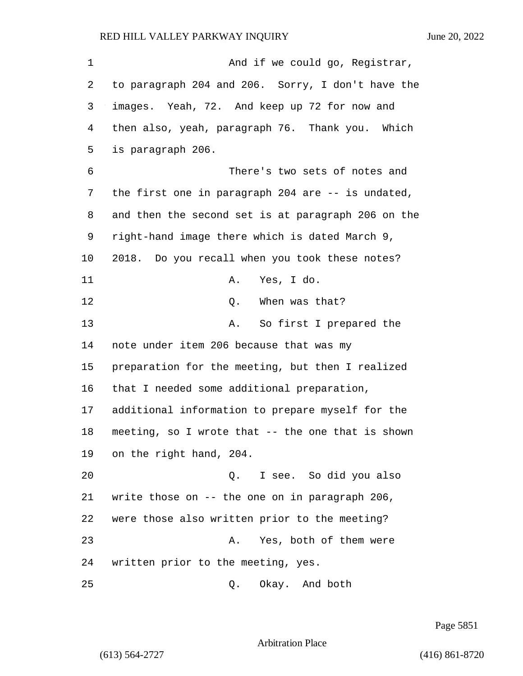1 And if we could go, Registrar, to paragraph 204 and 206. Sorry, I don't have the images. Yeah, 72. And keep up 72 for now and then also, yeah, paragraph 76. Thank you. Which is paragraph 206. 6 There's two sets of notes and the first one in paragraph 204 are -- is undated, and then the second set is at paragraph 206 on the right-hand image there which is dated March 9, 2018. Do you recall when you took these notes? 11 A. Yes, I do. 12 C. When was that? 13 A. So first I prepared the note under item 206 because that was my preparation for the meeting, but then I realized that I needed some additional preparation, additional information to prepare myself for the meeting, so I wrote that -- the one that is shown on the right hand, 204. 20 Q. I see. So did you also write those on -- the one on in paragraph 206, were those also written prior to the meeting? 23 A. Yes, both of them were written prior to the meeting, yes.

25 Q. Okay. And both

Page 5851

Arbitration Place

(613) 564-2727 (416) 861-8720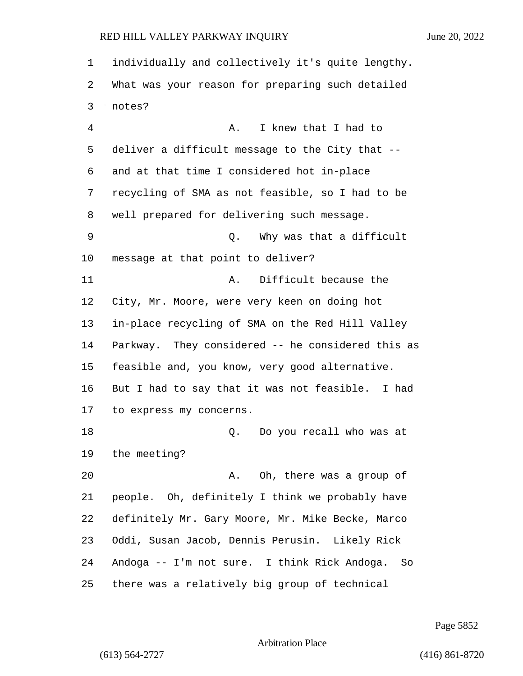individually and collectively it's quite lengthy. What was your reason for preparing such detailed notes? 4 A. I knew that I had to deliver a difficult message to the City that -- and at that time I considered hot in-place recycling of SMA as not feasible, so I had to be well prepared for delivering such message. 9 Q. Why was that a difficult message at that point to deliver? 11 A. Difficult because the City, Mr. Moore, were very keen on doing hot in-place recycling of SMA on the Red Hill Valley Parkway. They considered -- he considered this as feasible and, you know, very good alternative. But I had to say that it was not feasible. I had to express my concerns. 18 and 18 Q. Do you recall who was at the meeting? 20 A. Oh, there was a group of people. Oh, definitely I think we probably have definitely Mr. Gary Moore, Mr. Mike Becke, Marco Oddi, Susan Jacob, Dennis Perusin. Likely Rick Andoga -- I'm not sure. I think Rick Andoga. So there was a relatively big group of technical

Page 5852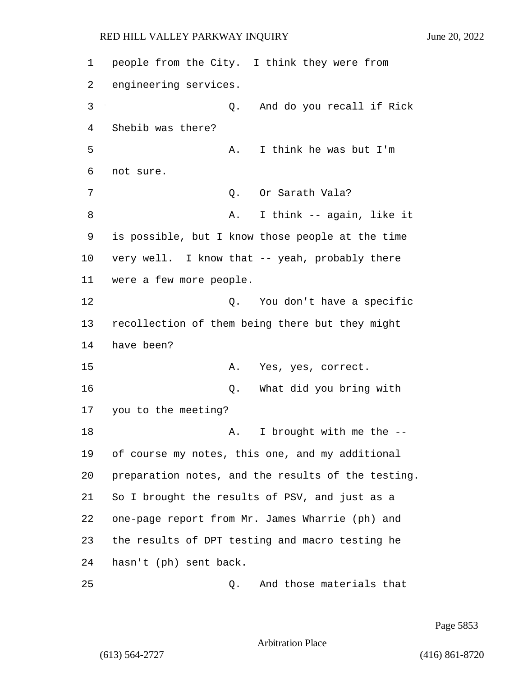people from the City. I think they were from engineering services. 3 Q. And do you recall if Rick Shebib was there? 5 A. I think he was but I'm not sure. 7 C. Or Sarath Vala? 8 A. I think -- again, like it is possible, but I know those people at the time very well. I know that -- yeah, probably there were a few more people. 12 and 12 Q. You don't have a specific recollection of them being there but they might have been? 15 A. Yes, yes, correct. 16 Q. What did you bring with you to the meeting? 18 A. I brought with me the -- of course my notes, this one, and my additional preparation notes, and the results of the testing. So I brought the results of PSV, and just as a one-page report from Mr. James Wharrie (ph) and the results of DPT testing and macro testing he hasn't (ph) sent back. 25 Q. And those materials that

Page 5853

Arbitration Place

(613) 564-2727 (416) 861-8720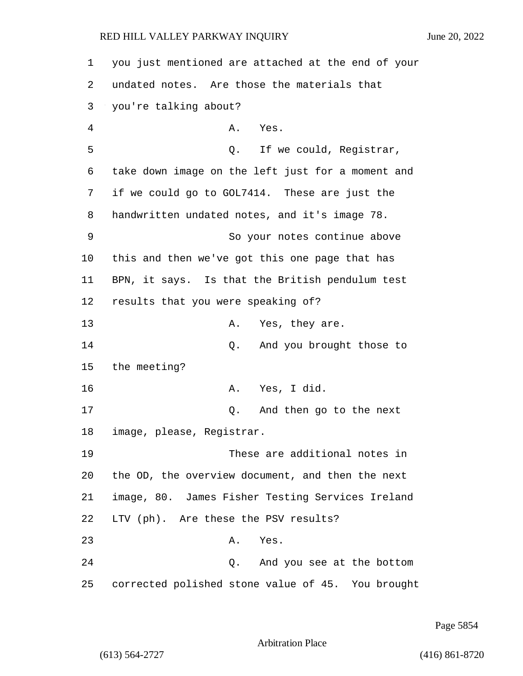1 you just mentioned are attached at the end of your 2 undated notes. Are those the materials that 3 you're talking about? 4 A. Yes. 5 Q. If we could, Registrar, 6 take down image on the left just for a moment and 7 if we could go to GOL7414. These are just the 8 handwritten undated notes, and it's image 78. 9 So your notes continue above 10 this and then we've got this one page that has 11 BPN, it says. Is that the British pendulum test 12 results that you were speaking of? 13 A. Yes, they are. 14 Q. And you brought those to 15 the meeting? 16 A. Yes, I did. 17 Q. And then go to the next 18 image, please, Registrar. 19 These are additional notes in 20 the OD, the overview document, and then the next 21 image, 80. James Fisher Testing Services Ireland 22 LTV (ph). Are these the PSV results? 23 A. Yes. 24 Q. And you see at the bottom 25 corrected polished stone value of 45. You brought

Page 5854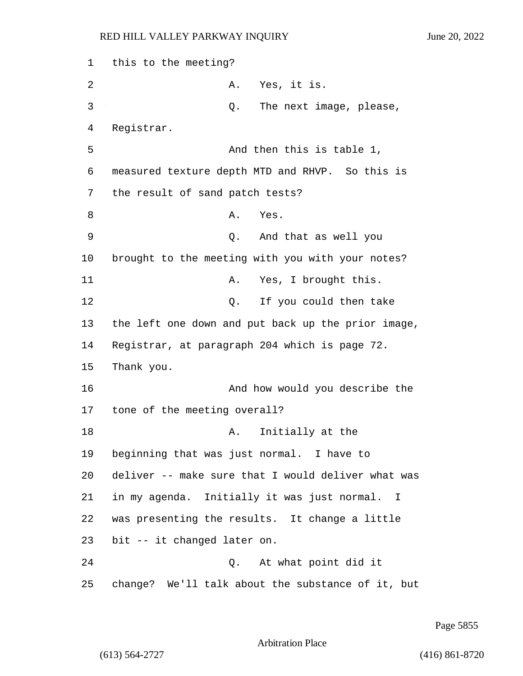1 this to the meeting? 2 A. Yes, it is. 3 Q. The next image, please, 4 Registrar. 5 And then this is table 1, 6 measured texture depth MTD and RHVP. So this is 7 the result of sand patch tests? 8 A. Yes. 9 Q. And that as well you 10 brought to the meeting with you with your notes? 11 A. Yes, I brought this. 12 O. If you could then take 13 the left one down and put back up the prior image, 14 Registrar, at paragraph 204 which is page 72. 15 Thank you. 16 And how would you describe the 17 tone of the meeting overall? 18 A. Initially at the 19 beginning that was just normal. I have to 20 deliver -- make sure that I would deliver what was 21 in my agenda. Initially it was just normal. I 22 was presenting the results. It change a little 23 bit -- it changed later on. 24 Q. At what point did it 25 change? We'll talk about the substance of it, but

Page 5855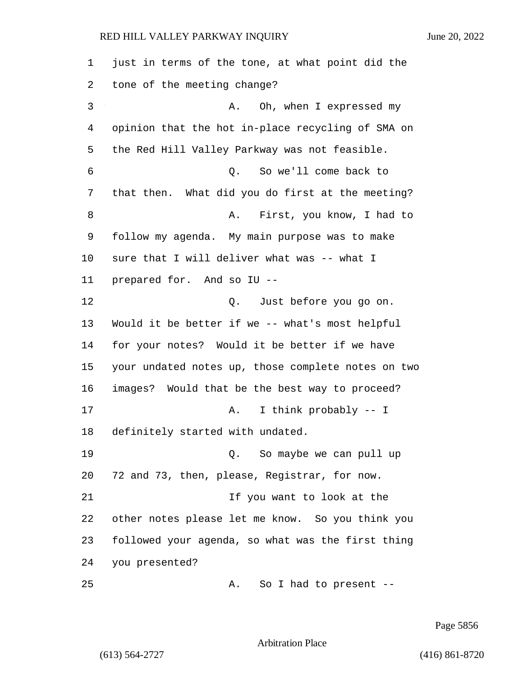just in terms of the tone, at what point did the tone of the meeting change? 3 A. Oh, when I expressed my opinion that the hot in-place recycling of SMA on the Red Hill Valley Parkway was not feasible. 6 Q. So we'll come back to that then. What did you do first at the meeting? 8 A. First, you know, I had to follow my agenda. My main purpose was to make sure that I will deliver what was -- what I prepared for. And so IU -- 12 O. Just before you go on. Would it be better if we -- what's most helpful for your notes? Would it be better if we have your undated notes up, those complete notes on two images? Would that be the best way to proceed? 17 A. I think probably -- I definitely started with undated. 19 Q. So maybe we can pull up 72 and 73, then, please, Registrar, for now. 21 11 11 12 11 12 15 you want to look at the other notes please let me know. So you think you followed your agenda, so what was the first thing you presented? 25 A. So I had to present --

Page 5856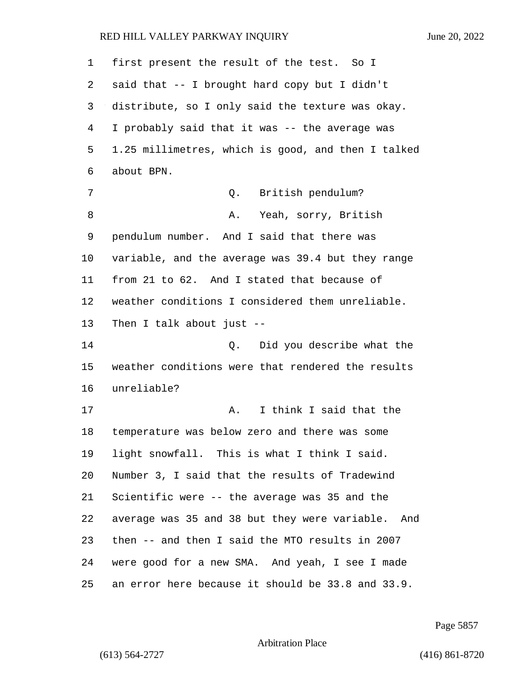| 1  | first present the result of the test. So I         |
|----|----------------------------------------------------|
| 2  | said that -- I brought hard copy but I didn't      |
| 3  | distribute, so I only said the texture was okay.   |
| 4  | I probably said that it was -- the average was     |
| 5  | 1.25 millimetres, which is good, and then I talked |
| 6  | about BPN.                                         |
| 7  | British pendulum?<br>Q.                            |
| 8  | Yeah, sorry, British<br>Α.                         |
| 9  | pendulum number. And I said that there was         |
| 10 | variable, and the average was 39.4 but they range  |
| 11 | from 21 to 62. And I stated that because of        |
| 12 | weather conditions I considered them unreliable.   |
| 13 | Then I talk about just $-$ -                       |
| 14 | Did you describe what the<br>0.                    |
| 15 | weather conditions were that rendered the results  |
| 16 | unreliable?                                        |
| 17 | I think I said that the<br>Α.                      |
| 18 | temperature was below zero and there was some      |
| 19 | light snowfall. This is what I think I said.       |
| 20 | Number 3, I said that the results of Tradewind     |
| 21 | Scientific were -- the average was 35 and the      |
| 22 | average was 35 and 38 but they were variable. And  |
| 23 | then -- and then I said the MTO results in 2007    |
| 24 | were good for a new SMA. And yeah, I see I made    |
| 25 | an error here because it should be 33.8 and 33.9.  |

Page 5857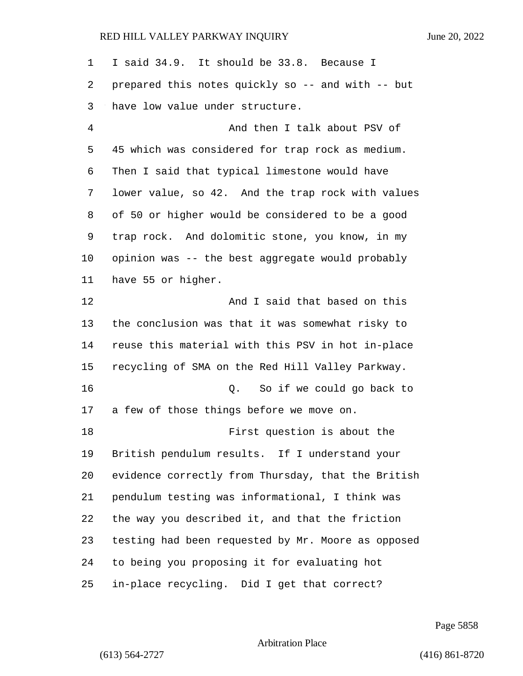| $\mathbf 1$ | I said 34.9. It should be 33.8. Because I          |
|-------------|----------------------------------------------------|
| 2           | prepared this notes quickly so -- and with -- but  |
| 3           | have low value under structure.                    |
| 4           | And then I talk about PSV of                       |
| 5           | 45 which was considered for trap rock as medium.   |
| 6           | Then I said that typical limestone would have      |
| 7           | lower value, so 42. And the trap rock with values  |
| 8           | of 50 or higher would be considered to be a good   |
| 9           | trap rock. And dolomitic stone, you know, in my    |
| 10          | opinion was -- the best aggregate would probably   |
| 11          | have 55 or higher.                                 |
| 12          | And I said that based on this                      |
| 13          | the conclusion was that it was somewhat risky to   |
| 14          | reuse this material with this PSV in hot in-place  |
| 15          | recycling of SMA on the Red Hill Valley Parkway.   |
| 16          | So if we could go back to<br>Q.                    |
| 17          | a few of those things before we move on.           |
| 18          | First question is about the                        |
| 19          | British pendulum results. If I understand your     |
| 20          | evidence correctly from Thursday, that the British |
| 21          | pendulum testing was informational, I think was    |
| 22          | the way you described it, and that the friction    |
| 23          | testing had been requested by Mr. Moore as opposed |
| 24          | to being you proposing it for evaluating hot       |
| 25          | in-place recycling. Did I get that correct?        |

Page 5858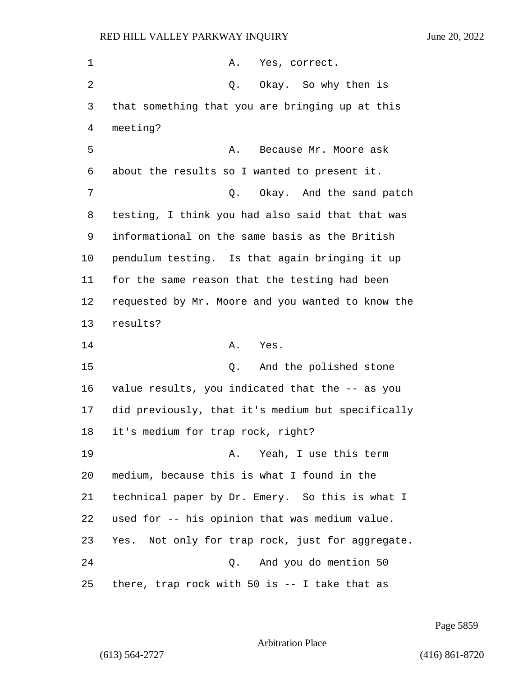| 1  | Yes, correct.<br>Α.                               |
|----|---------------------------------------------------|
| 2  | Q. Okay. So why then is                           |
| 3  | that something that you are bringing up at this   |
| 4  | meeting?                                          |
| 5  | Because Mr. Moore ask<br>Α.                       |
| 6  | about the results so I wanted to present it.      |
| 7  | Okay. And the sand patch<br>Q.                    |
| 8  | testing, I think you had also said that that was  |
| 9  | informational on the same basis as the British    |
| 10 | pendulum testing. Is that again bringing it up    |
| 11 | for the same reason that the testing had been     |
| 12 | requested by Mr. Moore and you wanted to know the |
| 13 | results?                                          |
| 14 | Yes.<br>Α.                                        |
| 15 | And the polished stone<br>Q.                      |
| 16 | value results, you indicated that the -- as you   |
| 17 | did previously, that it's medium but specifically |
| 18 | it's medium for trap rock, right?                 |
| 19 | Yeah, I use this term<br>Α.                       |
| 20 | medium, because this is what I found in the       |
| 21 | technical paper by Dr. Emery. So this is what I   |
| 22 | used for -- his opinion that was medium value.    |
| 23 | Yes. Not only for trap rock, just for aggregate.  |
| 24 | And you do mention 50<br>Q.                       |
| 25 |                                                   |

Page 5859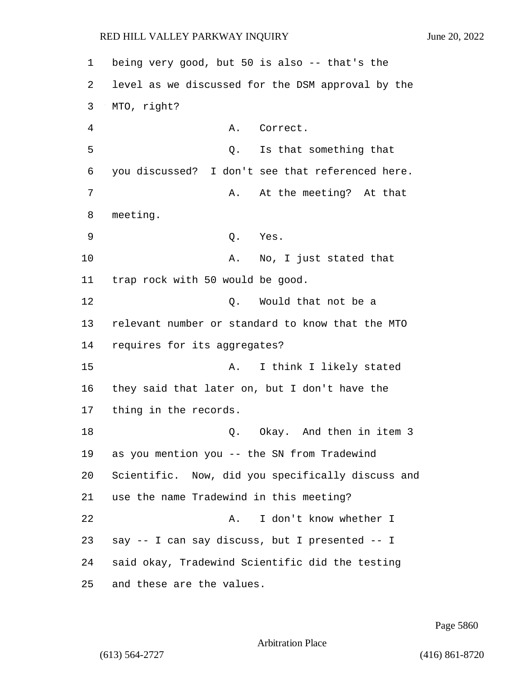1 being very good, but 50 is also -- that's the 2 level as we discussed for the DSM approval by the 3 MTO, right? 4 A. Correct. 5 Q. Is that something that 6 you discussed? I don't see that referenced here. 7 A. At the meeting? At that 8 meeting. 9 Q. Yes. 10 A. No, I just stated that 11 trap rock with 50 would be good. 12 C. Would that not be a 13 relevant number or standard to know that the MTO 14 requires for its aggregates? 15 A. I think I likely stated 16 they said that later on, but I don't have the 17 thing in the records. 18 C. Okay. And then in item 3 19 as you mention you -- the SN from Tradewind 20 Scientific. Now, did you specifically discuss and 21 use the name Tradewind in this meeting? 22 A. I don't know whether I 23 say -- I can say discuss, but I presented -- I 24 said okay, Tradewind Scientific did the testing 25 and these are the values.

Page 5860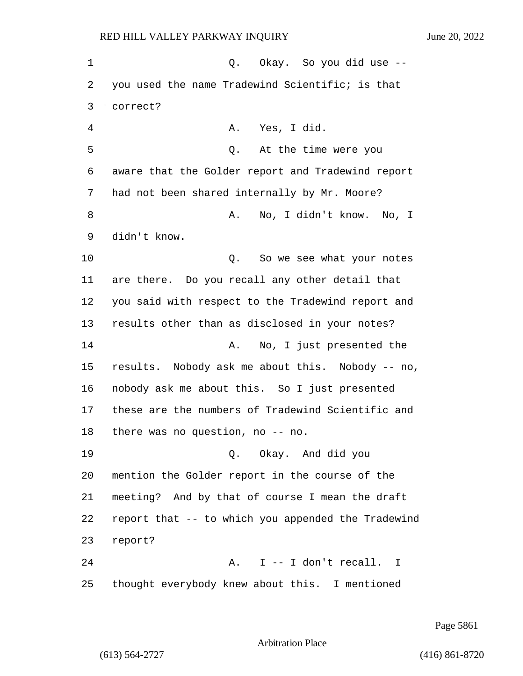1 C. Okay. So you did use --2 you used the name Tradewind Scientific; is that 3 correct? 4 A. Yes, I did. 5 Q. At the time were you 6 aware that the Golder report and Tradewind report 7 had not been shared internally by Mr. Moore? 8 A. No, I didn't know. No, I 9 didn't know. 10 Q. So we see what your notes 11 are there. Do you recall any other detail that 12 you said with respect to the Tradewind report and 13 results other than as disclosed in your notes? 14 A. No, I just presented the 15 results. Nobody ask me about this. Nobody -- no, 16 nobody ask me about this. So I just presented 17 these are the numbers of Tradewind Scientific and 18 there was no question, no -- no. 19 Q. Okay. And did you 20 mention the Golder report in the course of the 21 meeting? And by that of course I mean the draft 22 report that -- to which you appended the Tradewind 23 report? 24 A. I -- I don't recall. I 25 thought everybody knew about this. I mentioned

Page 5861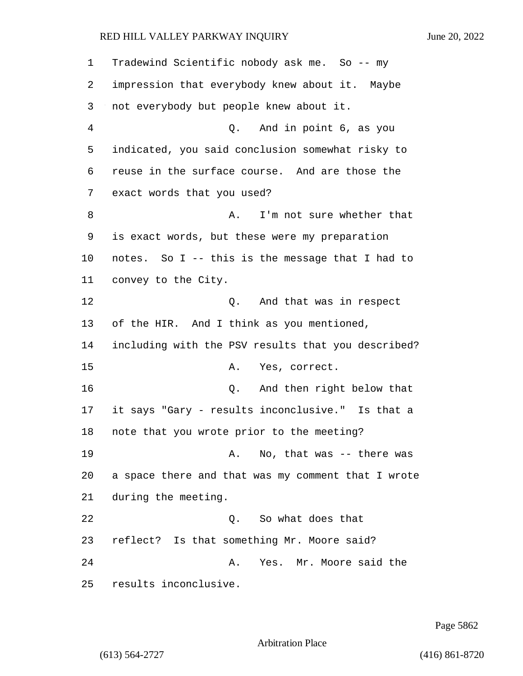Tradewind Scientific nobody ask me. So -- my impression that everybody knew about it. Maybe not everybody but people knew about it. 4 Q. And in point 6, as you indicated, you said conclusion somewhat risky to reuse in the surface course. And are those the exact words that you used? 8 A. I'm not sure whether that is exact words, but these were my preparation notes. So I -- this is the message that I had to convey to the City. 12 O. And that was in respect 13 of the HIR. And I think as you mentioned, including with the PSV results that you described? 15 A. Yes, correct. 16 Q. And then right below that it says "Gary - results inconclusive." Is that a note that you wrote prior to the meeting? 19 A. No, that was -- there was a space there and that was my comment that I wrote during the meeting. 22 Q. So what does that reflect? Is that something Mr. Moore said? 24 A. Yes. Mr. Moore said the results inconclusive.

Page 5862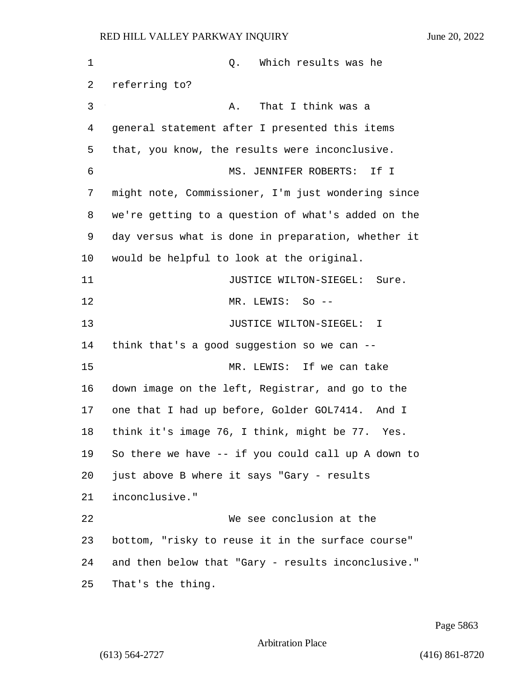1 and 1 Q. Which results was he referring to? 3 A. That I think was a general statement after I presented this items that, you know, the results were inconclusive. 6 MS. JENNIFER ROBERTS: If I might note, Commissioner, I'm just wondering since we're getting to a question of what's added on the day versus what is done in preparation, whether it would be helpful to look at the original. **JUSTICE WILTON-SIEGEL:** Sure. 12 MR. LEWIS: So -- 13 JUSTICE WILTON-SIEGEL: I think that's a good suggestion so we can -- 15 MR. LEWIS: If we can take down image on the left, Registrar, and go to the one that I had up before, Golder GOL7414. And I think it's image 76, I think, might be 77. Yes. So there we have -- if you could call up A down to just above B where it says "Gary - results inconclusive." 22 We see conclusion at the bottom, "risky to reuse it in the surface course" and then below that "Gary - results inconclusive." That's the thing.

Page 5863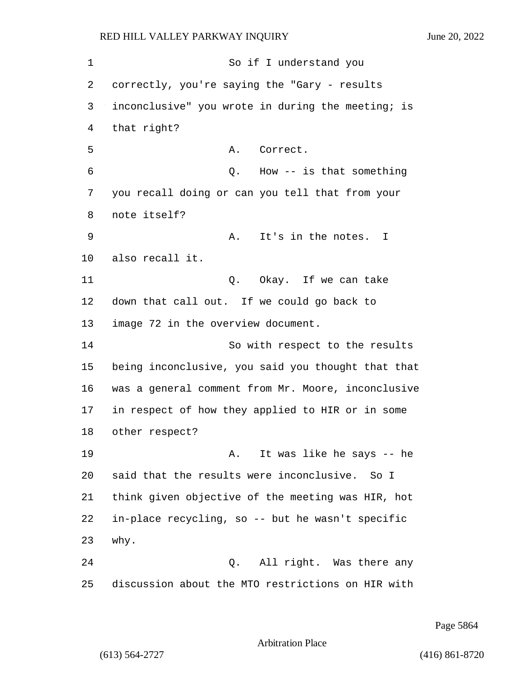1 So if I understand you correctly, you're saying the "Gary - results inconclusive" you wrote in during the meeting; is that right? 5 A. Correct. 6 Q. How -- is that something you recall doing or can you tell that from your note itself? 9 A. It's in the notes. I also recall it. 11 Q. Okay. If we can take down that call out. If we could go back to image 72 in the overview document. 14 So with respect to the results being inconclusive, you said you thought that that was a general comment from Mr. Moore, inconclusive in respect of how they applied to HIR or in some other respect? 19 A. It was like he says -- he said that the results were inconclusive. So I think given objective of the meeting was HIR, hot in-place recycling, so -- but he wasn't specific 23 why. 24 Q. All right. Was there any discussion about the MTO restrictions on HIR with

Page 5864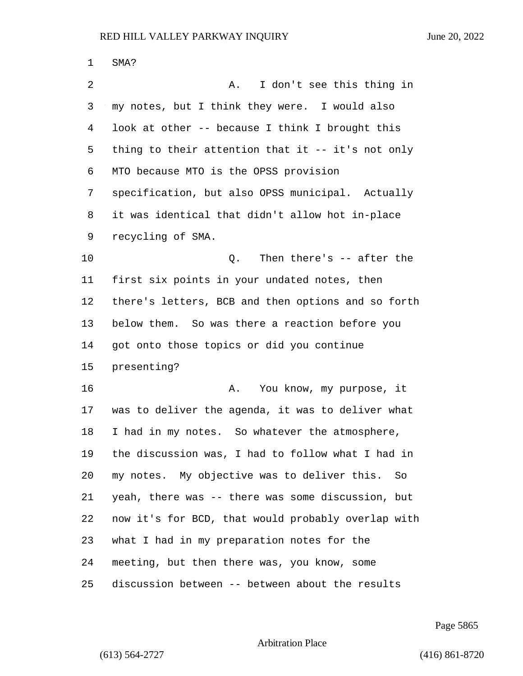| 1  | SMA?                                                 |
|----|------------------------------------------------------|
| 2  | I don't see this thing in<br>Α.                      |
| 3  | my notes, but I think they were. I would also        |
| 4  | look at other -- because I think I brought this      |
| 5  | thing to their attention that it $-$ - it's not only |
| 6  | MTO because MTO is the OPSS provision                |
| 7  | specification, but also OPSS municipal. Actually     |
| 8  | it was identical that didn't allow hot in-place      |
| 9  | recycling of SMA.                                    |
| 10 | Q. Then there's -- after the                         |
| 11 | first six points in your undated notes, then         |
| 12 | there's letters, BCB and then options and so forth   |
| 13 | below them. So was there a reaction before you       |
| 14 | got onto those topics or did you continue            |
| 15 | presenting?                                          |
| 16 | You know, my purpose, it<br>Α.                       |
| 17 | was to deliver the agenda, it was to deliver what    |
| 18 | I had in my notes. So whatever the atmosphere,       |
| 19 | the discussion was, I had to follow what I had in    |
| 20 | my notes. My objective was to deliver this.<br>So    |
| 21 | yeah, there was -- there was some discussion, but    |
| 22 | now it's for BCD, that would probably overlap with   |
| 23 | what I had in my preparation notes for the           |
| 24 | meeting, but then there was, you know, some          |
| 25 | discussion between -- between about the results      |

Page 5865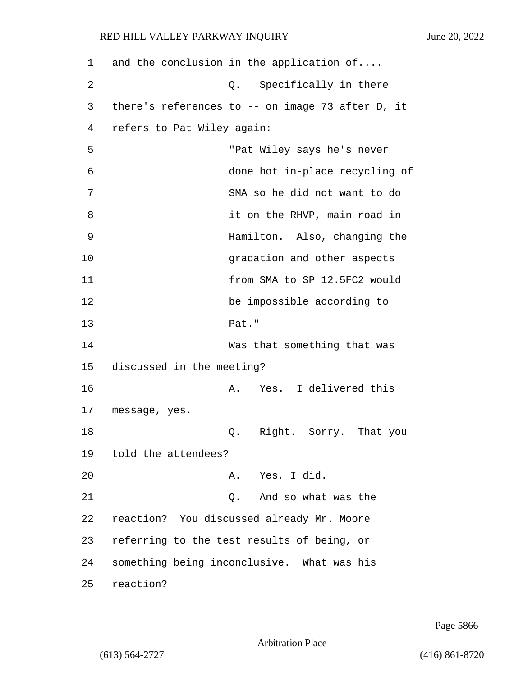| 1  | and the conclusion in the application of   |                                                  |
|----|--------------------------------------------|--------------------------------------------------|
| 2  | Q.                                         | Specifically in there                            |
| 3  |                                            | there's references to -- on image 73 after D, it |
| 4  | refers to Pat Wiley again:                 |                                                  |
| 5  |                                            | "Pat Wiley says he's never                       |
| 6  |                                            | done hot in-place recycling of                   |
| 7  |                                            | SMA so he did not want to do                     |
| 8  |                                            | it on the RHVP, main road in                     |
| 9  |                                            | Hamilton. Also, changing the                     |
| 10 |                                            | gradation and other aspects                      |
| 11 |                                            | from SMA to SP 12.5FC2 would                     |
| 12 |                                            | be impossible according to                       |
| 13 | Pat."                                      |                                                  |
| 14 |                                            | Was that something that was                      |
| 15 | discussed in the meeting?                  |                                                  |
| 16 | А.                                         | Yes. I delivered this                            |
| 17 | message, yes.                              |                                                  |
| 18 | Q.                                         | Right. Sorry. That you                           |
| 19 | told the attendees?                        |                                                  |
| 20 |                                            | A. Yes, I did.                                   |
| 21 | Ο.                                         | And so what was the                              |
| 22 | reaction? You discussed already Mr. Moore  |                                                  |
| 23 | referring to the test results of being, or |                                                  |
| 24 | something being inconclusive. What was his |                                                  |
| 25 | reaction?                                  |                                                  |

Page 5866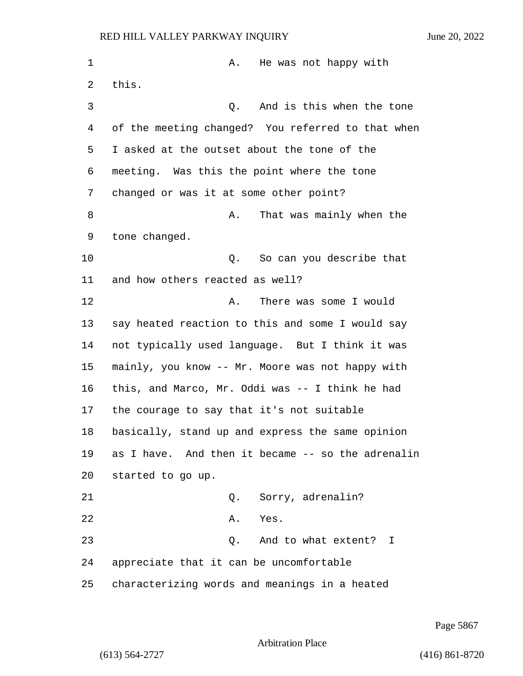1 A. He was not happy with 2 this. 3 Q. And is this when the tone of the meeting changed? You referred to that when I asked at the outset about the tone of the meeting. Was this the point where the tone changed or was it at some other point? 8 A. That was mainly when the tone changed. 10 Q. So can you describe that and how others reacted as well? 12 A. There was some I would say heated reaction to this and some I would say not typically used language. But I think it was mainly, you know -- Mr. Moore was not happy with this, and Marco, Mr. Oddi was -- I think he had the courage to say that it's not suitable basically, stand up and express the same opinion as I have. And then it became -- so the adrenalin started to go up. 21 Q. Sorry, adrenalin? 22 A. Yes. 23 Q. And to what extent? I appreciate that it can be uncomfortable characterizing words and meanings in a heated

Page 5867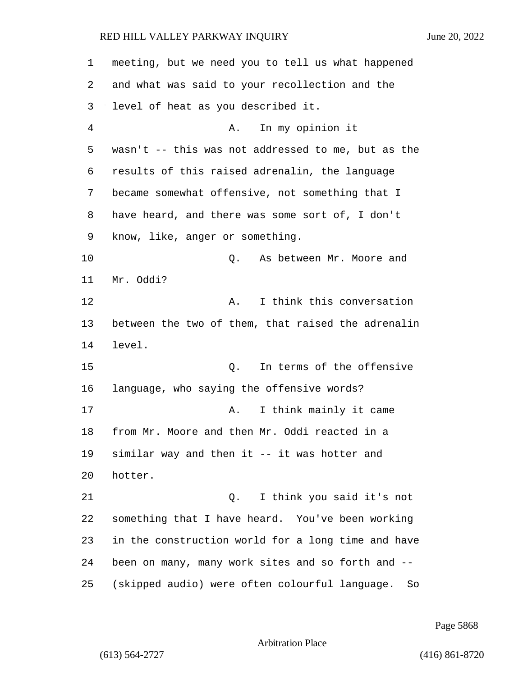meeting, but we need you to tell us what happened and what was said to your recollection and the level of heat as you described it. 4 A. In my opinion it wasn't -- this was not addressed to me, but as the results of this raised adrenalin, the language became somewhat offensive, not something that I have heard, and there was some sort of, I don't know, like, anger or something. 10 Q. As between Mr. Moore and Mr. Oddi? 12 A. I think this conversation between the two of them, that raised the adrenalin level. 15 Q. In terms of the offensive language, who saying the offensive words? 17 and think mainly it came from Mr. Moore and then Mr. Oddi reacted in a similar way and then it -- it was hotter and hotter. 21 Q. I think you said it's not something that I have heard. You've been working in the construction world for a long time and have been on many, many work sites and so forth and -- (skipped audio) were often colourful language. So

Page 5868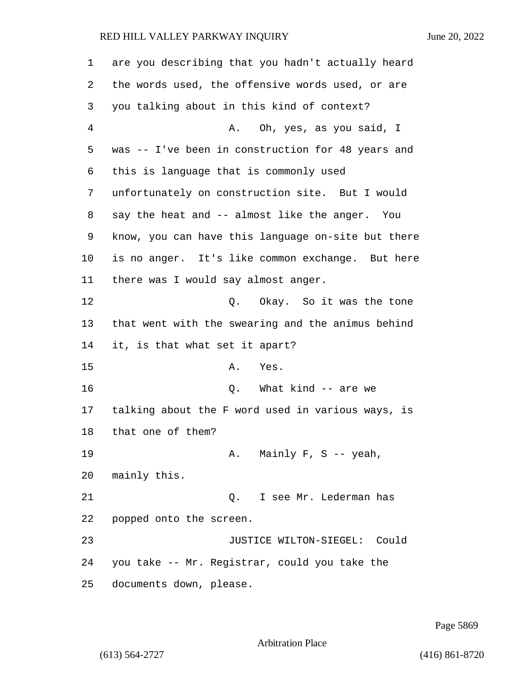are you describing that you hadn't actually heard the words used, the offensive words used, or are you talking about in this kind of context? 4 A. Oh, yes, as you said, I was -- I've been in construction for 48 years and this is language that is commonly used unfortunately on construction site. But I would say the heat and -- almost like the anger. You know, you can have this language on-site but there is no anger. It's like common exchange. But here there was I would say almost anger. 12 C. Okay. So it was the tone that went with the swearing and the animus behind it, is that what set it apart? 15 A. Yes. 16 Q. What kind -- are we talking about the F word used in various ways, is that one of them? 19 A. Mainly F, S -- yeah, mainly this. 21 Q. I see Mr. Lederman has popped onto the screen. 23 JUSTICE WILTON-SIEGEL: Could you take -- Mr. Registrar, could you take the documents down, please.

Page 5869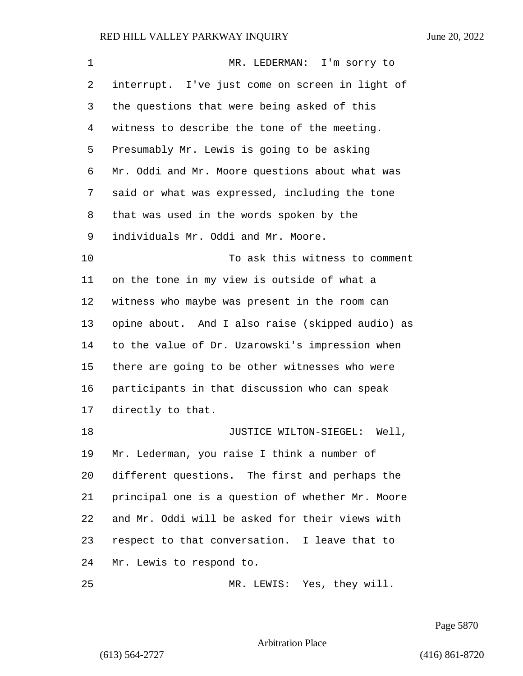| $\mathbf 1$ | MR. LEDERMAN: I'm sorry to                       |
|-------------|--------------------------------------------------|
| 2           | interrupt. I've just come on screen in light of  |
| 3           | the questions that were being asked of this      |
| 4           | witness to describe the tone of the meeting.     |
| 5           | Presumably Mr. Lewis is going to be asking       |
| 6           | Mr. Oddi and Mr. Moore questions about what was  |
| 7           | said or what was expressed, including the tone   |
| 8           | that was used in the words spoken by the         |
| 9           | individuals Mr. Oddi and Mr. Moore.              |
| 10          | To ask this witness to comment                   |
| 11          | on the tone in my view is outside of what a      |
| 12          | witness who maybe was present in the room can    |
| 13          | opine about. And I also raise (skipped audio) as |
| 14          | to the value of Dr. Uzarowski's impression when  |
| 15          | there are going to be other witnesses who were   |
| 16          | participants in that discussion who can speak    |
| 17          | directly to that.                                |
| 18          | JUSTICE WILTON-SIEGEL:<br>Well,                  |
| 19          | Mr. Lederman, you raise I think a number of      |
| 20          | different questions. The first and perhaps the   |
| 21          | principal one is a question of whether Mr. Moore |
| 22          | and Mr. Oddi will be asked for their views with  |
| 23          | respect to that conversation. I leave that to    |
| 24          | Mr. Lewis to respond to.                         |
| 25          | MR. LEWIS: Yes, they will.                       |

Page 5870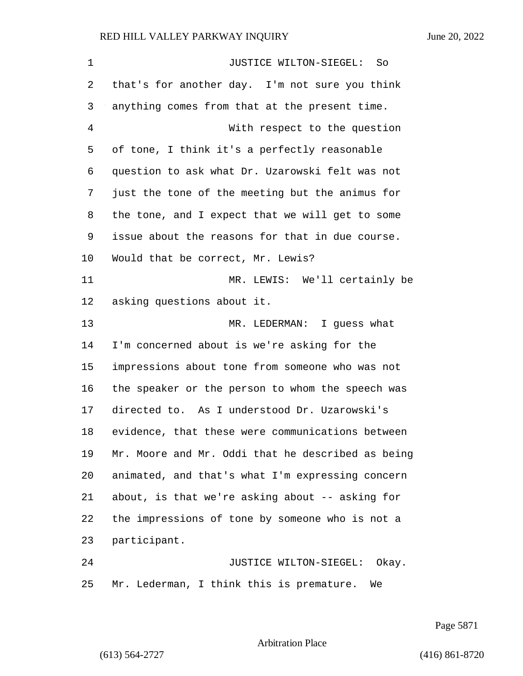| 1  | JUSTICE WILTON-SIEGEL:<br>So                      |
|----|---------------------------------------------------|
| 2  | that's for another day. I'm not sure you think    |
| 3  | anything comes from that at the present time.     |
| 4  | With respect to the question                      |
| 5  | of tone, I think it's a perfectly reasonable      |
| 6  | question to ask what Dr. Uzarowski felt was not   |
| 7  | just the tone of the meeting but the animus for   |
| 8  | the tone, and I expect that we will get to some   |
| 9  | issue about the reasons for that in due course.   |
| 10 | Would that be correct, Mr. Lewis?                 |
| 11 | MR. LEWIS: We'll certainly be                     |
| 12 | asking questions about it.                        |
| 13 | MR. LEDERMAN:<br>I guess what                     |
| 14 | I'm concerned about is we're asking for the       |
| 15 | impressions about tone from someone who was not   |
| 16 | the speaker or the person to whom the speech was  |
| 17 | directed to. As I understood Dr. Uzarowski's      |
| 18 | evidence, that these were communications between  |
| 19 | Mr. Moore and Mr. Oddi that he described as being |
| 20 | animated, and that's what I'm expressing concern  |
| 21 | about, is that we're asking about -- asking for   |
| 22 | the impressions of tone by someone who is not a   |
| 23 | participant.                                      |
| 24 | JUSTICE WILTON-SIEGEL: Okay.                      |
| 25 | Mr. Lederman, I think this is premature.<br>We    |

Page 5871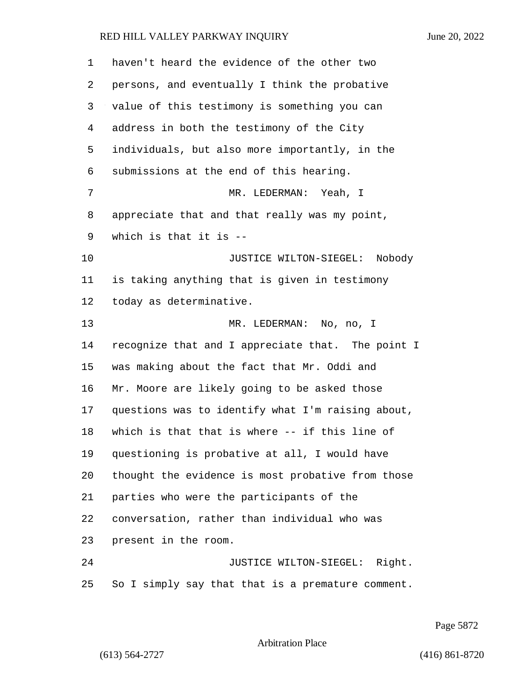| 1  | haven't heard the evidence of the other two       |
|----|---------------------------------------------------|
| 2  | persons, and eventually I think the probative     |
| 3  | value of this testimony is something you can      |
| 4  | address in both the testimony of the City         |
| 5  | individuals, but also more importantly, in the    |
| 6  | submissions at the end of this hearing.           |
| 7  | MR. LEDERMAN: Yeah, I                             |
| 8  | appreciate that and that really was my point,     |
| 9  | which is that it is $-$ -                         |
| 10 | JUSTICE WILTON-SIEGEL: Nobody                     |
| 11 | is taking anything that is given in testimony     |
| 12 | today as determinative.                           |
| 13 | MR. LEDERMAN: No, no, I                           |
| 14 | recognize that and I appreciate that. The point I |
| 15 | was making about the fact that Mr. Oddi and       |
| 16 | Mr. Moore are likely going to be asked those      |
| 17 | questions was to identify what I'm raising about, |
| 18 | which is that that is where -- if this line of    |
| 19 | questioning is probative at all, I would have     |
| 20 | thought the evidence is most probative from those |
| 21 | parties who were the participants of the          |
| 22 | conversation, rather than individual who was      |
| 23 | present in the room.                              |
| 24 | JUSTICE WILTON-SIEGEL: Right.                     |
| 25 | So I simply say that that is a premature comment. |

Page 5872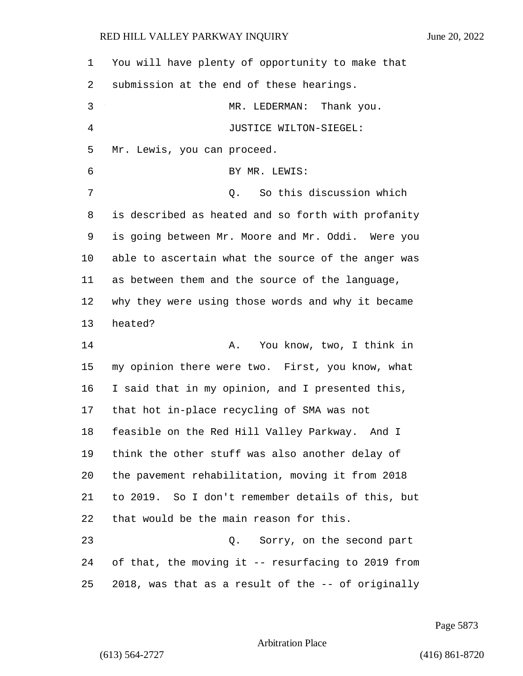| 1  | You will have plenty of opportunity to make that   |
|----|----------------------------------------------------|
| 2  | submission at the end of these hearings.           |
| 3  | MR. LEDERMAN:<br>Thank you.                        |
| 4  | JUSTICE WILTON-SIEGEL:                             |
| 5  | Mr. Lewis, you can proceed.                        |
| 6  | BY MR. LEWIS:                                      |
| 7  | So this discussion which<br>Q.                     |
| 8  | is described as heated and so forth with profanity |
| 9  | is going between Mr. Moore and Mr. Oddi. Were you  |
| 10 | able to ascertain what the source of the anger was |
| 11 | as between them and the source of the language,    |
| 12 | why they were using those words and why it became  |
| 13 | heated?                                            |
| 14 | You know, two, I think in<br>Α.                    |
| 15 | my opinion there were two. First, you know, what   |
| 16 | I said that in my opinion, and I presented this,   |
| 17 | that hot in-place recycling of SMA was not         |
| 18 | feasible on the Red Hill Valley Parkway. And I     |
| 19 | think the other stuff was also another delay of    |
| 20 | the pavement rehabilitation, moving it from 2018   |
| 21 | to 2019. So I don't remember details of this, but  |
| 22 | that would be the main reason for this.            |
| 23 | Q. Sorry, on the second part                       |
|    |                                                    |
| 24 | of that, the moving it -- resurfacing to 2019 from |

Page 5873

Arbitration Place

(613) 564-2727 (416) 861-8720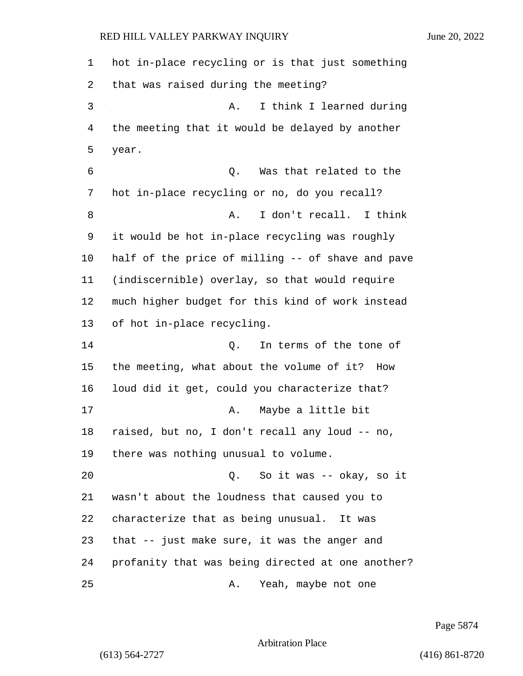hot in-place recycling or is that just something that was raised during the meeting? 3 A. I think I learned during the meeting that it would be delayed by another year. 6 Q. Was that related to the hot in-place recycling or no, do you recall? 8 A. I don't recall. I think it would be hot in-place recycling was roughly half of the price of milling -- of shave and pave (indiscernible) overlay, so that would require much higher budget for this kind of work instead of hot in-place recycling. 14 Q. In terms of the tone of the meeting, what about the volume of it? How loud did it get, could you characterize that? 17 A. Maybe a little bit raised, but no, I don't recall any loud -- no, there was nothing unusual to volume. 20 Q. So it was -- okay, so it wasn't about the loudness that caused you to characterize that as being unusual. It was that -- just make sure, it was the anger and profanity that was being directed at one another? 25 A. Yeah, maybe not one

Page 5874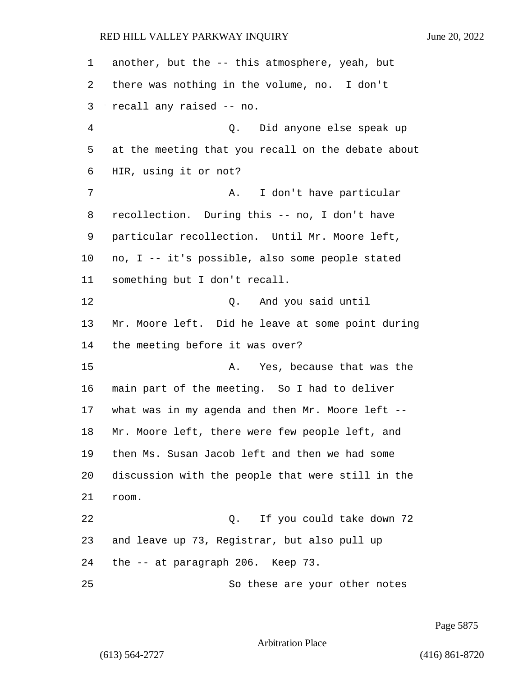another, but the -- this atmosphere, yeah, but there was nothing in the volume, no. I don't recall any raised -- no. 4 Q. Did anyone else speak up at the meeting that you recall on the debate about HIR, using it or not? 7 A. I don't have particular recollection. During this -- no, I don't have particular recollection. Until Mr. Moore left, no, I -- it's possible, also some people stated something but I don't recall. 12 O. And you said until Mr. Moore left. Did he leave at some point during the meeting before it was over? 15 A. Yes, because that was the main part of the meeting. So I had to deliver what was in my agenda and then Mr. Moore left -- Mr. Moore left, there were few people left, and then Ms. Susan Jacob left and then we had some discussion with the people that were still in the room. 22 Q. If you could take down 72 and leave up 73, Registrar, but also pull up the -- at paragraph 206. Keep 73. 25 So these are your other notes

Page 5875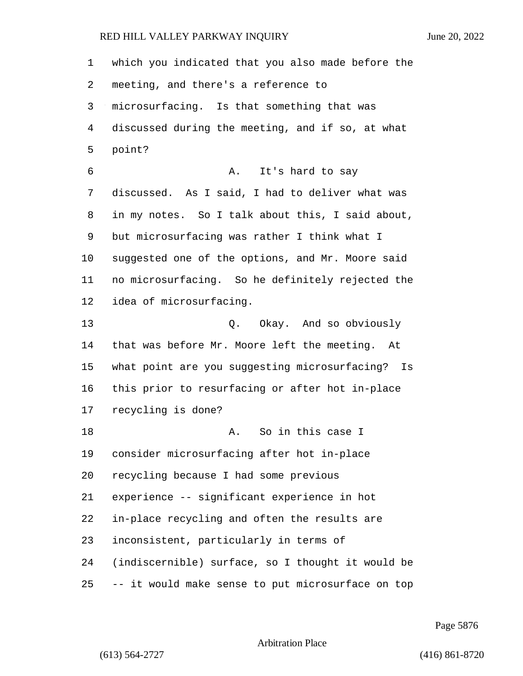which you indicated that you also made before the meeting, and there's a reference to microsurfacing. Is that something that was discussed during the meeting, and if so, at what point? 6 A. It's hard to say discussed. As I said, I had to deliver what was in my notes. So I talk about this, I said about, but microsurfacing was rather I think what I suggested one of the options, and Mr. Moore said no microsurfacing. So he definitely rejected the idea of microsurfacing. 13 Q. Okay. And so obviously that was before Mr. Moore left the meeting. At what point are you suggesting microsurfacing? Is this prior to resurfacing or after hot in-place recycling is done? 18 A. So in this case I consider microsurfacing after hot in-place recycling because I had some previous experience -- significant experience in hot in-place recycling and often the results are inconsistent, particularly in terms of (indiscernible) surface, so I thought it would be -- it would make sense to put microsurface on top

Page 5876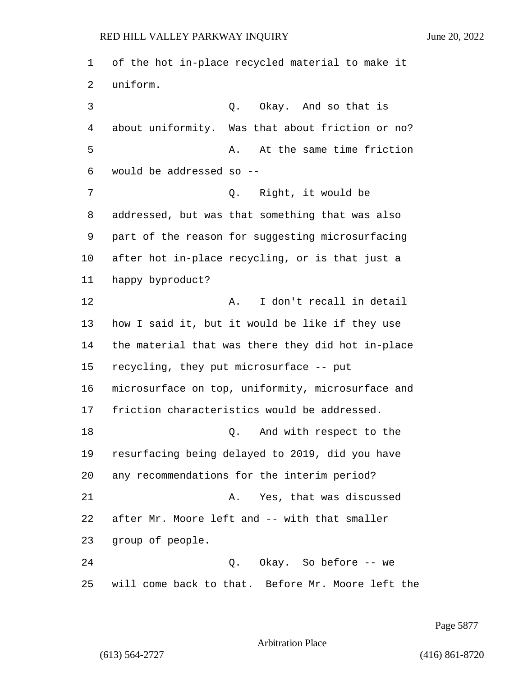of the hot in-place recycled material to make it uniform. 3 Q. Okay. And so that is about uniformity. Was that about friction or no? 5 A. At the same time friction would be addressed so -- 7 Q. Right, it would be addressed, but was that something that was also part of the reason for suggesting microsurfacing after hot in-place recycling, or is that just a happy byproduct? 12 A. I don't recall in detail how I said it, but it would be like if they use the material that was there they did hot in-place recycling, they put microsurface -- put microsurface on top, uniformity, microsurface and friction characteristics would be addressed. 18 Q. And with respect to the resurfacing being delayed to 2019, did you have any recommendations for the interim period? 21 A. Yes, that was discussed after Mr. Moore left and -- with that smaller group of people. 24 Q. Okay. So before -- we will come back to that. Before Mr. Moore left the

Page 5877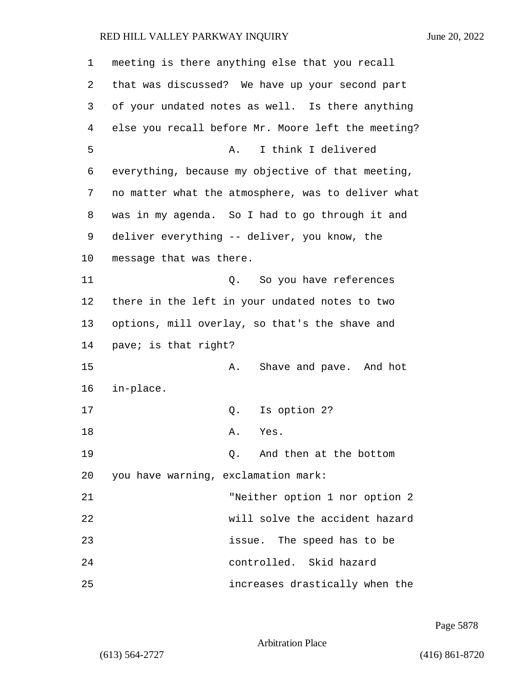| 1  | meeting is there anything else that you recall     |
|----|----------------------------------------------------|
| 2  | that was discussed? We have up your second part    |
| 3  | of your undated notes as well. Is there anything   |
| 4  | else you recall before Mr. Moore left the meeting? |
| 5  | I think I delivered<br>Α.                          |
| 6  | everything, because my objective of that meeting,  |
| 7  | no matter what the atmosphere, was to deliver what |
| 8  | was in my agenda. So I had to go through it and    |
| 9  | deliver everything -- deliver, you know, the       |
| 10 | message that was there.                            |
| 11 | So you have references<br>Q.                       |
| 12 | there in the left in your undated notes to two     |
| 13 | options, mill overlay, so that's the shave and     |
| 14 | pave; is that right?                               |
| 15 | Shave and pave. And hot<br>Α.                      |
| 16 | in-place.                                          |
| 17 | Is option 2?<br>Q.                                 |
| 18 | Α.<br>Yes.                                         |
| 19 | And then at the bottom<br>О.                       |
| 20 | you have warning, exclamation mark:                |
| 21 | "Neither option 1 nor option 2                     |
| 22 | will solve the accident hazard                     |
| 23 | issue. The speed has to be                         |
| 24 | controlled. Skid hazard                            |
| 25 | increases drastically when the                     |

Page 5878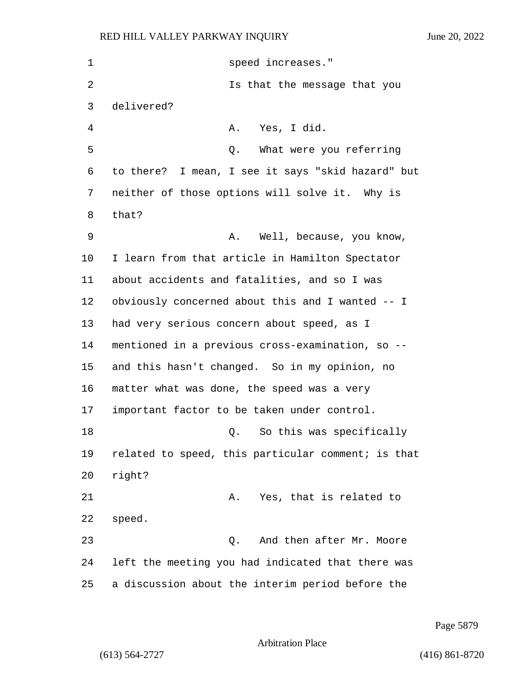| 1  | speed increases."                                  |
|----|----------------------------------------------------|
| 2  | Is that the message that you                       |
| 3  | delivered?                                         |
| 4  | Yes, I did.<br>Α.                                  |
| 5  | What were you referring<br>Q.                      |
| 6  | to there? I mean, I see it says "skid hazard" but  |
| 7  | neither of those options will solve it. Why is     |
| 8  | that?                                              |
| 9  | Well, because, you know,<br>Α.                     |
| 10 | I learn from that article in Hamilton Spectator    |
| 11 | about accidents and fatalities, and so I was       |
| 12 | obviously concerned about this and I wanted -- I   |
| 13 | had very serious concern about speed, as I         |
| 14 | mentioned in a previous cross-examination, so --   |
| 15 | and this hasn't changed. So in my opinion, no      |
| 16 | matter what was done, the speed was a very         |
| 17 | important factor to be taken under control.        |
| 18 | Q. So this was specifically                        |
| 19 | related to speed, this particular comment; is that |
| 20 | right?                                             |
| 21 | Yes, that is related to<br>Α.                      |
| 22 | speed.                                             |
| 23 | And then after Mr. Moore<br>Q.                     |
| 24 | left the meeting you had indicated that there was  |
| 25 | a discussion about the interim period before the   |

Page 5879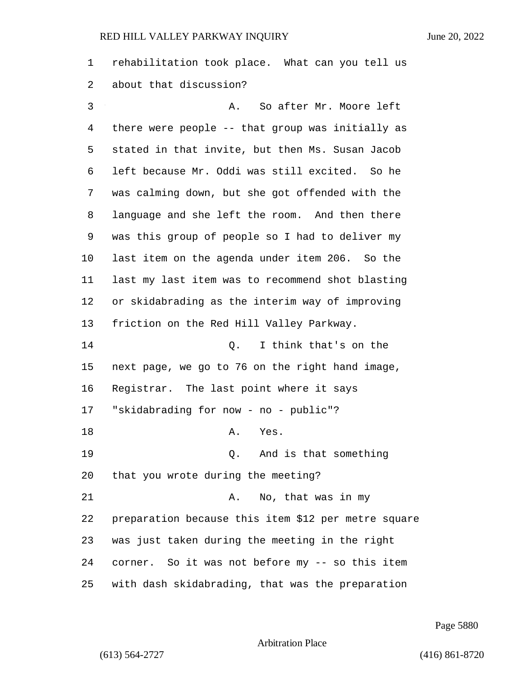rehabilitation took place. What can you tell us about that discussion?

3 A. So after Mr. Moore left there were people -- that group was initially as stated in that invite, but then Ms. Susan Jacob left because Mr. Oddi was still excited. So he was calming down, but she got offended with the language and she left the room. And then there was this group of people so I had to deliver my last item on the agenda under item 206. So the last my last item was to recommend shot blasting or skidabrading as the interim way of improving friction on the Red Hill Valley Parkway. 14 Q. I think that's on the next page, we go to 76 on the right hand image, Registrar. The last point where it says "skidabrading for now - no - public"? 18 A. Yes. 19 Q. And is that something that you wrote during the meeting? 21 A. No, that was in my preparation because this item \$12 per metre square was just taken during the meeting in the right corner. So it was not before my -- so this item with dash skidabrading, that was the preparation

Page 5880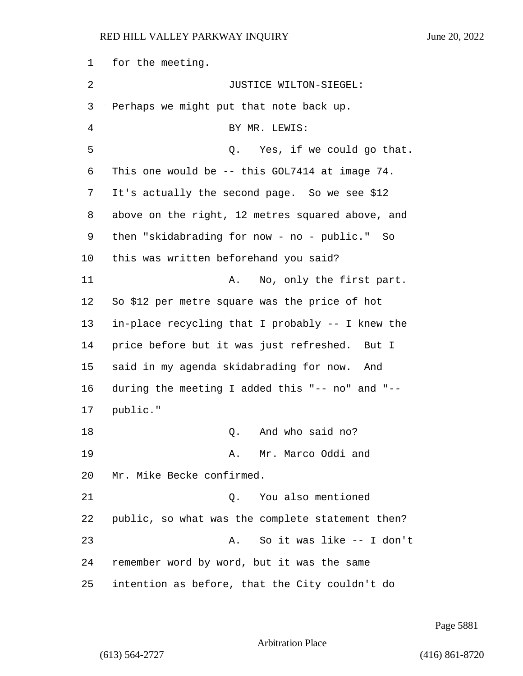for the meeting. 2 JUSTICE WILTON-SIEGEL: Perhaps we might put that note back up. 4 BY MR. LEWIS: 5 Q. Yes, if we could go that. This one would be -- this GOL7414 at image 74. It's actually the second page. So we see \$12 above on the right, 12 metres squared above, and then "skidabrading for now - no - public." So this was written beforehand you said? 11 A. No, only the first part. So \$12 per metre square was the price of hot in-place recycling that I probably -- I knew the price before but it was just refreshed. But I said in my agenda skidabrading for now. And during the meeting I added this "-- no" and "-- 17 public." 18 C. And who said no? 19 A. Mr. Marco Oddi and Mr. Mike Becke confirmed. 21 Q. You also mentioned public, so what was the complete statement then? 23 A. So it was like -- I don't remember word by word, but it was the same intention as before, that the City couldn't do

Page 5881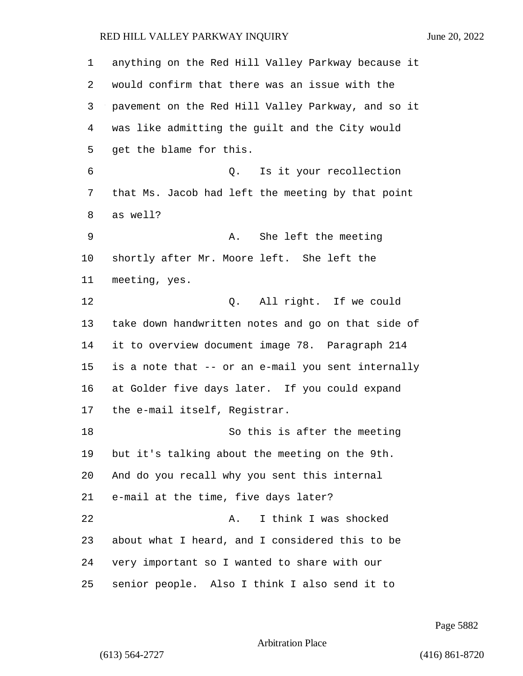| 1  | anything on the Red Hill Valley Parkway because it |
|----|----------------------------------------------------|
| 2  | would confirm that there was an issue with the     |
| 3  | pavement on the Red Hill Valley Parkway, and so it |
| 4  | was like admitting the guilt and the City would    |
| 5  | get the blame for this.                            |
| 6  | Is it your recollection<br>Q.                      |
| 7  | that Ms. Jacob had left the meeting by that point  |
| 8  | as well?                                           |
| 9  | She left the meeting<br>Α.                         |
| 10 | shortly after Mr. Moore left. She left the         |
| 11 | meeting, yes.                                      |
| 12 | All right. If we could<br>Q.                       |
| 13 | take down handwritten notes and go on that side of |
| 14 | it to overview document image 78. Paragraph 214    |
| 15 | is a note that -- or an e-mail you sent internally |
| 16 | at Golder five days later. If you could expand     |
| 17 | the e-mail itself, Registrar.                      |
| 18 | So this is after the meeting                       |
| 19 | but it's talking about the meeting on the 9th.     |
| 20 | And do you recall why you sent this internal       |
| 21 | e-mail at the time, five days later?               |
| 22 | I think I was shocked<br>Α.                        |
| 23 | about what I heard, and I considered this to be    |
| 24 | very important so I wanted to share with our       |
| 25 | senior people. Also I think I also send it to      |

Page 5882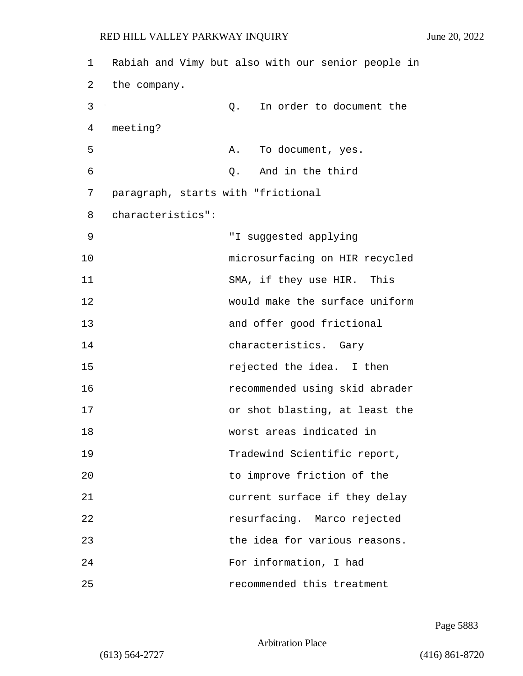1 Rabiah and Vimy but also with our senior people in 2 the company. 3 Q. In order to document the 4 meeting? 5 A. To document, yes. 6 Q. And in the third 7 paragraph, starts with "frictional 8 characteristics": 9 "I suggested applying 10 microsurfacing on HIR recycled 11 SMA, if they use HIR. This 12 would make the surface uniform 13 and offer good frictional 14 characteristics. Gary 15 rejected the idea. I then 16 recommended using skid abrader 17 or shot blasting, at least the 18 worst areas indicated in 19 Tradewind Scientific report, 20 to improve friction of the 21 current surface if they delay 22 resurfacing. Marco rejected 23 the idea for various reasons. 24 For information, I had 25 recommended this treatment

Page 5883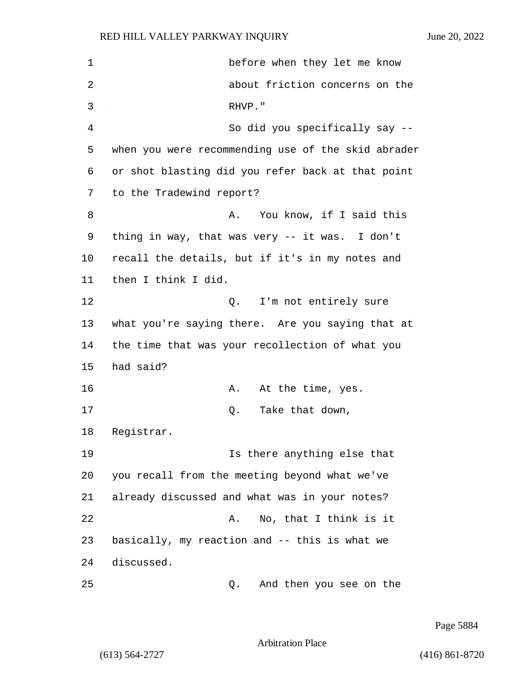| 1  | before when they let me know                       |
|----|----------------------------------------------------|
| 2  | about friction concerns on the                     |
| 3  | RHVP."                                             |
| 4  | So did you specifically say --                     |
| 5  | when you were recommending use of the skid abrader |
| 6  | or shot blasting did you refer back at that point  |
| 7  | to the Tradewind report?                           |
| 8  | You know, if I said this<br>Α.                     |
| 9  | thing in way, that was very -- it was. I don't     |
| 10 | recall the details, but if it's in my notes and    |
| 11 | then I think I did.                                |
| 12 | I'm not entirely sure<br>Q.                        |
| 13 | what you're saying there. Are you saying that at   |
| 14 | the time that was your recollection of what you    |
| 15 | had said?                                          |
| 16 | At the time, yes.<br>Α.                            |
| 17 | Take that down,<br>Q.                              |
| 18 | Registrar.                                         |
| 19 | Is there anything else that                        |
| 20 | you recall from the meeting beyond what we've      |
| 21 | already discussed and what was in your notes?      |
| 22 | No, that I think is it<br>Α.                       |
| 23 | basically, my reaction and -- this is what we      |
| 24 | discussed.                                         |
| 25 | And then you see on the<br>Q.                      |

Page 5884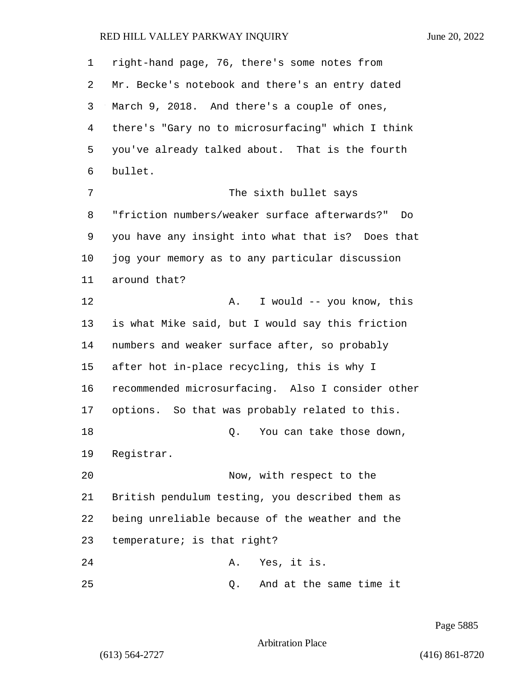right-hand page, 76, there's some notes from Mr. Becke's notebook and there's an entry dated March 9, 2018. And there's a couple of ones, there's "Gary no to microsurfacing" which I think you've already talked about. That is the fourth bullet. 7 The sixth bullet says "friction numbers/weaker surface afterwards?" Do you have any insight into what that is? Does that jog your memory as to any particular discussion around that? 12 A. I would -- you know, this is what Mike said, but I would say this friction numbers and weaker surface after, so probably after hot in-place recycling, this is why I recommended microsurfacing. Also I consider other options. So that was probably related to this. 18 and 18 Q. You can take those down, Registrar. 20 Now, with respect to the British pendulum testing, you described them as being unreliable because of the weather and the temperature; is that right? 24 A. Yes, it is. 25 Q. And at the same time it

Page 5885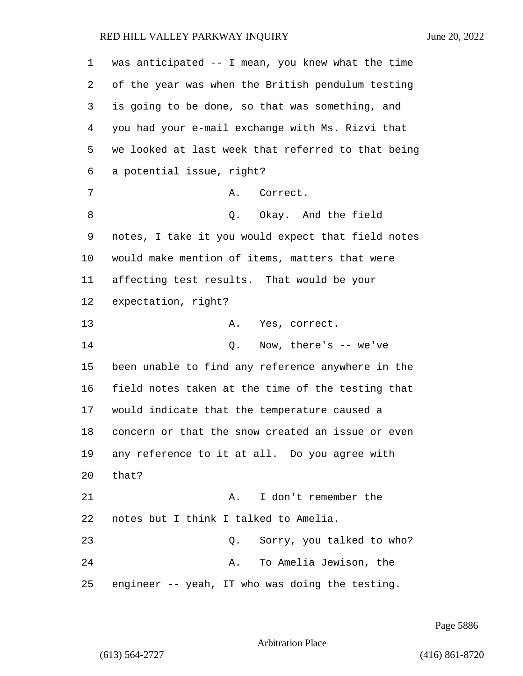| 1       | was anticipated -- I mean, you knew what the time  |
|---------|----------------------------------------------------|
| 2       | of the year was when the British pendulum testing  |
| 3       | is going to be done, so that was something, and    |
| 4       | you had your e-mail exchange with Ms. Rizvi that   |
| 5       | we looked at last week that referred to that being |
| 6       | a potential issue, right?                          |
| 7       | Correct.<br>Α.                                     |
| 8       | Q. Okay. And the field                             |
| 9       | notes, I take it you would expect that field notes |
| $10 \,$ | would make mention of items, matters that were     |
| 11      | affecting test results. That would be your         |
| 12      | expectation, right?                                |
| 13      | Yes, correct.<br>Α.                                |
| 14      | $Q.$ Now, there's $-$ we've                        |
| 15      | been unable to find any reference anywhere in the  |
| 16      | field notes taken at the time of the testing that  |
| 17      | would indicate that the temperature caused a       |
| 18      | concern or that the snow created an issue or even  |
| 19      | any reference to it at all. Do you agree with      |
| 20      | that?                                              |
| 21      | I don't remember the<br>Α.                         |
| 22      | notes but I think I talked to Amelia.              |
| 23      | Sorry, you talked to who?<br>Q.                    |
| 24      | To Amelia Jewison, the<br>Α.                       |
| 25      | engineer -- yeah, IT who was doing the testing.    |

Page 5886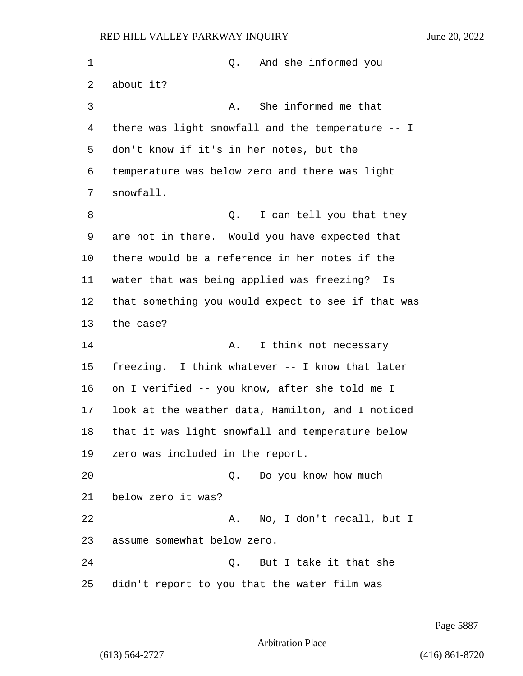1 Q. And she informed you about it? 3 A. She informed me that there was light snowfall and the temperature -- I don't know if it's in her notes, but the temperature was below zero and there was light snowfall. 8 and 1 Q. I can tell you that they are not in there. Would you have expected that there would be a reference in her notes if the water that was being applied was freezing? Is that something you would expect to see if that was the case? 14 A. I think not necessary freezing. I think whatever -- I know that later on I verified -- you know, after she told me I look at the weather data, Hamilton, and I noticed that it was light snowfall and temperature below zero was included in the report. 20 Q. Do you know how much below zero it was? 22 A. No, I don't recall, but I assume somewhat below zero. 24 Q. But I take it that she didn't report to you that the water film was

Page 5887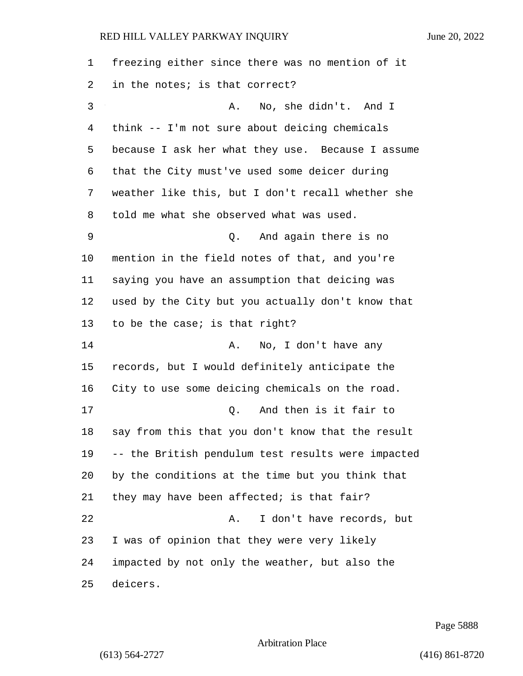| 1  | freezing either since there was no mention of it   |
|----|----------------------------------------------------|
| 2  | in the notes; is that correct?                     |
| 3  | No, she didn't. And I<br>Α.                        |
| 4  | think -- I'm not sure about deicing chemicals      |
| 5  | because I ask her what they use. Because I assume  |
| 6  | that the City must've used some deicer during      |
| 7  | weather like this, but I don't recall whether she  |
| 8  | told me what she observed what was used.           |
| 9  | And again there is no<br>О.                        |
| 10 | mention in the field notes of that, and you're     |
| 11 | saying you have an assumption that deicing was     |
| 12 | used by the City but you actually don't know that  |
| 13 | to be the case; is that right?                     |
| 14 | No, I don't have any<br>Α.                         |
| 15 | records, but I would definitely anticipate the     |
| 16 | City to use some deicing chemicals on the road.    |
| 17 | And then is it fair to<br>Q.                       |
| 18 | say from this that you don't know that the result  |
| 19 | -- the British pendulum test results were impacted |
| 20 | by the conditions at the time but you think that   |
| 21 | they may have been affected; is that fair?         |
| 22 | I don't have records, but<br>Α.                    |
| 23 | I was of opinion that they were very likely        |
| 24 | impacted by not only the weather, but also the     |
| 25 | deicers.                                           |

Page 5888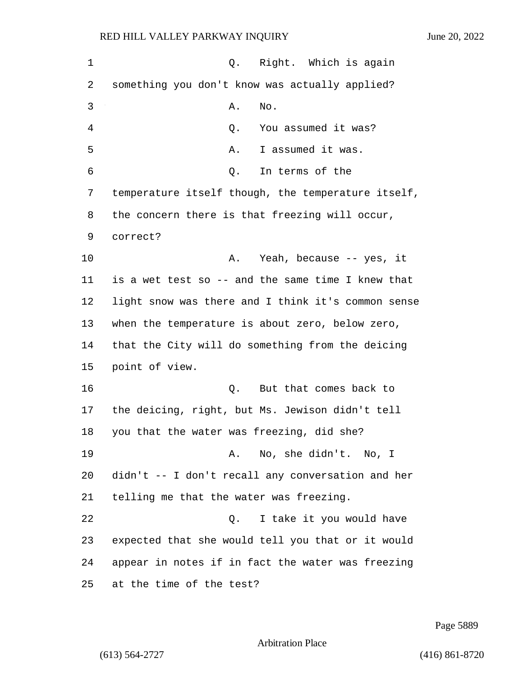| 1  | $Q$ .<br>Right. Which is again                     |
|----|----------------------------------------------------|
| 2  | something you don't know was actually applied?     |
| 3  | Α.<br>No.                                          |
| 4  | You assumed it was?<br>Q.                          |
| 5  | I assumed it was.<br>Α.                            |
| 6  | In terms of the<br>Q.                              |
| 7  | temperature itself though, the temperature itself, |
| 8  | the concern there is that freezing will occur,     |
| 9  | correct?                                           |
| 10 | Yeah, because -- yes, it<br>Α.                     |
| 11 | is a wet test so -- and the same time I knew that  |
| 12 | light snow was there and I think it's common sense |
| 13 | when the temperature is about zero, below zero,    |
| 14 | that the City will do something from the deicing   |
| 15 | point of view.                                     |
| 16 | Q.<br>But that comes back to                       |
| 17 | the deicing, right, but Ms. Jewison didn't tell    |
| 18 | you that the water was freezing, did she?          |
| 19 | A. No, she didn't. No, I                           |
| 20 | didn't -- I don't recall any conversation and her  |
| 21 | telling me that the water was freezing.            |
| 22 | I take it you would have<br>$Q$ .                  |
| 23 | expected that she would tell you that or it would  |
| 24 | appear in notes if in fact the water was freezing  |
| 25 | at the time of the test?                           |

Page 5889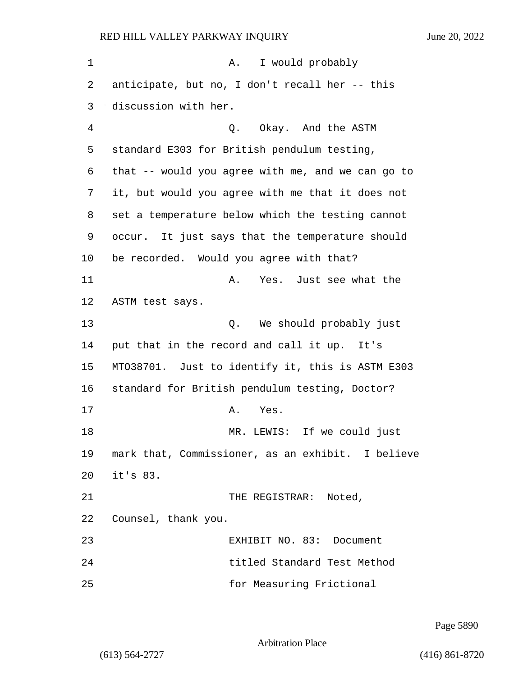| 1  | I would probably<br>Α.                            |
|----|---------------------------------------------------|
| 2  | anticipate, but no, I don't recall her -- this    |
| 3  | discussion with her.                              |
| 4  | Q. Okay. And the ASTM                             |
| 5  | standard E303 for British pendulum testing,       |
| 6  | that -- would you agree with me, and we can go to |
| 7  | it, but would you agree with me that it does not  |
| 8  | set a temperature below which the testing cannot  |
| 9  | occur. It just says that the temperature should   |
| 10 | be recorded. Would you agree with that?           |
| 11 | Yes. Just see what the<br>Α.                      |
| 12 | ASTM test says.                                   |
| 13 | We should probably just<br>Q.                     |
| 14 | put that in the record and call it up. It's       |
| 15 | MT038701. Just to identify it, this is ASTM E303  |
| 16 | standard for British pendulum testing, Doctor?    |
| 17 | Yes.<br>Α.                                        |
| 18 | LEWIS: If we could just<br>MR.                    |
| 19 | mark that, Commissioner, as an exhibit. I believe |
| 20 | it's 83.                                          |
| 21 | THE REGISTRAR: Noted,                             |
| 22 | Counsel, thank you.                               |
| 23 | EXHIBIT NO. 83: Document                          |
| 24 | titled Standard Test Method                       |
| 25 | for Measuring Frictional                          |

Page 5890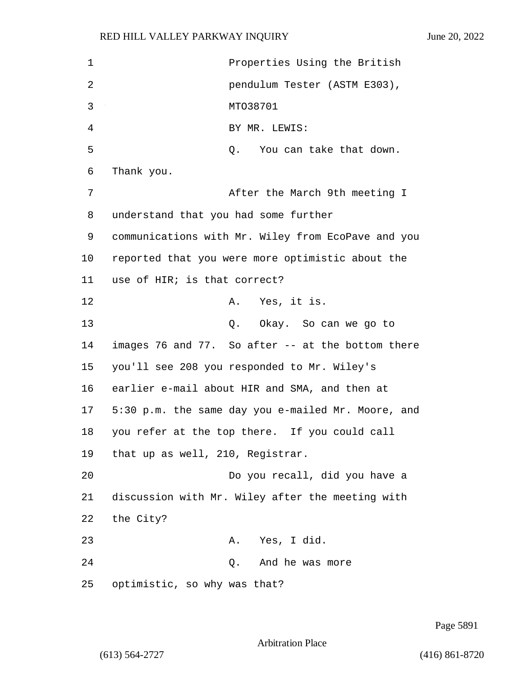1 Properties Using the British 2 pendulum Tester (ASTM E303), 3 MTO38701 4 BY MR. LEWIS: 5 0. You can take that down. 6 Thank you. 7 After the March 9th meeting I 8 understand that you had some further 9 communications with Mr. Wiley from EcoPave and you 10 reported that you were more optimistic about the 11 use of HIR; is that correct? 12 A. Yes, it is. 13 Q. Okay. So can we go to 14 images 76 and 77. So after -- at the bottom there 15 you'll see 208 you responded to Mr. Wiley's 16 earlier e-mail about HIR and SMA, and then at 17 5:30 p.m. the same day you e-mailed Mr. Moore, and 18 you refer at the top there. If you could call 19 that up as well, 210, Registrar. 20 Do you recall, did you have a 21 discussion with Mr. Wiley after the meeting with 22 the City? 23 A. Yes, I did. 24 Q. And he was more 25 optimistic, so why was that?

Page 5891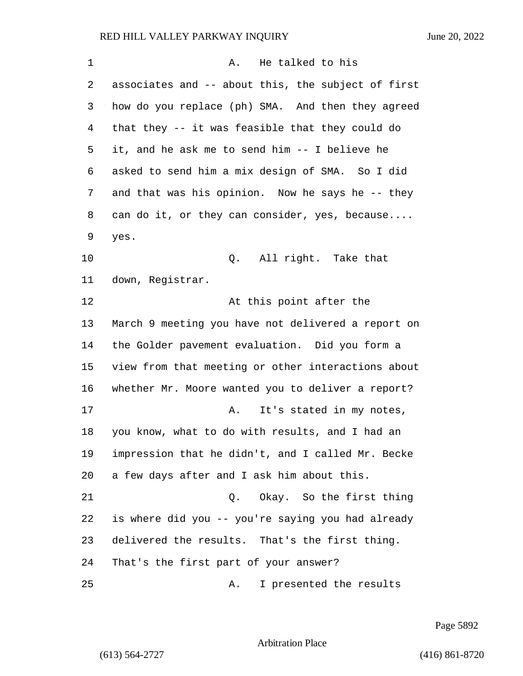| 1  | He talked to his<br>Α.                             |
|----|----------------------------------------------------|
| 2  | associates and -- about this, the subject of first |
| 3  | how do you replace (ph) SMA. And then they agreed  |
| 4  | that they -- it was feasible that they could do    |
| 5  | it, and he ask me to send him -- I believe he      |
| 6  | asked to send him a mix design of SMA. So I did    |
| 7  | and that was his opinion. Now he says he -- they   |
| 8  | can do it, or they can consider, yes, because      |
| 9  | yes.                                               |
| 10 | All right. Take that<br>Q.                         |
| 11 | down, Registrar.                                   |
| 12 | At this point after the                            |
| 13 | March 9 meeting you have not delivered a report on |
| 14 | the Golder pavement evaluation. Did you form a     |
| 15 | view from that meeting or other interactions about |
| 16 | whether Mr. Moore wanted you to deliver a report?  |
| 17 | It's stated in my notes,<br>Α.                     |
| 18 | you know, what to do with results, and I had an    |
| 19 | impression that he didn't, and I called Mr. Becke  |
| 20 | a few days after and I ask him about this.         |
| 21 | Okay. So the first thing<br>Q.                     |
| 22 | is where did you -- you're saying you had already  |
| 23 | delivered the results. That's the first thing.     |
| 24 | That's the first part of your answer?              |
| 25 | I presented the results<br>Α.                      |

Page 5892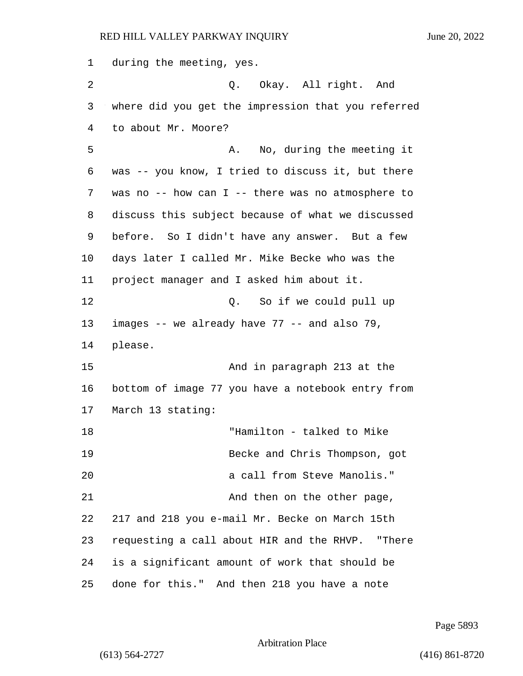during the meeting, yes. 2 Q. Okay. All right. And where did you get the impression that you referred to about Mr. Moore? 5 A. No, during the meeting it was -- you know, I tried to discuss it, but there was no -- how can I -- there was no atmosphere to discuss this subject because of what we discussed before. So I didn't have any answer. But a few days later I called Mr. Mike Becke who was the project manager and I asked him about it. 12 C. So if we could pull up images -- we already have 77 -- and also 79, 14 please. 15 And in paragraph 213 at the bottom of image 77 you have a notebook entry from March 13 stating: 18 "Hamilton - talked to Mike 19 Becke and Chris Thompson, got 20 a call from Steve Manolis." 21 And then on the other page, 217 and 218 you e-mail Mr. Becke on March 15th requesting a call about HIR and the RHVP. "There is a significant amount of work that should be done for this." And then 218 you have a note

Page 5893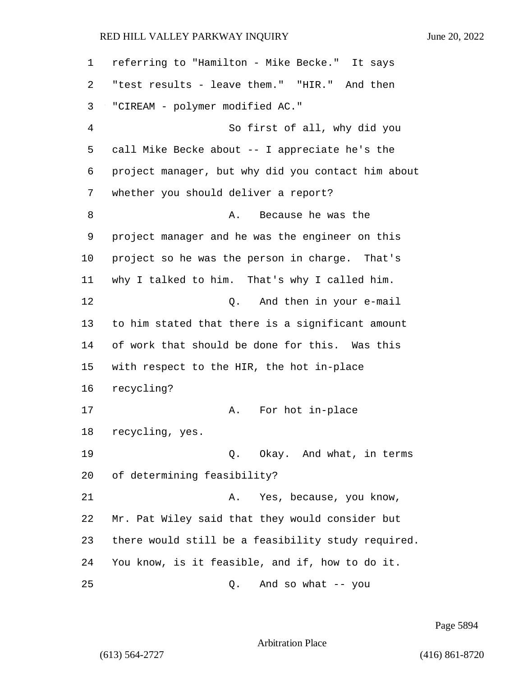| 1  | referring to "Hamilton - Mike Becke." It says      |
|----|----------------------------------------------------|
| 2  | "test results - leave them." "HIR." And then       |
| 3  | "CIREAM - polymer modified AC."                    |
| 4  | So first of all, why did you                       |
| 5  | call Mike Becke about -- I appreciate he's the     |
| 6  | project manager, but why did you contact him about |
| 7  | whether you should deliver a report?               |
| 8  | Because he was the<br>Α.                           |
| 9  | project manager and he was the engineer on this    |
| 10 | project so he was the person in charge. That's     |
| 11 | why I talked to him. That's why I called him.      |
| 12 | And then in your e-mail<br>Q.                      |
| 13 | to him stated that there is a significant amount   |
| 14 | of work that should be done for this. Was this     |
| 15 | with respect to the HIR, the hot in-place          |
| 16 | recycling?                                         |
| 17 | For hot in-place<br>Α.                             |
| 18 | recycling, yes.                                    |
| 19 | Okay. And what, in terms<br>Q.                     |
| 20 | of determining feasibility?                        |
| 21 | Yes, because, you know,<br>Α.                      |
| 22 | Mr. Pat Wiley said that they would consider but    |
| 23 | there would still be a feasibility study required. |
| 24 | You know, is it feasible, and if, how to do it.    |
| 25 | And so what $-$ you<br>Q.                          |

Page 5894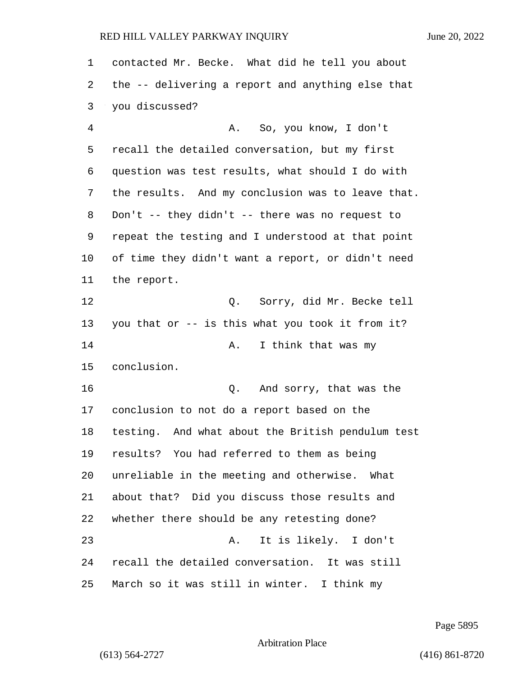contacted Mr. Becke. What did he tell you about the -- delivering a report and anything else that you discussed? 4 A. So, you know, I don't recall the detailed conversation, but my first question was test results, what should I do with the results. And my conclusion was to leave that. Don't -- they didn't -- there was no request to repeat the testing and I understood at that point of time they didn't want a report, or didn't need the report. 12 Q. Sorry, did Mr. Becke tell you that or -- is this what you took it from it? 14 A. I think that was my conclusion. 16 Q. And sorry, that was the conclusion to not do a report based on the testing. And what about the British pendulum test results? You had referred to them as being unreliable in the meeting and otherwise. What about that? Did you discuss those results and whether there should be any retesting done? 23 A. It is likely. I don't recall the detailed conversation. It was still March so it was still in winter. I think my

Page 5895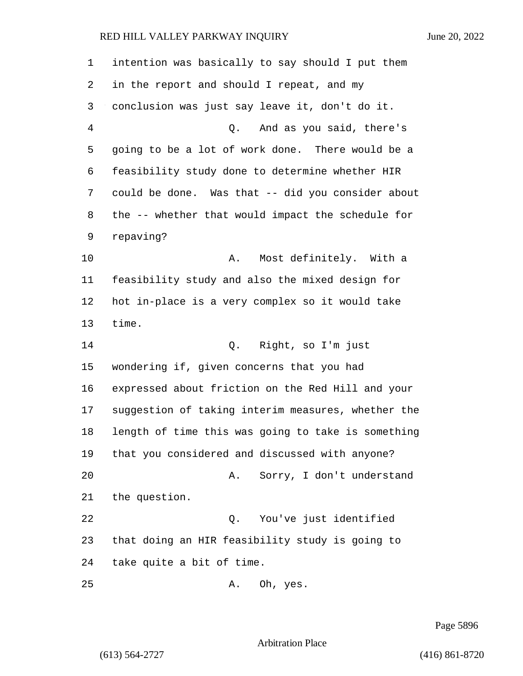intention was basically to say should I put them in the report and should I repeat, and my conclusion was just say leave it, don't do it. 4 Q. And as you said, there's going to be a lot of work done. There would be a feasibility study done to determine whether HIR could be done. Was that -- did you consider about the -- whether that would impact the schedule for repaving? 10 A. Most definitely. With a feasibility study and also the mixed design for hot in-place is a very complex so it would take time. 14 Q. Right, so I'm just wondering if, given concerns that you had expressed about friction on the Red Hill and your suggestion of taking interim measures, whether the length of time this was going to take is something that you considered and discussed with anyone? 20 A. Sorry, I don't understand the question. 22 Q. You've just identified that doing an HIR feasibility study is going to take quite a bit of time. 25 A. Oh, yes.

Page 5896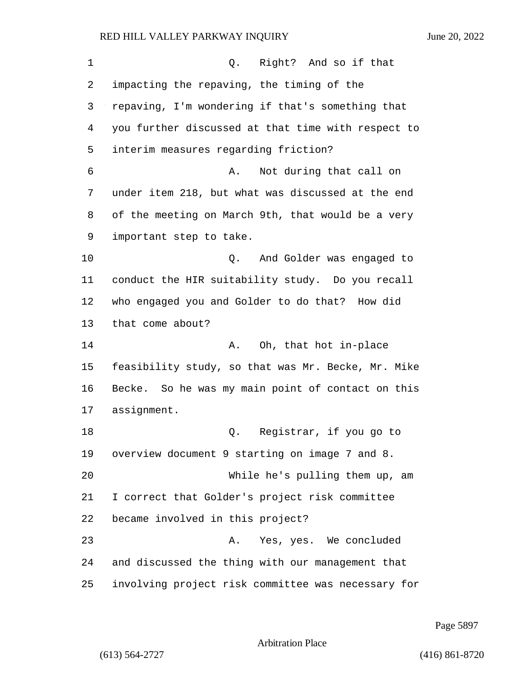| 1  | Right? And so if that<br>Q.                        |
|----|----------------------------------------------------|
| 2  | impacting the repaving, the timing of the          |
| 3  | repaving, I'm wondering if that's something that   |
| 4  | you further discussed at that time with respect to |
| 5  | interim measures regarding friction?               |
| 6  | Not during that call on<br>Α.                      |
| 7  | under item 218, but what was discussed at the end  |
| 8  | of the meeting on March 9th, that would be a very  |
| 9  | important step to take.                            |
| 10 | And Golder was engaged to<br>Q.                    |
| 11 | conduct the HIR suitability study. Do you recall   |
| 12 | who engaged you and Golder to do that? How did     |
| 13 | that come about?                                   |
| 14 | Oh, that hot in-place<br>Α.                        |
| 15 | feasibility study, so that was Mr. Becke, Mr. Mike |
| 16 | Becke. So he was my main point of contact on this  |
| 17 | assignment.                                        |
| 18 | Registrar, if you go to<br>Q.                      |
| 19 | overview document 9 starting on image 7 and 8.     |
| 20 | While he's pulling them up, am                     |
| 21 | I correct that Golder's project risk committee     |
| 22 | became involved in this project?                   |
| 23 | Yes, yes. We concluded<br>Α.                       |
| 24 | and discussed the thing with our management that   |
| 25 | involving project risk committee was necessary for |

Page 5897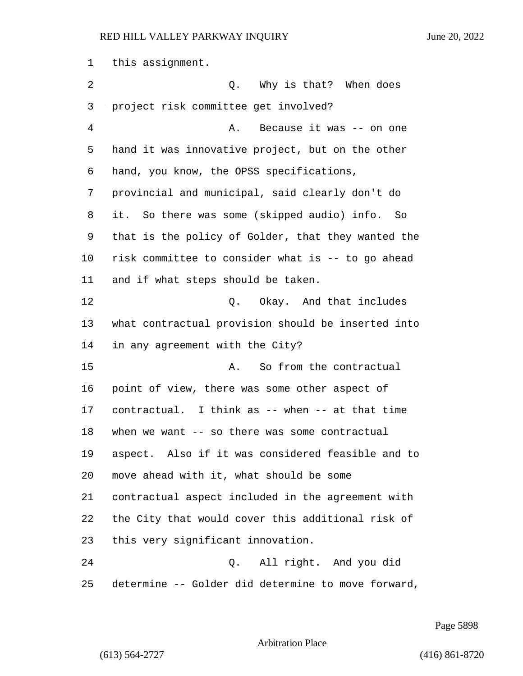this assignment. 2 a Q. Why is that? When does project risk committee get involved? 4 A. Because it was -- on one hand it was innovative project, but on the other hand, you know, the OPSS specifications, provincial and municipal, said clearly don't do it. So there was some (skipped audio) info. So that is the policy of Golder, that they wanted the risk committee to consider what is -- to go ahead and if what steps should be taken. 12 C. Okay. And that includes what contractual provision should be inserted into in any agreement with the City? 15 A. So from the contractual point of view, there was some other aspect of contractual. I think as -- when -- at that time when we want -- so there was some contractual aspect. Also if it was considered feasible and to move ahead with it, what should be some contractual aspect included in the agreement with the City that would cover this additional risk of this very significant innovation. 24 Q. All right. And you did determine -- Golder did determine to move forward,

Page 5898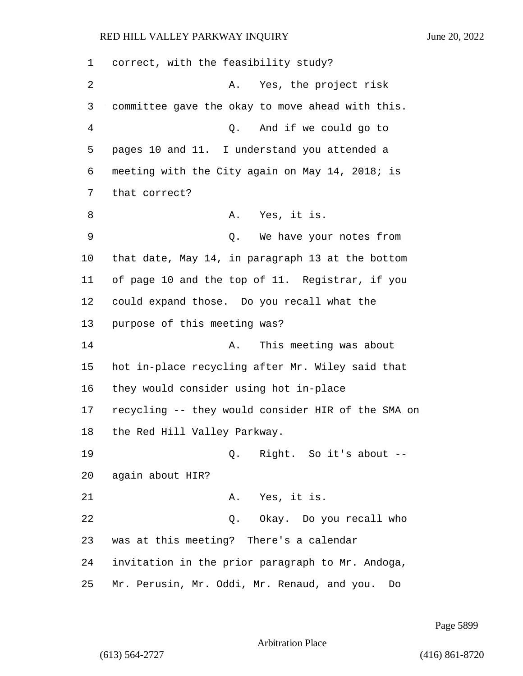correct, with the feasibility study? 2 A. Yes, the project risk committee gave the okay to move ahead with this. 4 Q. And if we could go to pages 10 and 11. I understand you attended a meeting with the City again on May 14, 2018; is that correct? 8 A. Yes, it is. 9 Q. We have your notes from that date, May 14, in paragraph 13 at the bottom of page 10 and the top of 11. Registrar, if you could expand those. Do you recall what the purpose of this meeting was? **A.** This meeting was about hot in-place recycling after Mr. Wiley said that they would consider using hot in-place recycling -- they would consider HIR of the SMA on the Red Hill Valley Parkway. 19 Q. Right. So it's about -- again about HIR? 21 A. Yes, it is. 22 Q. Okay. Do you recall who was at this meeting? There's a calendar invitation in the prior paragraph to Mr. Andoga, Mr. Perusin, Mr. Oddi, Mr. Renaud, and you. Do

Page 5899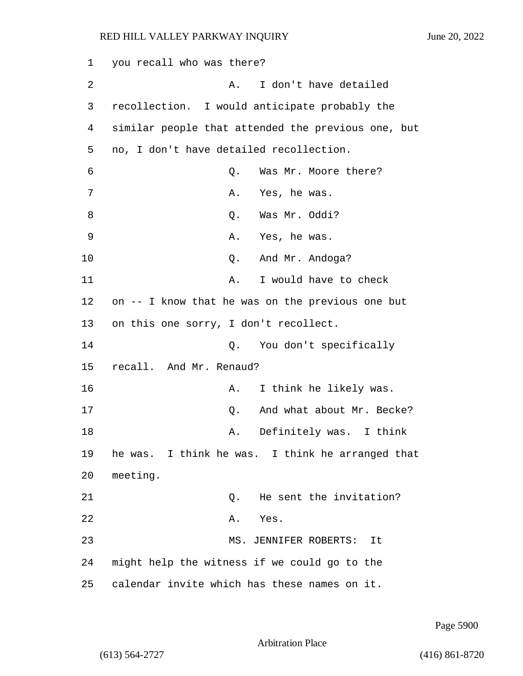1 you recall who was there? 2 A. I don't have detailed 3 recollection. I would anticipate probably the 4 similar people that attended the previous one, but 5 no, I don't have detailed recollection. 6 Q. Was Mr. Moore there? 7 A. Yes, he was. 8 O. Was Mr. Oddi? 9 A. Yes, he was. 10 Q. And Mr. Andoga? 11 A. I would have to check 12 on -- I know that he was on the previous one but 13 on this one sorry, I don't recollect. 14 Q. You don't specifically 15 recall. And Mr. Renaud? 16 A. I think he likely was. 17 C. And what about Mr. Becke? 18 A. Definitely was. I think 19 he was. I think he was. I think he arranged that 20 meeting. 21 C. He sent the invitation? 22 A. Yes. 23 MS. JENNIFER ROBERTS: It 24 might help the witness if we could go to the 25 calendar invite which has these names on it.

Page 5900

Arbitration Place

(613) 564-2727 (416) 861-8720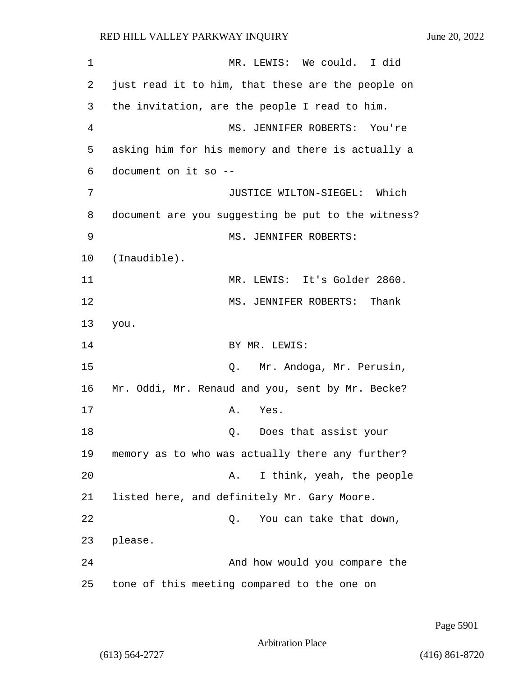1 MR. LEWIS: We could. I did 2 just read it to him, that these are the people on 3 the invitation, are the people I read to him. 4 MS. JENNIFER ROBERTS: You're 5 asking him for his memory and there is actually a 6 document on it so -- 7 JUSTICE WILTON-SIEGEL: Which 8 document are you suggesting be put to the witness? 9 MS. JENNIFER ROBERTS: 10 (Inaudible). 11 MR. LEWIS: It's Golder 2860. 12 MS. JENNIFER ROBERTS: Thank 13 you. 14 BY MR. LEWIS: 15 Q. Mr. Andoga, Mr. Perusin, 16 Mr. Oddi, Mr. Renaud and you, sent by Mr. Becke? 17 A. Yes. 18 Q. Does that assist your 19 memory as to who was actually there any further? 20 A. I think, yeah, the people 21 listed here, and definitely Mr. Gary Moore. 22 Q. You can take that down, 23 please. 24 And how would you compare the 25 tone of this meeting compared to the one on

Page 5901

```
Arbitration Place
```
(613) 564-2727 (416) 861-8720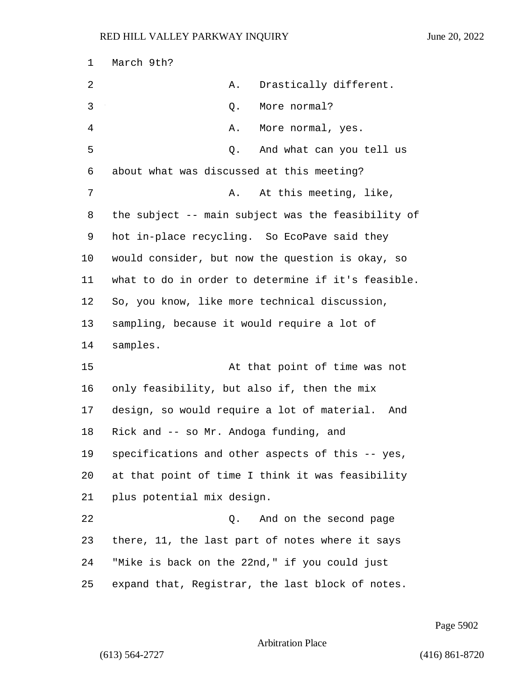| 1  | March 9th?                                         |
|----|----------------------------------------------------|
| 2  | Drastically different.<br>Α.                       |
| 3  | More normal?<br>Q.                                 |
| 4  | Α.<br>More normal, yes.                            |
| 5  | And what can you tell us<br>Q.                     |
| 6  | about what was discussed at this meeting?          |
| 7  | At this meeting, like,<br>Α.                       |
| 8  | the subject -- main subject was the feasibility of |
| 9  | hot in-place recycling. So EcoPave said they       |
| 10 | would consider, but now the question is okay, so   |
| 11 | what to do in order to determine if it's feasible. |
| 12 | So, you know, like more technical discussion,      |
| 13 | sampling, because it would require a lot of        |
| 14 | samples.                                           |
| 15 | At that point of time was not                      |
| 16 | only feasibility, but also if, then the mix        |
| 17 | design, so would require a lot of material. And    |
| 18 | Rick and -- so Mr. Andoga funding, and             |
| 19 | specifications and other aspects of this -- yes,   |
| 20 | at that point of time I think it was feasibility   |
| 21 | plus potential mix design.                         |
| 22 | And on the second page<br>Q.                       |
| 23 | there, 11, the last part of notes where it says    |
| 24 | "Mike is back on the 22nd," if you could just      |
| 25 | expand that, Registrar, the last block of notes.   |

Page 5902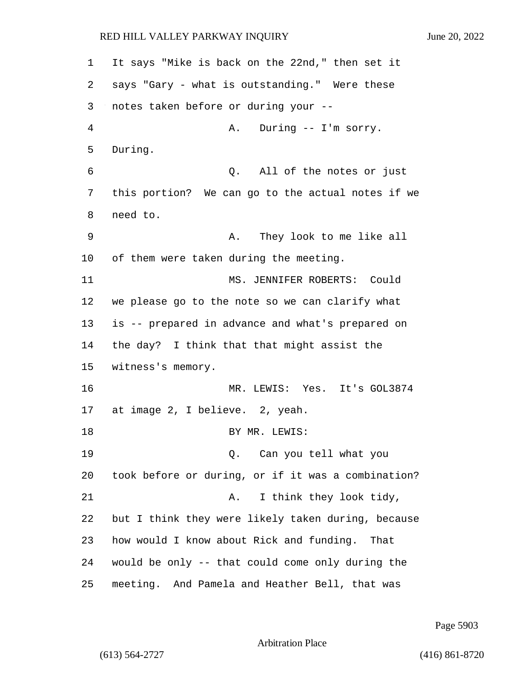1 It says "Mike is back on the 22nd," then set it 2 says "Gary - what is outstanding." Were these 3 notes taken before or during your -- 4 A. During -- I'm sorry. 5 During. 6 Q. All of the notes or just 7 this portion? We can go to the actual notes if we 8 need to. 9 A. They look to me like all 10 of them were taken during the meeting. 11 MS. JENNIFER ROBERTS: Could 12 we please go to the note so we can clarify what 13 is -- prepared in advance and what's prepared on 14 the day? I think that that might assist the 15 witness's memory. 16 MR. LEWIS: Yes. It's GOL3874 17 at image 2, I believe. 2, yeah. 18 BY MR. LEWIS: 19 Q. Can you tell what you 20 took before or during, or if it was a combination? 21 A. I think they look tidy, 22 but I think they were likely taken during, because 23 how would I know about Rick and funding. That 24 would be only -- that could come only during the 25 meeting. And Pamela and Heather Bell, that was

Page 5903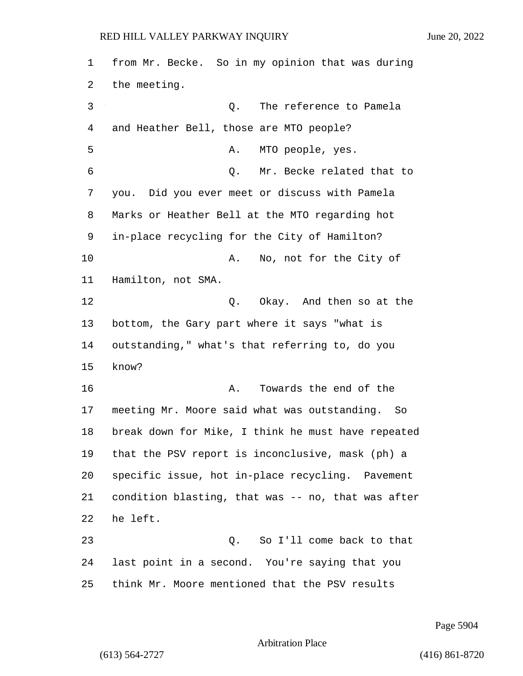from Mr. Becke. So in my opinion that was during the meeting. 3 Q. The reference to Pamela and Heather Bell, those are MTO people? 5 A. MTO people, yes. 6 Q. Mr. Becke related that to you. Did you ever meet or discuss with Pamela Marks or Heather Bell at the MTO regarding hot in-place recycling for the City of Hamilton? 10 A. No, not for the City of Hamilton, not SMA. 12 C. Okay. And then so at the bottom, the Gary part where it says "what is outstanding," what's that referring to, do you know? 16 A. Towards the end of the meeting Mr. Moore said what was outstanding. So break down for Mike, I think he must have repeated that the PSV report is inconclusive, mask (ph) a specific issue, hot in-place recycling. Pavement condition blasting, that was -- no, that was after he left. 23 Q. So I'll come back to that last point in a second. You're saying that you think Mr. Moore mentioned that the PSV results

Page 5904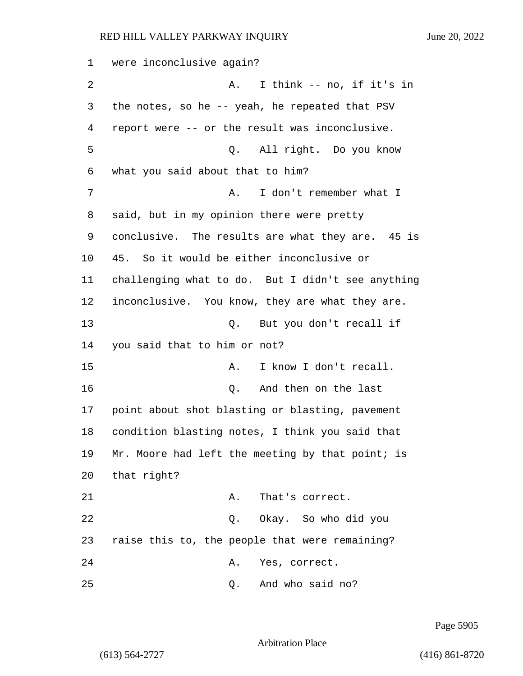1 were inconclusive again? 2 A. I think -- no, if it's in 3 the notes, so he -- yeah, he repeated that PSV 4 report were -- or the result was inconclusive. 5 Q. All right. Do you know 6 what you said about that to him? 7 A. I don't remember what I 8 said, but in my opinion there were pretty 9 conclusive. The results are what they are. 45 is 10 45. So it would be either inconclusive or 11 challenging what to do. But I didn't see anything 12 inconclusive. You know, they are what they are. 13 Q. But you don't recall if 14 you said that to him or not? 15 A. I know I don't recall. 16 Q. And then on the last 17 point about shot blasting or blasting, pavement 18 condition blasting notes, I think you said that 19 Mr. Moore had left the meeting by that point; is 20 that right? 21 A. That's correct. 22 Q. Okay. So who did you 23 raise this to, the people that were remaining? 24 A. Yes, correct. 25 Q. And who said no?

Page 5905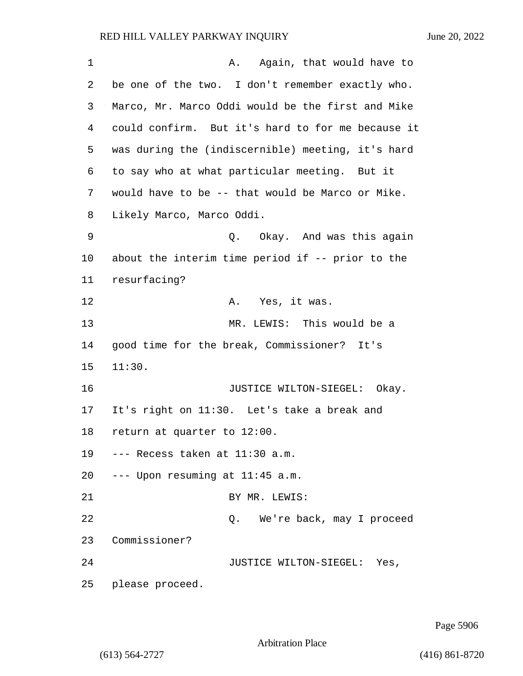| 1  | A. Again, that would have to                        |
|----|-----------------------------------------------------|
| 2  | be one of the two. I don't remember exactly who.    |
| 3  | Marco, Mr. Marco Oddi would be the first and Mike   |
| 4  | could confirm. But it's hard to for me because it   |
| 5  | was during the (indiscernible) meeting, it's hard   |
| 6  | to say who at what particular meeting. But it       |
| 7  | would have to be -- that would be Marco or Mike.    |
| 8  | Likely Marco, Marco Oddi.                           |
| 9  | Q. Okay. And was this again                         |
| 10 | about the interim time period if $-$ - prior to the |
| 11 | resurfacing?                                        |
| 12 | A. Yes, it was.                                     |
| 13 | MR. LEWIS: This would be a                          |
| 14 | good time for the break, Commissioner? It's         |
| 15 | 11:30.                                              |
| 16 | JUSTICE WILTON-SIEGEL: Okay.                        |
| 17 | It's right on 11:30. Let's take a break and         |
| 18 | return at quarter to 12:00.                         |
| 19 | --- Recess taken at 11:30 a.m.                      |
|    | 20 --- Upon resuming at 11:45 a.m.                  |
| 21 | BY MR. LEWIS:                                       |
| 22 | We're back, may I proceed<br>Q.                     |
| 23 | Commissioner?                                       |
| 24 | JUSTICE WILTON-SIEGEL: Yes,                         |
| 25 | please proceed.                                     |

Page 5906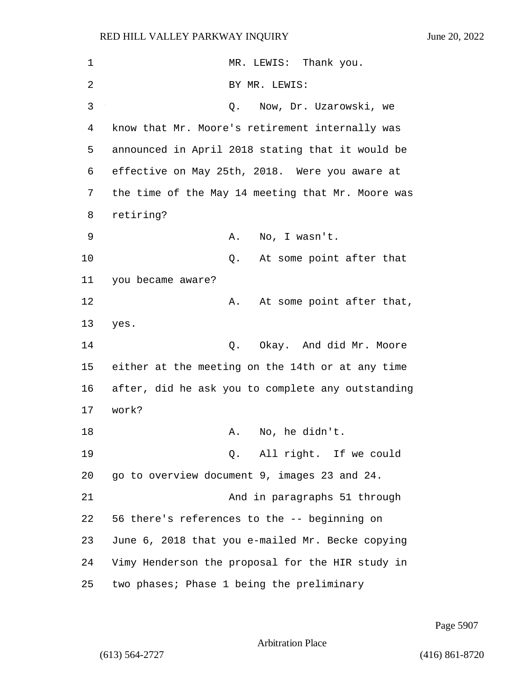| 1  | MR. LEWIS: Thank you.                             |
|----|---------------------------------------------------|
| 2  | BY MR. LEWIS:                                     |
| 3  | Now, Dr. Uzarowski, we<br>Q.                      |
| 4  | know that Mr. Moore's retirement internally was   |
| 5  | announced in April 2018 stating that it would be  |
| 6  | effective on May 25th, 2018. Were you aware at    |
| 7  | the time of the May 14 meeting that Mr. Moore was |
| 8  | retiring?                                         |
| 9  | No, I wasn't.<br>Α.                               |
| 10 | At some point after that<br>Q.                    |
| 11 | you became aware?                                 |
| 12 | At some point after that,<br>Α.                   |
| 13 | yes.                                              |
| 14 | Okay. And did Mr. Moore<br>Q.                     |
| 15 | either at the meeting on the 14th or at any time  |
| 16 | after, did he ask you to complete any outstanding |
| 17 | work?                                             |
| 18 | No, he didn't.<br>Α.                              |
| 19 | Q. All right. If we could                         |
| 20 | go to overview document 9, images 23 and 24.      |
| 21 | And in paragraphs 51 through                      |
| 22 | 56 there's references to the -- beginning on      |
| 23 | June 6, 2018 that you e-mailed Mr. Becke copying  |
| 24 | Vimy Henderson the proposal for the HIR study in  |
| 25 | two phases; Phase 1 being the preliminary         |

Page 5907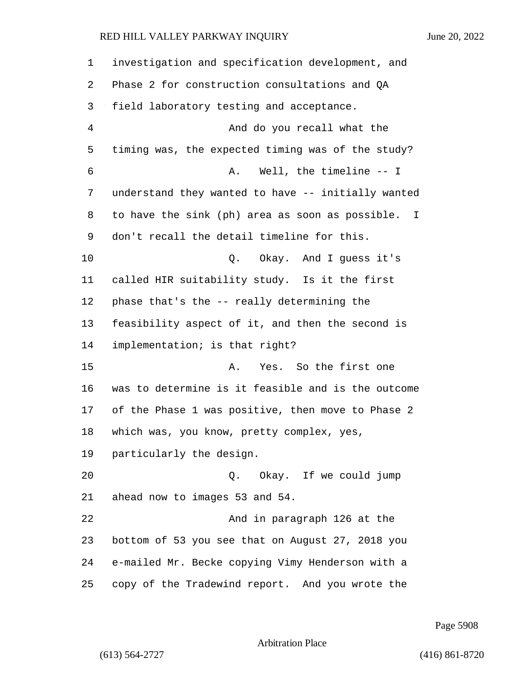investigation and specification development, and Phase 2 for construction consultations and QA field laboratory testing and acceptance. 4 And do you recall what the timing was, the expected timing was of the study? 6 A. Well, the timeline -- I understand they wanted to have -- initially wanted to have the sink (ph) area as soon as possible. I don't recall the detail timeline for this. 10 Q. Okay. And I guess it's called HIR suitability study. Is it the first phase that's the -- really determining the feasibility aspect of it, and then the second is implementation; is that right? 15 A. Yes. So the first one was to determine is it feasible and is the outcome of the Phase 1 was positive, then move to Phase 2 which was, you know, pretty complex, yes, particularly the design. 20 Q. Okay. If we could jump ahead now to images 53 and 54. 22 And in paragraph 126 at the bottom of 53 you see that on August 27, 2018 you e-mailed Mr. Becke copying Vimy Henderson with a copy of the Tradewind report. And you wrote the

Page 5908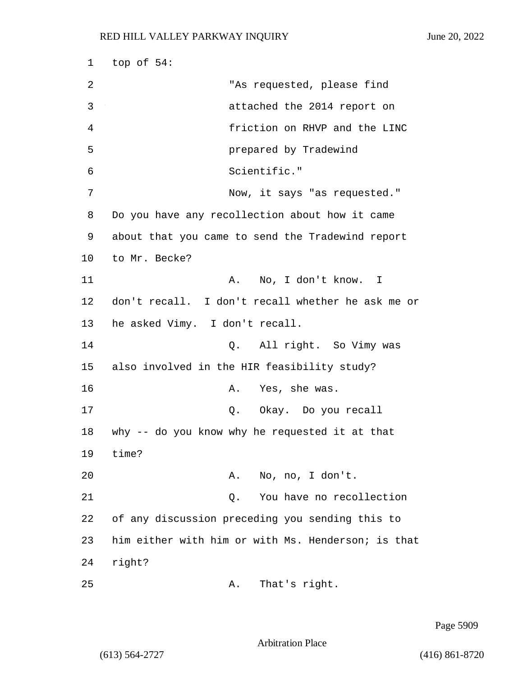1 top of 54: 2 "As requested, please find 3 attached the 2014 report on 4 friction on RHVP and the LINC 5 prepared by Tradewind 6 Scientific." 7 Now, it says "as requested." 8 Do you have any recollection about how it came 9 about that you came to send the Tradewind report 10 to Mr. Becke? 11 A. No, I don't know. I 12 don't recall. I don't recall whether he ask me or 13 he asked Vimy. I don't recall. 14 Q. All right. So Vimy was 15 also involved in the HIR feasibility study? 16 A. Yes, she was. 17 Q. Okay. Do you recall 18 why -- do you know why he requested it at that 19 time? 20 A. No, no, I don't. 21 Q. You have no recollection 22 of any discussion preceding you sending this to 23 him either with him or with Ms. Henderson; is that 24 right? 25 A. That's right.

Page 5909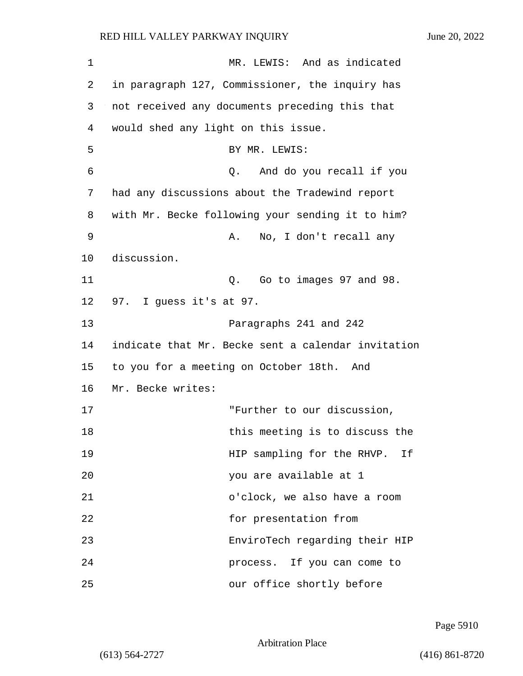1 MR. LEWIS: And as indicated 2 in paragraph 127, Commissioner, the inquiry has 3 not received any documents preceding this that 4 would shed any light on this issue. 5 BY MR. LEWIS: 6 Q. And do you recall if you 7 had any discussions about the Tradewind report 8 with Mr. Becke following your sending it to him? 9 A. No, I don't recall any 10 discussion. 11 Q. Go to images 97 and 98. 12 97. I guess it's at 97. 13 Paragraphs 241 and 242 14 indicate that Mr. Becke sent a calendar invitation 15 to you for a meeting on October 18th. And 16 Mr. Becke writes: 17 THE TERRIFT TO OUT discussion, 18 18 18 this meeting is to discuss the 19 HIP sampling for the RHVP. If 20 you are available at 1 21 o'clock, we also have a room 22 for presentation from 23 EnviroTech regarding their HIP 24 process. If you can come to 25 our office shortly before

Page 5910

Arbitration Place

(613) 564-2727 (416) 861-8720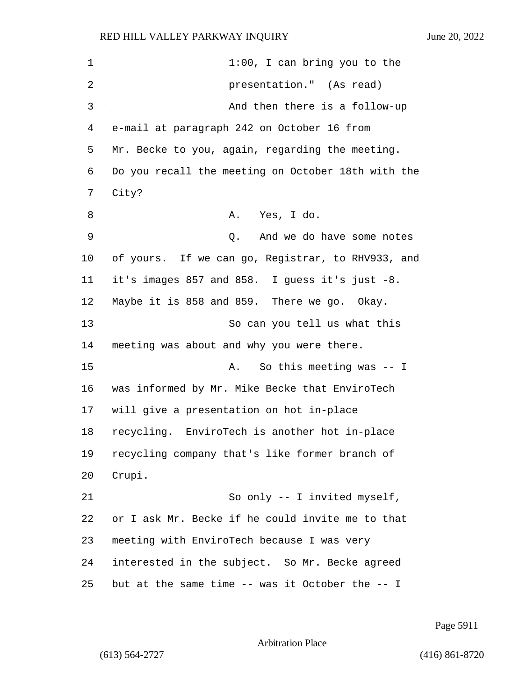1 1:00, I can bring you to the 2 presentation." (As read) 3 And then there is a follow-up 4 e-mail at paragraph 242 on October 16 from 5 Mr. Becke to you, again, regarding the meeting. 6 Do you recall the meeting on October 18th with the 7 City? 8 A. Yes, I do. 9 Q. And we do have some notes 10 of yours. If we can go, Registrar, to RHV933, and 11 it's images 857 and 858. I guess it's just -8. 12 Maybe it is 858 and 859. There we go. Okay. 13 So can you tell us what this 14 meeting was about and why you were there. 15 A. So this meeting was -- I 16 was informed by Mr. Mike Becke that EnviroTech 17 will give a presentation on hot in-place 18 recycling. EnviroTech is another hot in-place 19 recycling company that's like former branch of 20 Crupi. 21 So only -- I invited myself, 22 or I ask Mr. Becke if he could invite me to that 23 meeting with EnviroTech because I was very 24 interested in the subject. So Mr. Becke agreed 25 but at the same time -- was it October the -- I

Page 5911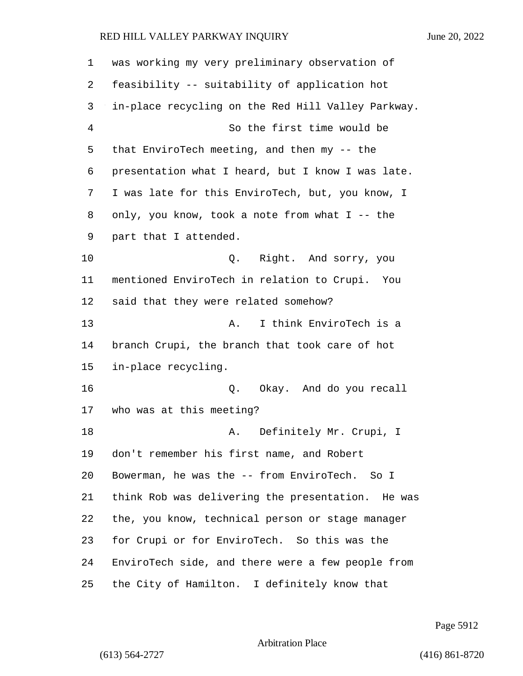| 1  | was working my very preliminary observation of     |
|----|----------------------------------------------------|
| 2  | feasibility -- suitability of application hot      |
| 3  | in-place recycling on the Red Hill Valley Parkway. |
| 4  | So the first time would be                         |
| 5  | that EnviroTech meeting, and then my -- the        |
| 6  | presentation what I heard, but I know I was late.  |
| 7  | I was late for this EnviroTech, but, you know, I   |
| 8  | only, you know, took a note from what I -- the     |
| 9  | part that I attended.                              |
| 10 | Q. Right. And sorry, you                           |
| 11 | mentioned EnviroTech in relation to Crupi. You     |
| 12 | said that they were related somehow?               |
| 13 | I think EnviroTech is a<br>Α.                      |
| 14 | branch Crupi, the branch that took care of hot     |
| 15 | in-place recycling.                                |
| 16 | Q. Okay. And do you recall                         |
| 17 | who was at this meeting?                           |
| 18 | A. Definitely Mr. Crupi, I                         |
| 19 | don't remember his first name, and Robert          |
| 20 | Bowerman, he was the -- from EnviroTech. So I      |
| 21 | think Rob was delivering the presentation. He was  |
| 22 | the, you know, technical person or stage manager   |
| 23 | for Crupi or for EnviroTech. So this was the       |
| 24 | EnviroTech side, and there were a few people from  |
| 25 | the City of Hamilton. I definitely know that       |

Page 5912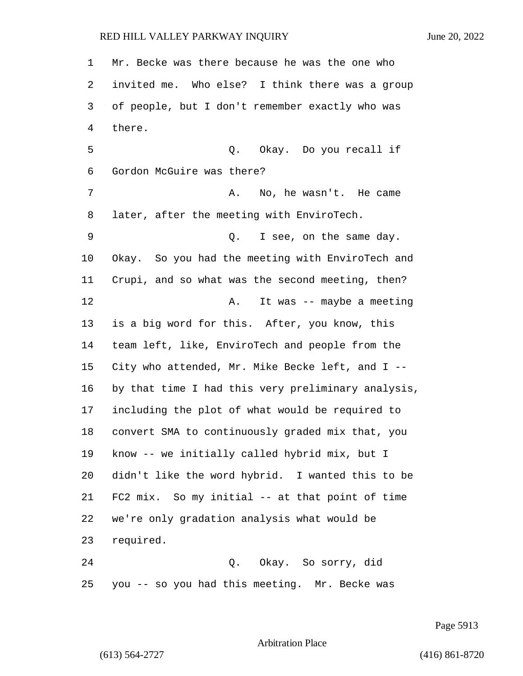Mr. Becke was there because he was the one who invited me. Who else? I think there was a group of people, but I don't remember exactly who was there. 5 Q. Okay. Do you recall if Gordon McGuire was there? 7 A. No, he wasn't. He came later, after the meeting with EnviroTech. 9 Q. I see, on the same day. Okay. So you had the meeting with EnviroTech and Crupi, and so what was the second meeting, then? 12 A. It was -- maybe a meeting is a big word for this. After, you know, this team left, like, EnviroTech and people from the City who attended, Mr. Mike Becke left, and I -- by that time I had this very preliminary analysis, including the plot of what would be required to convert SMA to continuously graded mix that, you know -- we initially called hybrid mix, but I didn't like the word hybrid. I wanted this to be FC2 mix. So my initial -- at that point of time we're only gradation analysis what would be required. 24 Q. Okay. So sorry, did you -- so you had this meeting. Mr. Becke was

Page 5913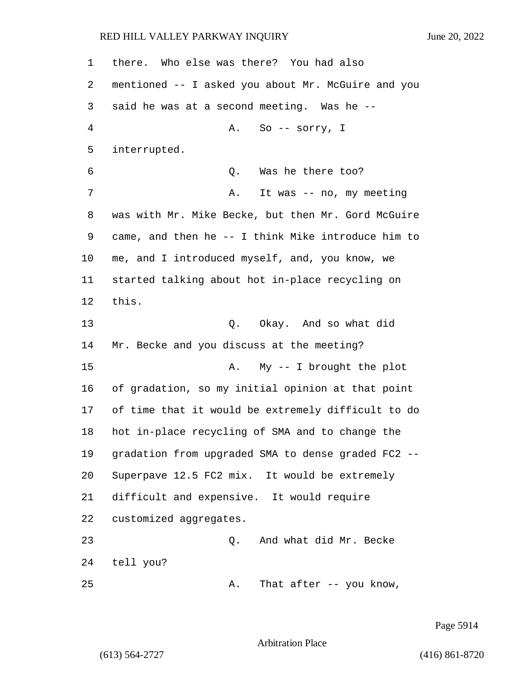| 1  | there. Who else was there? You had also            |
|----|----------------------------------------------------|
| 2  | mentioned -- I asked you about Mr. McGuire and you |
| 3  | said he was at a second meeting. Was he --         |
| 4  | So -- sorry, I<br>Α.                               |
| 5  | interrupted.                                       |
| 6  | Was he there too?<br>Q.                            |
| 7  | It was -- no, my meeting<br>Α.                     |
| 8  | was with Mr. Mike Becke, but then Mr. Gord McGuire |
| 9  | came, and then he -- I think Mike introduce him to |
| 10 | me, and I introduced myself, and, you know, we     |
| 11 | started talking about hot in-place recycling on    |
| 12 | this.                                              |
| 13 | Q. Okay. And so what did                           |
| 14 | Mr. Becke and you discuss at the meeting?          |
| 15 | $My$ -- I brought the plot<br>Α.                   |
| 16 | of gradation, so my initial opinion at that point  |
| 17 | of time that it would be extremely difficult to do |
| 18 | hot in-place recycling of SMA and to change the    |
| 19 | gradation from upgraded SMA to dense graded FC2    |
| 20 | Superpave 12.5 FC2 mix. It would be extremely      |
| 21 | difficult and expensive. It would require          |
| 22 | customized aggregates.                             |
| 23 | And what did Mr. Becke<br>Q.                       |
| 24 | tell you?                                          |
| 25 | That after -- you know,<br>Α.                      |

Page 5914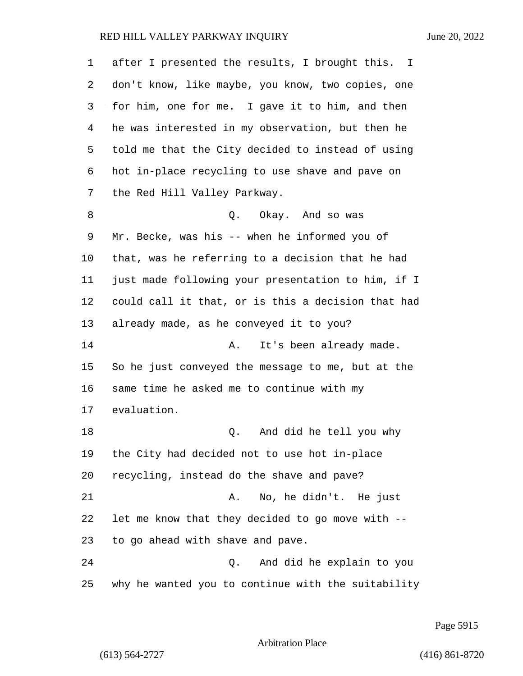| 1  | after I presented the results, I brought this. I   |
|----|----------------------------------------------------|
| 2  | don't know, like maybe, you know, two copies, one  |
| 3  | for him, one for me. I gave it to him, and then    |
| 4  | he was interested in my observation, but then he   |
| 5  | told me that the City decided to instead of using  |
| 6  | hot in-place recycling to use shave and pave on    |
| 7  | the Red Hill Valley Parkway.                       |
| 8  | Okay. And so was<br>Q.                             |
| 9  | Mr. Becke, was his -- when he informed you of      |
| 10 | that, was he referring to a decision that he had   |
| 11 | just made following your presentation to him, if I |
| 12 | could call it that, or is this a decision that had |
| 13 | already made, as he conveyed it to you?            |
| 14 | It's been already made.<br>Α.                      |
| 15 | So he just conveyed the message to me, but at the  |
| 16 | same time he asked me to continue with my          |
| 17 | evaluation.                                        |
| 18 | And did he tell you why<br>Q.                      |
| 19 | the City had decided not to use hot in-place       |
| 20 | recycling, instead do the shave and pave?          |
| 21 | No, he didn't. He just<br>Α.                       |
| 22 | let me know that they decided to go move with --   |
| 23 | to go ahead with shave and pave.                   |
| 24 | And did he explain to you<br>Q.                    |
| 25 | why he wanted you to continue with the suitability |

Page 5915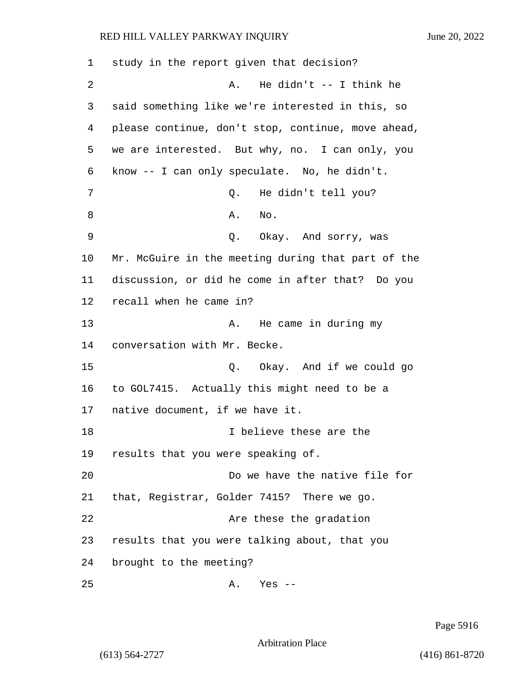| 1  | study in the report given that decision?           |
|----|----------------------------------------------------|
| 2  | He didn't $--$ I think he<br>Α.                    |
| 3  | said something like we're interested in this, so   |
| 4  | please continue, don't stop, continue, move ahead, |
| 5  | we are interested. But why, no. I can only, you    |
| 6  | know -- I can only speculate. No, he didn't.       |
| 7  | He didn't tell you?<br>Q.                          |
| 8  | No.<br>Α.                                          |
| 9  | Q. Okay. And sorry, was                            |
| 10 | Mr. McGuire in the meeting during that part of the |
| 11 | discussion, or did he come in after that? Do you   |
| 12 | recall when he came in?                            |
| 13 | He came in during my<br>Α.                         |
| 14 | conversation with Mr. Becke.                       |
| 15 | Okay. And if we could go<br>Q.                     |
| 16 | to GOL7415. Actually this might need to be a       |
| 17 | native document, if we have it.                    |
| 18 | I believe these are the                            |
| 19 | results that you were speaking of.                 |
| 20 | Do we have the native file for                     |
| 21 | that, Registrar, Golder 7415? There we go.         |
| 22 | Are these the gradation                            |
| 23 | results that you were talking about, that you      |
| 24 | brought to the meeting?                            |
|    |                                                    |

25 A. Yes --

Page 5916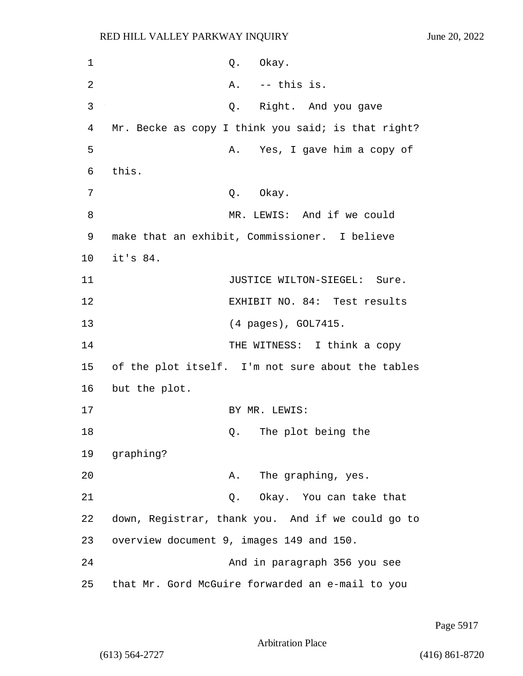1 Q. Okay. 2 A. -- this is. 3 Q. Right. And you gave 4 Mr. Becke as copy I think you said; is that right? 5 A. Yes, I gave him a copy of 6 this. 7 O. Okay. 8 MR. LEWIS: And if we could 9 make that an exhibit, Commissioner. I believe 10 it's 84. 11 **JUSTICE WILTON-SIEGEL:** Sure. 12 EXHIBIT NO. 84: Test results 13 (4 pages), GOL7415. 14 THE WITNESS: I think a copy 15 of the plot itself. I'm not sure about the tables 16 but the plot. 17 BY MR. LEWIS: 18 and 18 Q. The plot being the 19 graphing? 20 A. The graphing, yes. 21 Q. Okay. You can take that 22 down, Registrar, thank you. And if we could go to 23 overview document 9, images 149 and 150. 24 And in paragraph 356 you see 25 that Mr. Gord McGuire forwarded an e-mail to you

Page 5917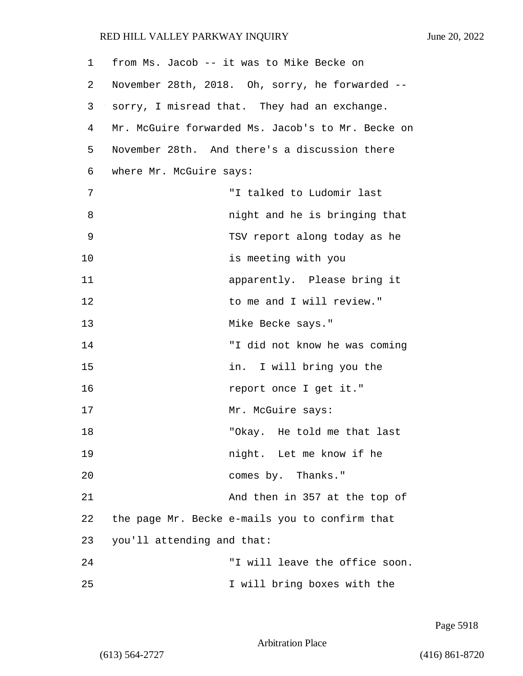| 1  |                            | from Ms. Jacob -- it was to Mike Becke on         |
|----|----------------------------|---------------------------------------------------|
| 2  |                            | November 28th, 2018. Oh, sorry, he forwarded --   |
| 3  |                            | sorry, I misread that. They had an exchange.      |
| 4  |                            | Mr. McGuire forwarded Ms. Jacob's to Mr. Becke on |
| 5  |                            | November 28th. And there's a discussion there     |
| 6  | where Mr. McGuire says:    |                                                   |
| 7  |                            | "I talked to Ludomir last                         |
| 8  |                            | night and he is bringing that                     |
| 9  |                            | TSV report along today as he                      |
| 10 |                            | is meeting with you                               |
| 11 |                            | apparently. Please bring it                       |
| 12 |                            | to me and I will review."                         |
| 13 |                            | Mike Becke says."                                 |
| 14 |                            | "I did not know he was coming                     |
| 15 |                            | in. I will bring you the                          |
| 16 |                            | report once I get it."                            |
| 17 |                            | Mr. McGuire says:                                 |
| 18 |                            | "Okay. He told me that last                       |
| 19 |                            | night. Let me know if he                          |
| 20 |                            | comes by. Thanks."                                |
| 21 |                            | And then in 357 at the top of                     |
| 22 |                            | the page Mr. Becke e-mails you to confirm that    |
| 23 | you'll attending and that: |                                                   |
| 24 |                            | "I will leave the office soon.                    |
| 25 |                            | I will bring boxes with the                       |

Page 5918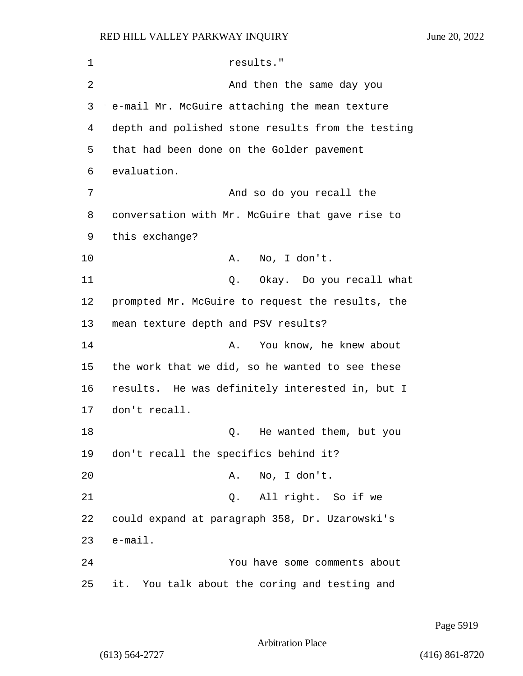1 results." 2 And then the same day you 3 e-mail Mr. McGuire attaching the mean texture 4 depth and polished stone results from the testing 5 that had been done on the Golder pavement 6 evaluation. 7 And so do you recall the 8 conversation with Mr. McGuire that gave rise to 9 this exchange? 10 A. No, I don't. 11 Q. Okay. Do you recall what 12 prompted Mr. McGuire to request the results, the 13 mean texture depth and PSV results? 14 A. You know, he knew about 15 the work that we did, so he wanted to see these 16 results. He was definitely interested in, but I 17 don't recall. 18 and 18 Q. He wanted them, but you 19 don't recall the specifics behind it? 20 A. No, I don't. 21 Q. All right. So if we 22 could expand at paragraph 358, Dr. Uzarowski's 23 e-mail. 24 You have some comments about 25 it. You talk about the coring and testing and

Page 5919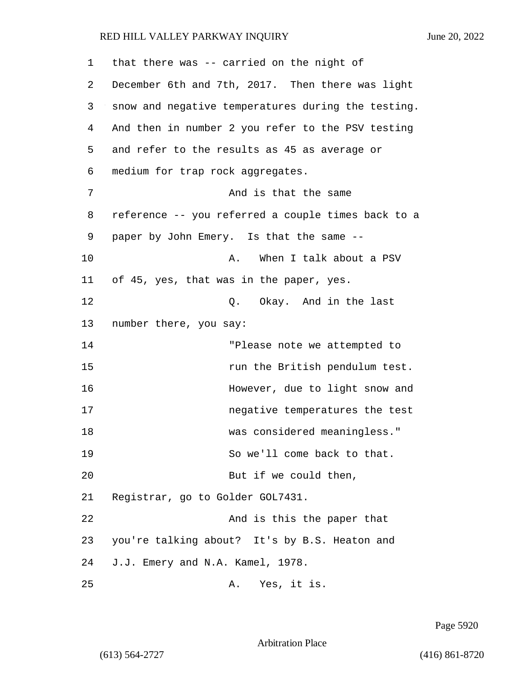| 1  | that there was -- carried on the night of          |
|----|----------------------------------------------------|
| 2  | December 6th and 7th, 2017. Then there was light   |
| 3  | snow and negative temperatures during the testing. |
| 4  | And then in number 2 you refer to the PSV testing  |
| 5  | and refer to the results as 45 as average or       |
| 6  | medium for trap rock aggregates.                   |
| 7  | And is that the same                               |
| 8  | reference -- you referred a couple times back to a |
| 9  | paper by John Emery. Is that the same --           |
| 10 | When I talk about a PSV<br>Α.                      |
| 11 | of 45, yes, that was in the paper, yes.            |
| 12 | Q. Okay. And in the last                           |
| 13 | number there, you say:                             |
| 14 | "Please note we attempted to                       |
| 15 | run the British pendulum test.                     |
| 16 | However, due to light snow and                     |
| 17 | negative temperatures the test                     |
| 18 | was considered meaningless."                       |
| 19 | So we'll come back to that.                        |
| 20 | But if we could then,                              |
| 21 | Registrar, go to Golder GOL7431.                   |
| 22 | And is this the paper that                         |
| 23 | you're talking about? It's by B.S. Heaton and      |
| 24 | J.J. Emery and N.A. Kamel, 1978.                   |
| 25 | Yes, it is.<br>Α.                                  |

Page 5920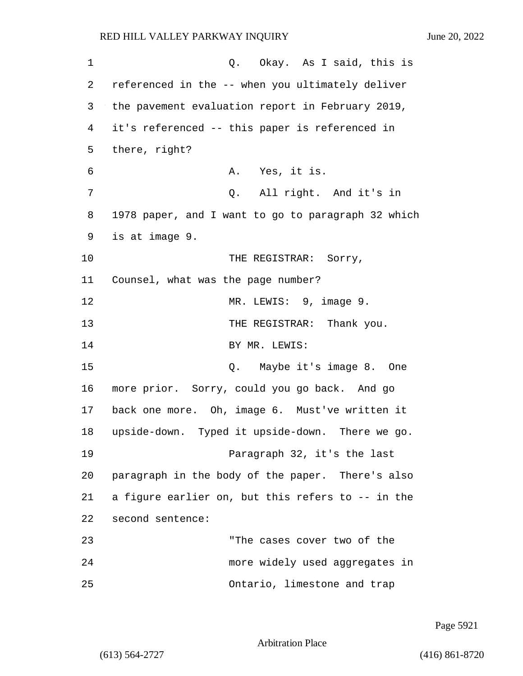1 C. Okay. As I said, this is 2 referenced in the -- when you ultimately deliver 3 the pavement evaluation report in February 2019, 4 it's referenced -- this paper is referenced in 5 there, right? 6 A. Yes, it is. 7 Q. All right. And it's in 8 1978 paper, and I want to go to paragraph 32 which 9 is at image 9. 10 THE REGISTRAR: Sorry, 11 Counsel, what was the page number? 12 MR. LEWIS: 9, image 9. 13 THE REGISTRAR: Thank you. 14 BY MR. LEWIS: 15 Q. Maybe it's image 8. One 16 more prior. Sorry, could you go back. And go 17 back one more. Oh, image 6. Must've written it 18 upside-down. Typed it upside-down. There we go. 19 Paragraph 32, it's the last 20 paragraph in the body of the paper. There's also 21 a figure earlier on, but this refers to -- in the 22 second sentence: 23 "The cases cover two of the 24 more widely used aggregates in 25 Ontario, limestone and trap

Page 5921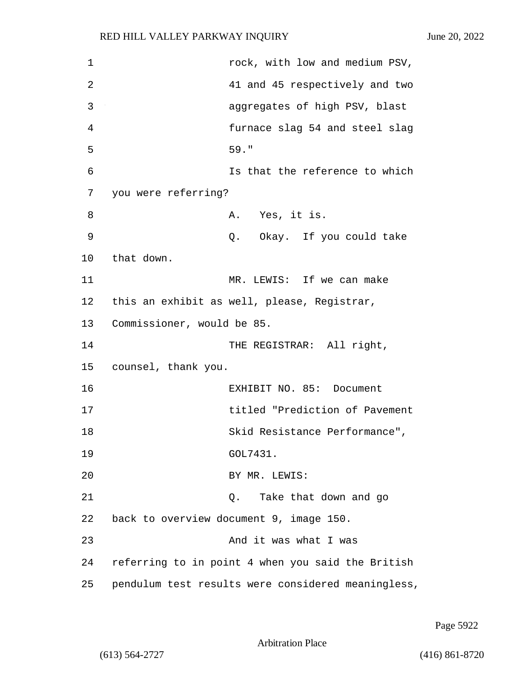1 rock, with low and medium PSV, 2 41 and 45 respectively and two 3 aggregates of high PSV, blast 4 furnace slag 54 and steel slag 5 59." 6 Is that the reference to which 7 you were referring? 8 A. Yes, it is. 9 Q. Okay. If you could take 10 that down. 11 MR. LEWIS: If we can make 12 this an exhibit as well, please, Registrar, 13 Commissioner, would be 85. 14 THE REGISTRAR: All right, 15 counsel, thank you. 16 EXHIBIT NO. 85: Document 17 titled "Prediction of Pavement 18 Skid Resistance Performance", 19 GOL7431. 20 BY MR. LEWIS: 21 Q. Take that down and go 22 back to overview document 9, image 150. 23 And it was what I was 24 referring to in point 4 when you said the British 25 pendulum test results were considered meaningless,

Page 5922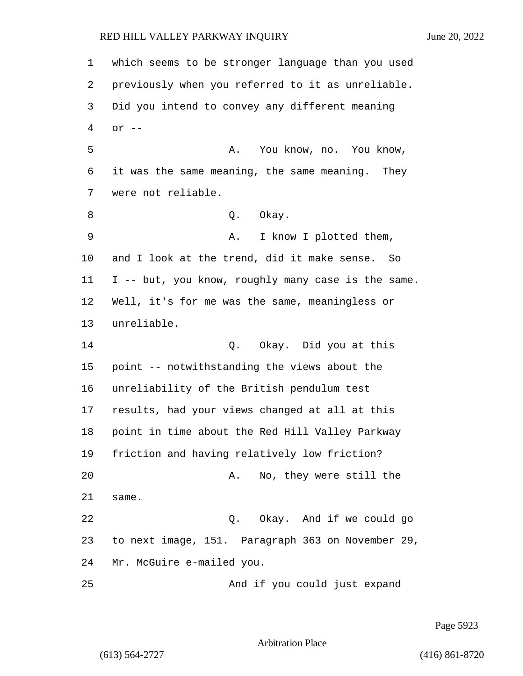which seems to be stronger language than you used previously when you referred to it as unreliable. Did you intend to convey any different meaning or -- 5 A. You know, no. You know, it was the same meaning, the same meaning. They were not reliable. 8 Q. Okay. 9 A. I know I plotted them, and I look at the trend, did it make sense. So I -- but, you know, roughly many case is the same. Well, it's for me was the same, meaningless or unreliable. 14 Q. Okay. Did you at this point -- notwithstanding the views about the unreliability of the British pendulum test results, had your views changed at all at this point in time about the Red Hill Valley Parkway friction and having relatively low friction? 20 A. No, they were still the same. 22 Q. Okay. And if we could go to next image, 151. Paragraph 363 on November 29, Mr. McGuire e-mailed you. 25 And if you could just expand

Page 5923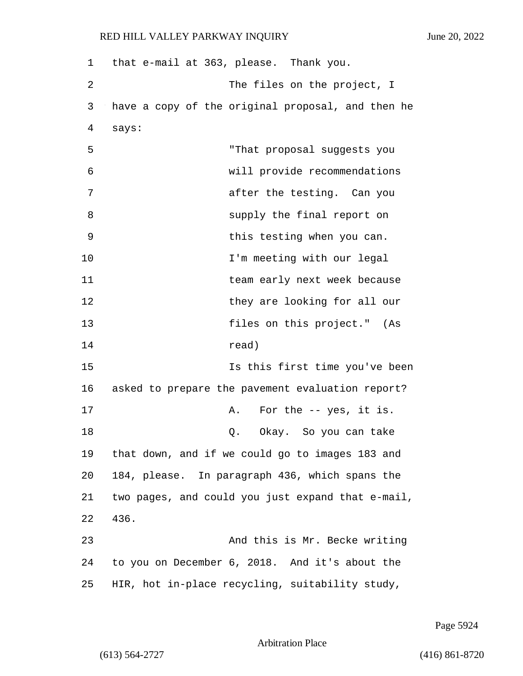| 1  | that e-mail at 363, please. Thank you.            |
|----|---------------------------------------------------|
| 2  | The files on the project, I                       |
| 3  | have a copy of the original proposal, and then he |
| 4  | says:                                             |
| 5  | "That proposal suggests you                       |
| 6  | will provide recommendations                      |
| 7  | after the testing. Can you                        |
| 8  | supply the final report on                        |
| 9  | this testing when you can.                        |
| 10 | I'm meeting with our legal                        |
| 11 | team early next week because                      |
| 12 | they are looking for all our                      |
| 13 | files on this project." (As                       |
| 14 | read)                                             |
| 15 | Is this first time you've been                    |
| 16 | asked to prepare the pavement evaluation report?  |
| 17 | For the $-$ yes, it is.<br>Α.                     |
| 18 | Okay. So you can take<br>Q.                       |
| 19 | that down, and if we could go to images 183 and   |
| 20 | 184, please. In paragraph 436, which spans the    |
| 21 | two pages, and could you just expand that e-mail, |
| 22 | 436.                                              |
| 23 | And this is Mr. Becke writing                     |
| 24 | to you on December 6, 2018. And it's about the    |
| 25 | HIR, hot in-place recycling, suitability study,   |

Page 5924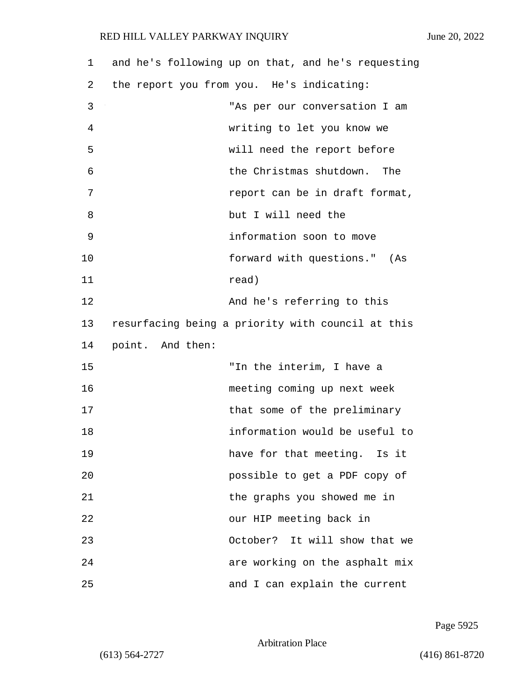| 1  | and he's following up on that, and he's requesting |
|----|----------------------------------------------------|
| 2  | the report you from you. He's indicating:          |
| 3  | "As per our conversation I am                      |
| 4  | writing to let you know we                         |
| 5  | will need the report before                        |
| 6  | the Christmas shutdown. The                        |
| 7  | report can be in draft format,                     |
| 8  | but I will need the                                |
| 9  | information soon to move                           |
| 10 | forward with questions." (As                       |
| 11 | read)                                              |
| 12 | And he's referring to this                         |
| 13 | resurfacing being a priority with council at this  |
| 14 | point. And then:                                   |
| 15 | "In the interim, I have a                          |
| 16 | meeting coming up next week                        |
| 17 | that some of the preliminary                       |
| 18 | information would be useful to                     |
| 19 | have for that meeting. Is it                       |
| 20 | possible to get a PDF copy of                      |
| 21 | the graphs you showed me in                        |
| 22 | our HIP meeting back in                            |
| 23 | October? It will show that we                      |
| 24 | are working on the asphalt mix                     |
| 25 | and I can explain the current                      |

Page 5925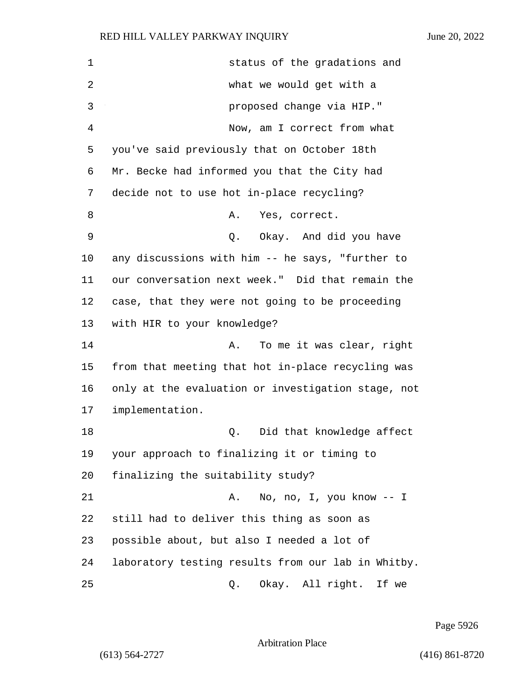1 status of the gradations and 2 what we would get with a 3 proposed change via HIP." 4 Now, am I correct from what 5 you've said previously that on October 18th 6 Mr. Becke had informed you that the City had 7 decide not to use hot in-place recycling? 8 A. Yes, correct. 9 Q. Okay. And did you have 10 any discussions with him -- he says, "further to 11 our conversation next week." Did that remain the 12 case, that they were not going to be proceeding 13 with HIR to your knowledge? 14 A. To me it was clear, right 15 from that meeting that hot in-place recycling was 16 only at the evaluation or investigation stage, not 17 implementation. 18 Q. Did that knowledge affect 19 your approach to finalizing it or timing to 20 finalizing the suitability study? 21 A. No, no, I, you know -- I 22 still had to deliver this thing as soon as 23 possible about, but also I needed a lot of 24 laboratory testing results from our lab in Whitby. 25 Q. Okay. All right. If we

Page 5926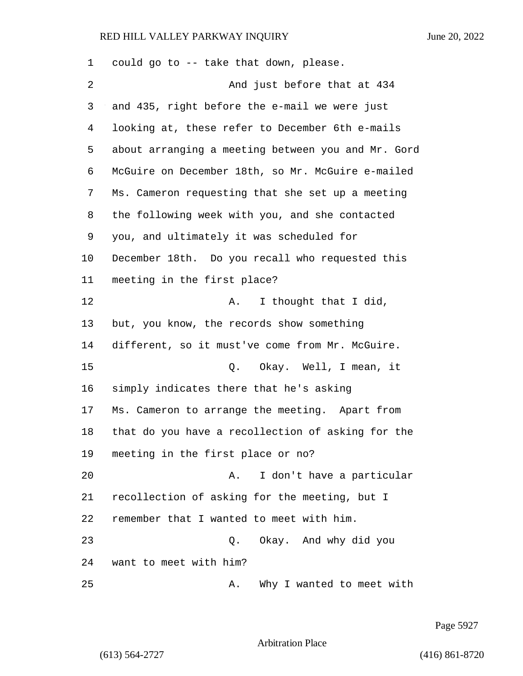| 1  | could go to -- take that down, please.             |
|----|----------------------------------------------------|
| 2  | And just before that at 434                        |
| 3  | and 435, right before the e-mail we were just      |
| 4  | looking at, these refer to December 6th e-mails    |
| 5  | about arranging a meeting between you and Mr. Gord |
| 6  | McGuire on December 18th, so Mr. McGuire e-mailed  |
| 7  | Ms. Cameron requesting that she set up a meeting   |
| 8  | the following week with you, and she contacted     |
| 9  | you, and ultimately it was scheduled for           |
| 10 | December 18th. Do you recall who requested this    |
| 11 | meeting in the first place?                        |
| 12 | I thought that I did,<br>Α.                        |
| 13 | but, you know, the records show something          |
| 14 | different, so it must've come from Mr. McGuire.    |
| 15 | Okay. Well, I mean, it<br>Q.                       |
| 16 | simply indicates there that he's asking            |
| 17 | Ms. Cameron to arrange the meeting. Apart from     |
| 18 | that do you have a recollection of asking for the  |
| 19 | meeting in the first place or no?                  |
| 20 | I don't have a particular<br>Α.                    |
| 21 | recollection of asking for the meeting, but I      |
| 22 | remember that I wanted to meet with him.           |
| 23 | Okay. And why did you<br>Q.                        |
| 24 | want to meet with him?                             |
| 25 | Why I wanted to meet with<br>Α.                    |

Page 5927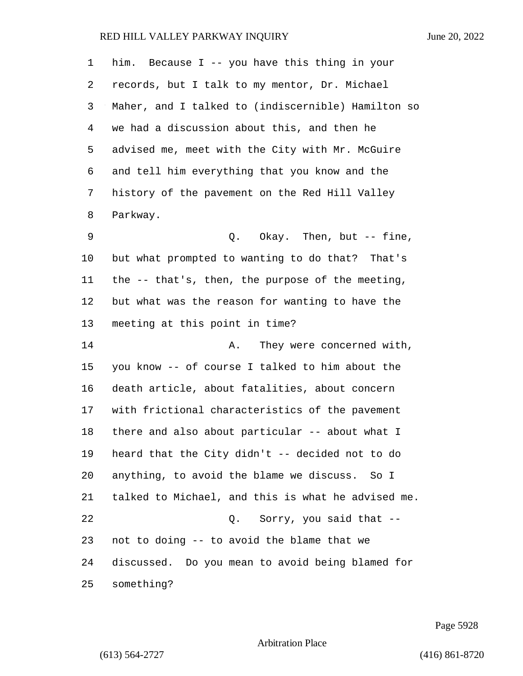| 1  | him. Because I -- you have this thing in your      |
|----|----------------------------------------------------|
| 2  | records, but I talk to my mentor, Dr. Michael      |
| 3  | Maher, and I talked to (indiscernible) Hamilton so |
| 4  | we had a discussion about this, and then he        |
| 5  | advised me, meet with the City with Mr. McGuire    |
| 6  | and tell him everything that you know and the      |
| 7  | history of the pavement on the Red Hill Valley     |
| 8  | Parkway.                                           |
| 9  | Q. Okay. Then, but -- fine,                        |
| 10 | but what prompted to wanting to do that? That's    |
| 11 | the -- that's, then, the purpose of the meeting,   |
| 12 | but what was the reason for wanting to have the    |
| 13 | meeting at this point in time?                     |
| 14 | They were concerned with,<br>Α.                    |
| 15 | you know -- of course I talked to him about the    |
| 16 | death article, about fatalities, about concern     |
| 17 | with frictional characteristics of the pavement    |
| 18 | there and also about particular -- about what I    |
| 19 | heard that the City didn't -- decided not to do    |
| 20 | anything, to avoid the blame we discuss. So I      |
| 21 | talked to Michael, and this is what he advised me. |
| 22 | Sorry, you said that --<br>Q.                      |
| 23 | not to doing -- to avoid the blame that we         |
| 24 | discussed. Do you mean to avoid being blamed for   |
| 25 | something?                                         |

Page 5928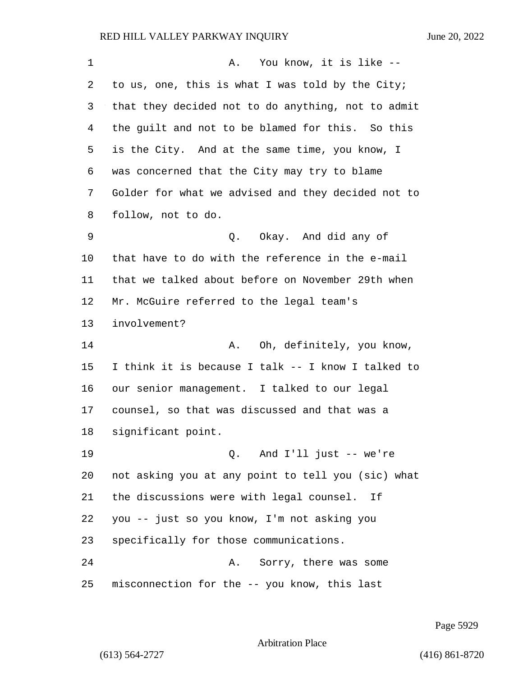| 1       | You know, it is like --<br>A.                      |
|---------|----------------------------------------------------|
| 2       | to us, one, this is what I was told by the City;   |
| 3       | that they decided not to do anything, not to admit |
| 4       | the guilt and not to be blamed for this. So this   |
| 5       | is the City. And at the same time, you know, I     |
| 6       | was concerned that the City may try to blame       |
| 7       | Golder for what we advised and they decided not to |
| 8       | follow, not to do.                                 |
| 9       | Q. Okay. And did any of                            |
| $10 \,$ | that have to do with the reference in the e-mail   |
| 11      | that we talked about before on November 29th when  |
| 12      | Mr. McGuire referred to the legal team's           |
| 13      | involvement?                                       |
| 14      | Oh, definitely, you know,<br>Α.                    |
| 15      | I think it is because I talk -- I know I talked to |
| 16      | our senior management. I talked to our legal       |
| 17      | counsel, so that was discussed and that was a      |
| 18      | significant point.                                 |
| 19      | 0. And I'll just -- we're                          |
| 20      | not asking you at any point to tell you (sic) what |
| 21      | the discussions were with legal counsel. If        |
| 22      | you -- just so you know, I'm not asking you        |
| 23      | specifically for those communications.             |
| 24      | Sorry, there was some<br>Α.                        |
| 25      | misconnection for the -- you know, this last       |

Page 5929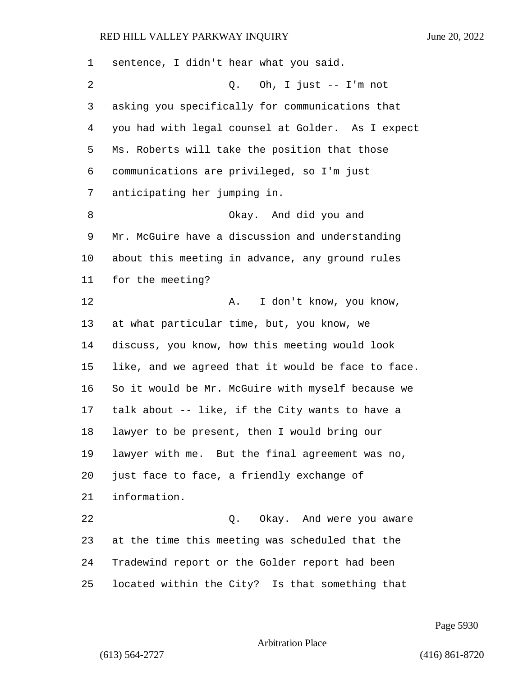| 1       | sentence, I didn't hear what you said.             |
|---------|----------------------------------------------------|
| 2       | Q. Oh, I just $--$ I'm not                         |
| 3       | asking you specifically for communications that    |
| 4       | you had with legal counsel at Golder. As I expect  |
| 5       | Ms. Roberts will take the position that those      |
| 6       | communications are privileged, so I'm just         |
| 7       | anticipating her jumping in.                       |
| 8       | Okay. And did you and                              |
| 9       | Mr. McGuire have a discussion and understanding    |
| $10 \,$ | about this meeting in advance, any ground rules    |
| 11      | for the meeting?                                   |
| 12      | I don't know, you know,<br>Α.                      |
| 13      | at what particular time, but, you know, we         |
| 14      | discuss, you know, how this meeting would look     |
| 15      | like, and we agreed that it would be face to face. |
| 16      | So it would be Mr. McGuire with myself because we  |
| 17      | talk about -- like, if the City wants to have a    |
| 18      | lawyer to be present, then I would bring our       |
| 19      | lawyer with me. But the final agreement was no,    |
| 20      | just face to face, a friendly exchange of          |
| 21      | information.                                       |
| 22      | Q. Okay. And were you aware                        |
| 23      | at the time this meeting was scheduled that the    |
| 24      | Tradewind report or the Golder report had been     |
| 25      | located within the City? Is that something that    |

Page 5930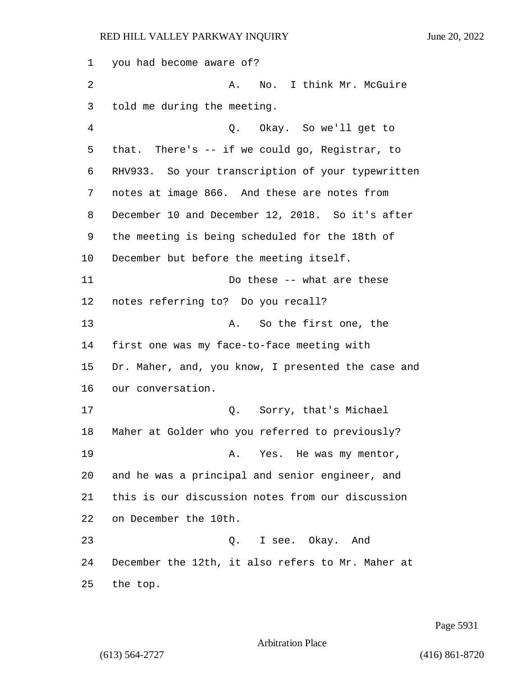you had become aware of? 2 A. No. I think Mr. McGuire told me during the meeting. 4 Q. Okay. So we'll get to that. There's -- if we could go, Registrar, to RHV933. So your transcription of your typewritten notes at image 866. And these are notes from December 10 and December 12, 2018. So it's after the meeting is being scheduled for the 18th of December but before the meeting itself. 11 Do these -- what are these notes referring to? Do you recall? 13 A. So the first one, the first one was my face-to-face meeting with Dr. Maher, and, you know, I presented the case and our conversation. 17 Q. Sorry, that's Michael Maher at Golder who you referred to previously? 19 A. Yes. He was my mentor, and he was a principal and senior engineer, and this is our discussion notes from our discussion on December the 10th. 23 Q. I see. Okay. And December the 12th, it also refers to Mr. Maher at the top.

Page 5931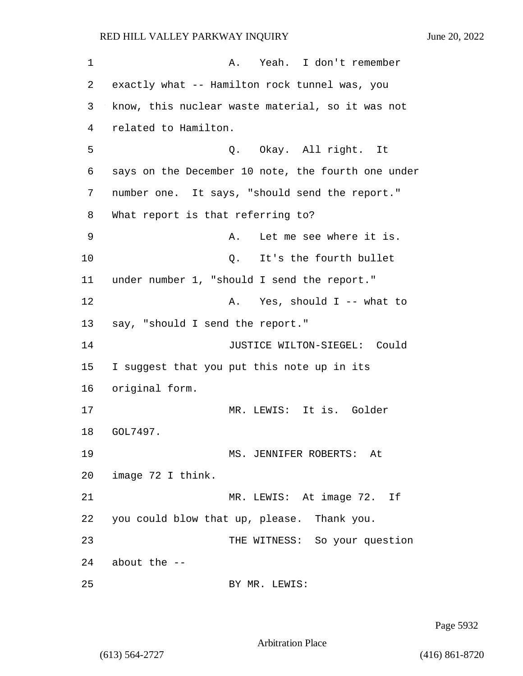1 A. Yeah. I don't remember 2 exactly what -- Hamilton rock tunnel was, you 3 know, this nuclear waste material, so it was not 4 related to Hamilton. 5 Q. Okay. All right. It 6 says on the December 10 note, the fourth one under 7 number one. It says, "should send the report." 8 What report is that referring to? 9 A. Let me see where it is. 10 Q. It's the fourth bullet 11 under number 1, "should I send the report." 12 A. Yes, should I -- what to 13 say, "should I send the report." 14 JUSTICE WILTON-SIEGEL: Could 15 I suggest that you put this note up in its 16 original form. 17 MR. LEWIS: It is. Golder 18 GOL7497. 19 MS. JENNIFER ROBERTS: At 20 image 72 I think. 21 MR. LEWIS: At image 72. If 22 you could blow that up, please. Thank you. 23 THE WITNESS: So your question 24 about the -- 25 BY MR. LEWIS:

Page 5932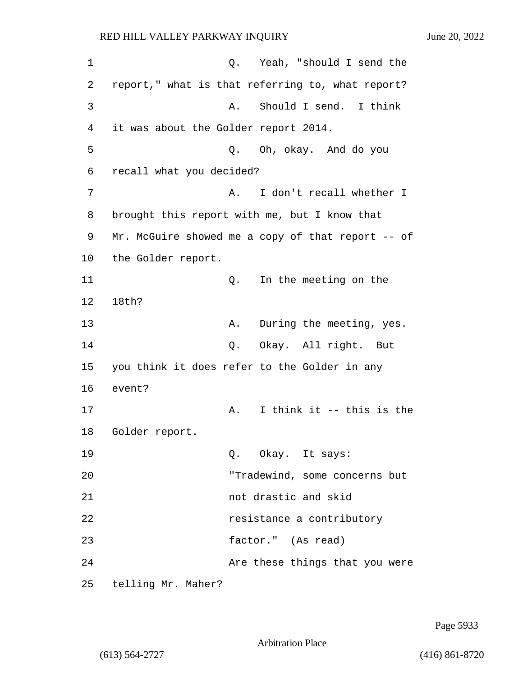1 Q. Yeah, "should I send the 2 report," what is that referring to, what report? 3 A. Should I send. I think 4 it was about the Golder report 2014. 5 Q. Oh, okay. And do you 6 recall what you decided? 7 A. I don't recall whether I 8 brought this report with me, but I know that 9 Mr. McGuire showed me a copy of that report -- of 10 the Golder report. 11 Q. In the meeting on the 12 18th? 13 A. During the meeting, yes. 14 Q. Okay. All right. But 15 you think it does refer to the Golder in any 16 event? 17 A. I think it -- this is the 18 Golder report. 19 Q. Okay. It says: 20 "Tradewind, some concerns but 21 not drastic and skid 22 resistance a contributory 23 factor." (As read) 24 Are these things that you were 25 telling Mr. Maher?

Page 5933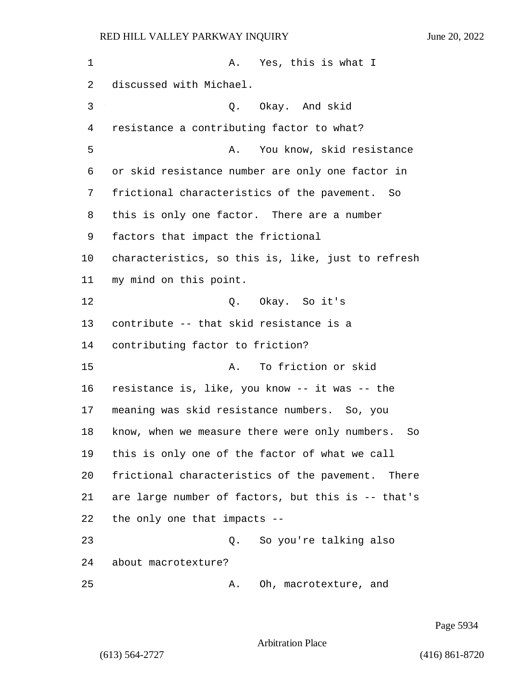1 A. Yes, this is what I discussed with Michael. 3 Q. Okay. And skid resistance a contributing factor to what? 5 A. You know, skid resistance or skid resistance number are only one factor in frictional characteristics of the pavement. So this is only one factor. There are a number factors that impact the frictional characteristics, so this is, like, just to refresh my mind on this point. 12 O. Okay. So it's contribute -- that skid resistance is a contributing factor to friction? 15 A. To friction or skid resistance is, like, you know -- it was -- the meaning was skid resistance numbers. So, you know, when we measure there were only numbers. So this is only one of the factor of what we call frictional characteristics of the pavement. There are large number of factors, but this is -- that's the only one that impacts -- 23 Q. So you're talking also about macrotexture? 25 A. Oh, macrotexture, and

Page 5934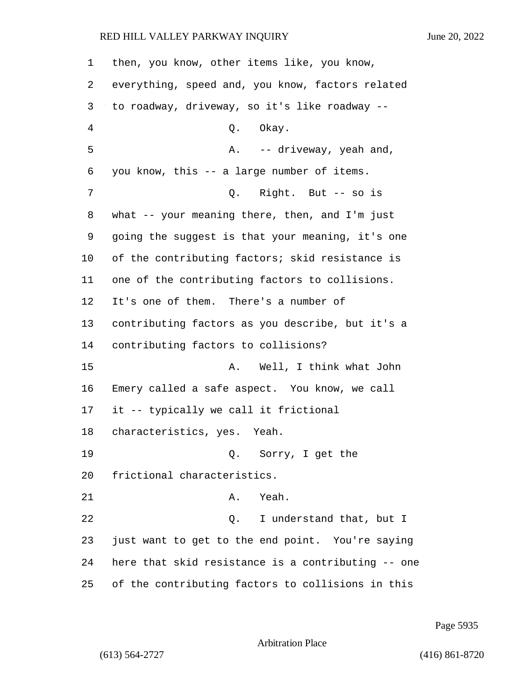| 1       | then, you know, other items like, you know,        |
|---------|----------------------------------------------------|
| 2       | everything, speed and, you know, factors related   |
| 3       | to roadway, driveway, so it's like roadway --      |
| 4       | Q. Okay.                                           |
| 5       | A. -- driveway, yeah and,                          |
| 6       | you know, this -- a large number of items.         |
| 7       | Q. Right. But -- so is                             |
| 8       | what -- your meaning there, then, and I'm just     |
| 9       | going the suggest is that your meaning, it's one   |
| $10 \,$ | of the contributing factors; skid resistance is    |
| 11      | one of the contributing factors to collisions.     |
| 12      | It's one of them. There's a number of              |
| 13      | contributing factors as you describe, but it's a   |
| 14      | contributing factors to collisions?                |
| 15      | Well, I think what John<br>Α.                      |
| 16      | Emery called a safe aspect. You know, we call      |
| 17      | it -- typically we call it frictional              |
| 18      | characteristics, yes. Yeah.                        |
| 19      | Q. Sorry, I get the                                |
| 20      | frictional characteristics.                        |
| 21      | Yeah.<br>Α.                                        |
| 22      | I understand that, but I<br>Q.                     |
| 23      | just want to get to the end point. You're saying   |
| 24      | here that skid resistance is a contributing -- one |
| 25      | of the contributing factors to collisions in this  |

Page 5935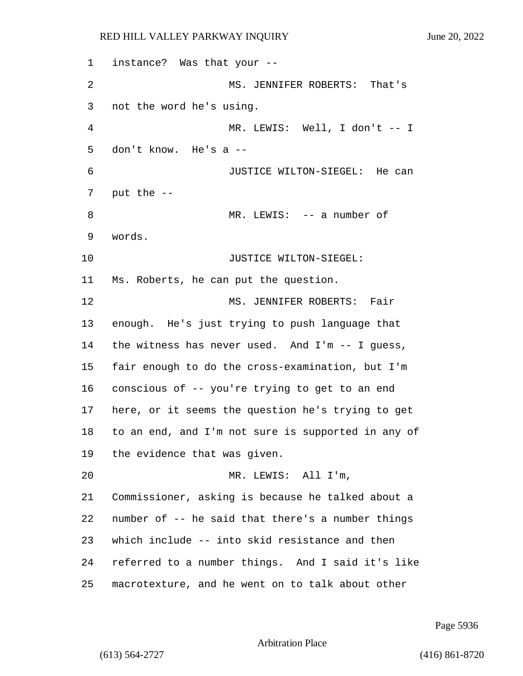instance? Was that your -- 2 MS. JENNIFER ROBERTS: That's not the word he's using. 4 MR. LEWIS: Well, I don't -- I don't know. He's a -- 6 JUSTICE WILTON-SIEGEL: He can put the -- 8 MR. LEWIS: -- a number of words. 10 JUSTICE WILTON-SIEGEL: Ms. Roberts, he can put the question. 12 MS. JENNIFER ROBERTS: Fair enough. He's just trying to push language that the witness has never used. And I'm -- I guess, fair enough to do the cross-examination, but I'm conscious of -- you're trying to get to an end here, or it seems the question he's trying to get to an end, and I'm not sure is supported in any of the evidence that was given. 20 MR. LEWIS: All I'm, Commissioner, asking is because he talked about a number of -- he said that there's a number things which include -- into skid resistance and then referred to a number things. And I said it's like macrotexture, and he went on to talk about other

Page 5936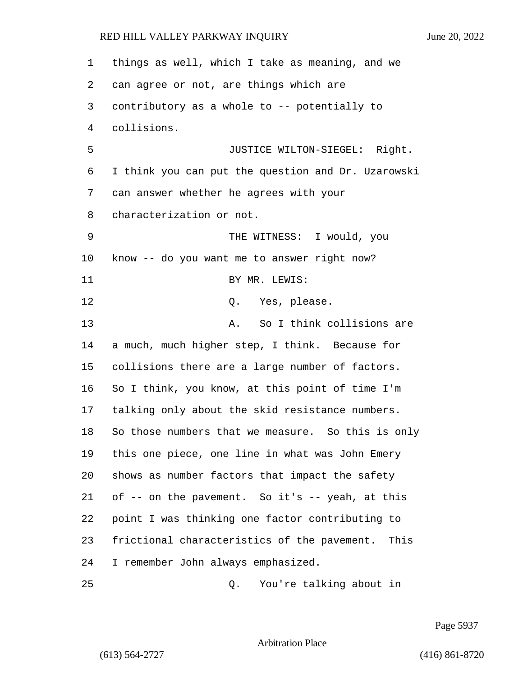things as well, which I take as meaning, and we can agree or not, are things which are contributory as a whole to -- potentially to collisions. 5 JUSTICE WILTON-SIEGEL: Right. I think you can put the question and Dr. Uzarowski can answer whether he agrees with your characterization or not. 9 THE WITNESS: I would, you know -- do you want me to answer right now? 11 BY MR. LEWIS: 12 O. Yes, please. 13 A. So I think collisions are a much, much higher step, I think. Because for collisions there are a large number of factors. So I think, you know, at this point of time I'm talking only about the skid resistance numbers. So those numbers that we measure. So this is only this one piece, one line in what was John Emery shows as number factors that impact the safety 21 of  $-$ - on the pavement. So it's  $-$ - yeah, at this point I was thinking one factor contributing to frictional characteristics of the pavement. This I remember John always emphasized. 25 Q. You're talking about in

Page 5937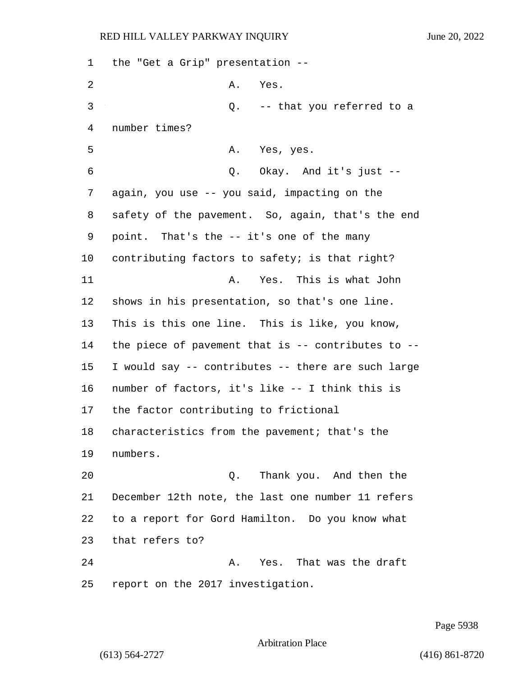the "Get a Grip" presentation -- 2 A. Yes. 3 Q. -- that you referred to a number times? 5 A. Yes, yes. 6 Q. Okay. And it's just -- again, you use -- you said, impacting on the safety of the pavement. So, again, that's the end point. That's the -- it's one of the many contributing factors to safety; is that right? 11 A. Yes. This is what John shows in his presentation, so that's one line. This is this one line. This is like, you know, the piece of pavement that is -- contributes to -- I would say -- contributes -- there are such large number of factors, it's like -- I think this is the factor contributing to frictional characteristics from the pavement; that's the numbers. 20 Q. Thank you. And then the December 12th note, the last one number 11 refers to a report for Gord Hamilton. Do you know what that refers to? 24 A. Yes. That was the draft report on the 2017 investigation.

Page 5938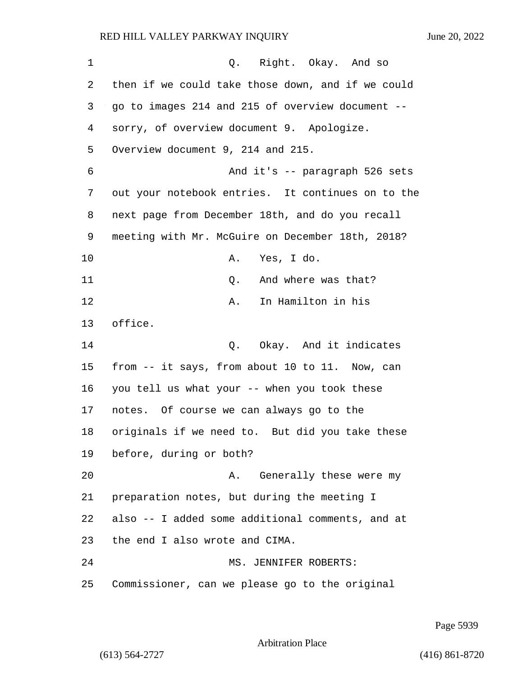| 1  | Q. Right. Okay. And so                            |
|----|---------------------------------------------------|
| 2  | then if we could take those down, and if we could |
| 3  | go to images 214 and 215 of overview document --  |
| 4  | sorry, of overview document 9. Apologize.         |
| 5  | Overview document 9, 214 and 215.                 |
| 6  | And it's -- paragraph 526 sets                    |
| 7  | out your notebook entries. It continues on to the |
| 8  | next page from December 18th, and do you recall   |
| 9  | meeting with Mr. McGuire on December 18th, 2018?  |
| 10 | Yes, I do.<br>Α.                                  |
| 11 | And where was that?<br>Q.                         |
| 12 | In Hamilton in his<br>Α.                          |
| 13 | office.                                           |
| 14 | Okay. And it indicates<br>Q.                      |
| 15 | from -- it says, from about 10 to 11. Now, can    |
| 16 | you tell us what your -- when you took these      |
| 17 | notes. Of course we can always go to the          |
| 18 | originals if we need to. But did you take these   |
| 19 | before, during or both?                           |
| 20 | Generally these were my<br>Α.                     |
| 21 | preparation notes, but during the meeting I       |
| 22 | also -- I added some additional comments, and at  |
| 23 | the end I also wrote and CIMA.                    |
| 24 | MS. JENNIFER ROBERTS:                             |
| 25 | Commissioner, can we please go to the original    |

Page 5939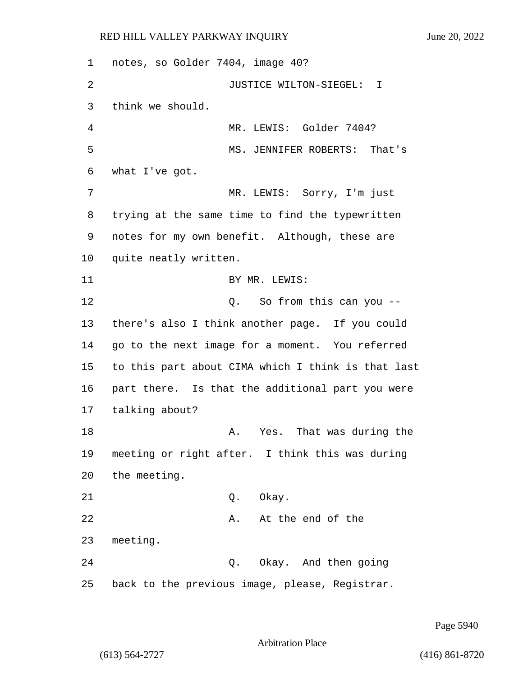1 notes, so Golder 7404, image 40? 2 JUSTICE WILTON-SIEGEL: I 3 think we should. 4 MR. LEWIS: Golder 7404? 5 MS. JENNIFER ROBERTS: That's 6 what I've got. 7 MR. LEWIS: Sorry, I'm just 8 trying at the same time to find the typewritten 9 notes for my own benefit. Although, these are 10 quite neatly written. 11 BY MR. LEWIS: 12 O. So from this can you --13 there's also I think another page. If you could 14 go to the next image for a moment. You referred 15 to this part about CIMA which I think is that last 16 part there. Is that the additional part you were 17 talking about? 18 A. Yes. That was during the 19 meeting or right after. I think this was during 20 the meeting. 21 Q. Okay. 22 A. At the end of the 23 meeting. 24 Q. Okay. And then going 25 back to the previous image, please, Registrar.

Page 5940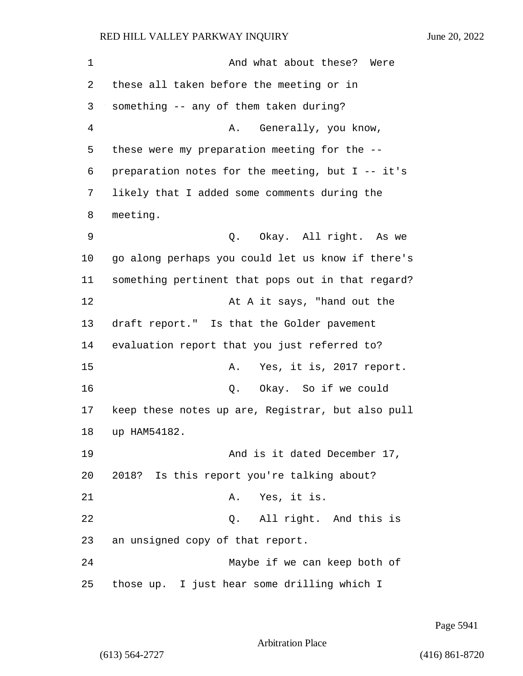| 1  | And what about these? Were                        |
|----|---------------------------------------------------|
| 2  | these all taken before the meeting or in          |
| 3  | something -- any of them taken during?            |
| 4  | Generally, you know,<br>Α.                        |
| 5  | these were my preparation meeting for the --      |
| 6  | preparation notes for the meeting, but I -- it's  |
| 7  | likely that I added some comments during the      |
| 8  | meeting.                                          |
| 9  | Q. Okay. All right. As we                         |
| 10 | go along perhaps you could let us know if there's |
| 11 | something pertinent that pops out in that regard? |
| 12 | At A it says, "hand out the                       |
| 13 | draft report." Is that the Golder pavement        |
| 14 | evaluation report that you just referred to?      |
| 15 | Yes, it is, 2017 report.<br>Α.                    |
| 16 | Okay. So if we could<br>Q.                        |
| 17 | keep these notes up are, Registrar, but also pull |
| 18 | up HAM54182.                                      |
| 19 | And is it dated December 17,                      |
| 20 | 2018? Is this report you're talking about?        |
| 21 | Yes, it is.<br>Α.                                 |
| 22 | Q. All right. And this is                         |
| 23 | an unsigned copy of that report.                  |
| 24 | Maybe if we can keep both of                      |
| 25 | those up. I just hear some drilling which I       |

Page 5941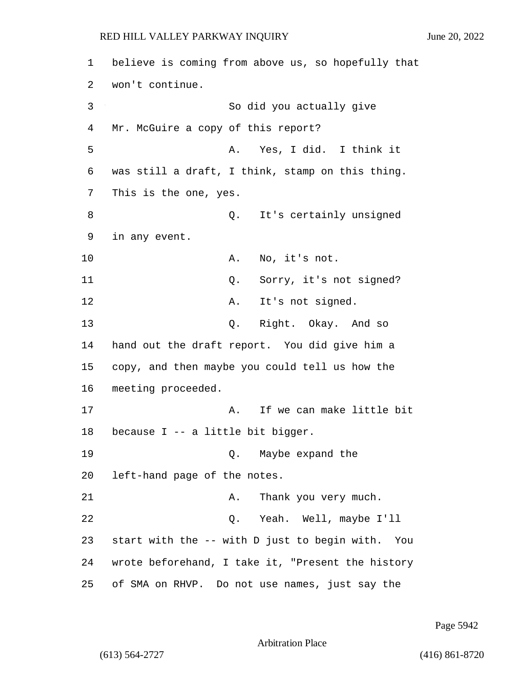1 believe is coming from above us, so hopefully that 2 won't continue. 3 So did you actually give 4 Mr. McGuire a copy of this report? 5 A. Yes, I did. I think it 6 was still a draft, I think, stamp on this thing. 7 This is the one, yes. 8 and 2. It's certainly unsigned 9 in any event. 10 A. No, it's not. 11 Q. Sorry, it's not signed? 12 A. It's not signed. 13 Q. Right. Okay. And so 14 hand out the draft report. You did give him a 15 copy, and then maybe you could tell us how the 16 meeting proceeded. 17 a. If we can make little bit 18 because I -- a little bit bigger. 19 Q. Maybe expand the 20 left-hand page of the notes. 21 A. Thank you very much. 22 Q. Yeah. Well, maybe I'll 23 start with the -- with D just to begin with. You 24 wrote beforehand, I take it, "Present the history 25 of SMA on RHVP. Do not use names, just say the

Page 5942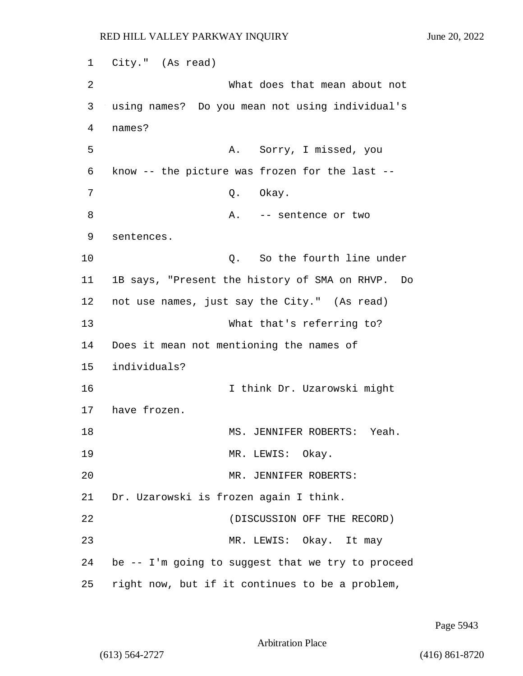1 City." (As read) 2 What does that mean about not 3 using names? Do you mean not using individual's 4 names? 5 A. Sorry, I missed, you 6 know -- the picture was frozen for the last -- 7 0. Okay. 8 A. -- sentence or two 9 sentences. 10 Q. So the fourth line under 11 1B says, "Present the history of SMA on RHVP. Do 12 not use names, just say the City." (As read) 13 What that's referring to? 14 Does it mean not mentioning the names of 15 individuals? 16 I think Dr. Uzarowski might 17 have frozen. 18 MS. JENNIFER ROBERTS: Yeah. 19 MR. LEWIS: Okay. 20 MR. JENNIFER ROBERTS: 21 Dr. Uzarowski is frozen again I think. 22 (DISCUSSION OFF THE RECORD) 23 MR. LEWIS: Okay. It may 24 be -- I'm going to suggest that we try to proceed 25 right now, but if it continues to be a problem,

Page 5943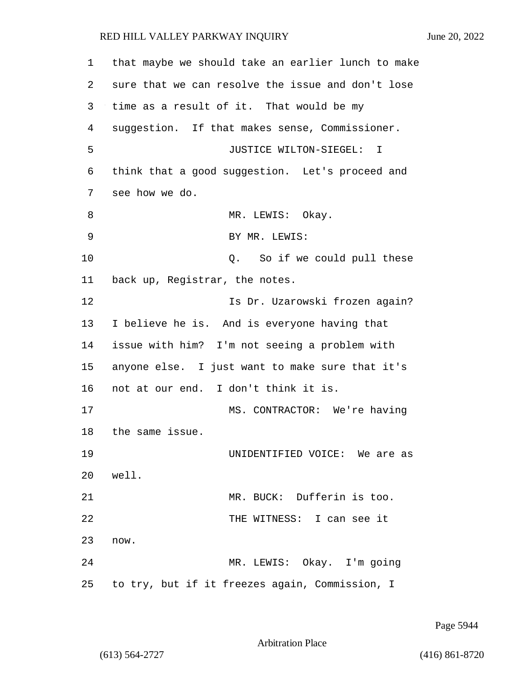| 1           | that maybe we should take an earlier lunch to make |
|-------------|----------------------------------------------------|
| 2           | sure that we can resolve the issue and don't lose  |
| 3           | time as a result of it. That would be my           |
| 4           | suggestion. If that makes sense, Commissioner.     |
| 5           | JUSTICE WILTON-SIEGEL: I                           |
| 6           | think that a good suggestion. Let's proceed and    |
| 7           | see how we do.                                     |
| 8           | MR. LEWIS: Okay.                                   |
| $\mathsf 9$ | BY MR. LEWIS:                                      |
| 10          | Q. So if we could pull these                       |
| 11          | back up, Registrar, the notes.                     |
| 12          | Is Dr. Uzarowski frozen again?                     |
| 13          | I believe he is. And is everyone having that       |
| 14          | issue with him? I'm not seeing a problem with      |
| 15          | anyone else. I just want to make sure that it's    |
| 16          | not at our end. I don't think it is.               |
| 17          | MS. CONTRACTOR: We're having                       |
| 18          | the same issue.                                    |
| 19          | UNIDENTIFIED VOICE: We are as                      |
| 20          | well.                                              |
| 21          | MR. BUCK: Dufferin is too.                         |
| 22          | THE WITNESS: I can see it                          |
| 23          | now.                                               |
| 24          | MR. LEWIS: Okay. I'm going                         |
| 25          | to try, but if it freezes again, Commission, I     |

Page 5944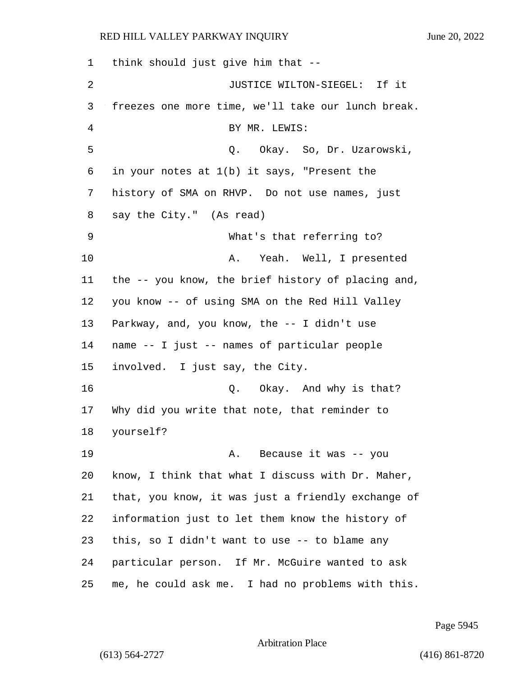| 1  | think should just give him that --                 |
|----|----------------------------------------------------|
| 2  | JUSTICE WILTON-SIEGEL: If it                       |
| 3  | freezes one more time, we'll take our lunch break. |
| 4  | BY MR. LEWIS:                                      |
| 5  | Q. Okay. So, Dr. Uzarowski,                        |
| 6  | in your notes at 1(b) it says, "Present the        |
| 7  | history of SMA on RHVP. Do not use names, just     |
| 8  | say the City." (As read)                           |
| 9  | What's that referring to?                          |
| 10 | Yeah. Well, I presented<br>Α.                      |
| 11 | the -- you know, the brief history of placing and, |
| 12 | you know -- of using SMA on the Red Hill Valley    |
| 13 | Parkway, and, you know, the -- I didn't use        |
| 14 | name -- I just -- names of particular people       |
| 15 | involved. I just say, the City.                    |
| 16 | Q. Okay. And why is that?                          |
| 17 | Why did you write that note, that reminder to      |
| 18 | yourself?                                          |
| 19 | A. Because it was -- you                           |
| 20 | know, I think that what I discuss with Dr. Maher,  |
| 21 | that, you know, it was just a friendly exchange of |
| 22 | information just to let them know the history of   |
| 23 | this, so I didn't want to use -- to blame any      |
| 24 | particular person. If Mr. McGuire wanted to ask    |
| 25 | me, he could ask me. I had no problems with this.  |

Page 5945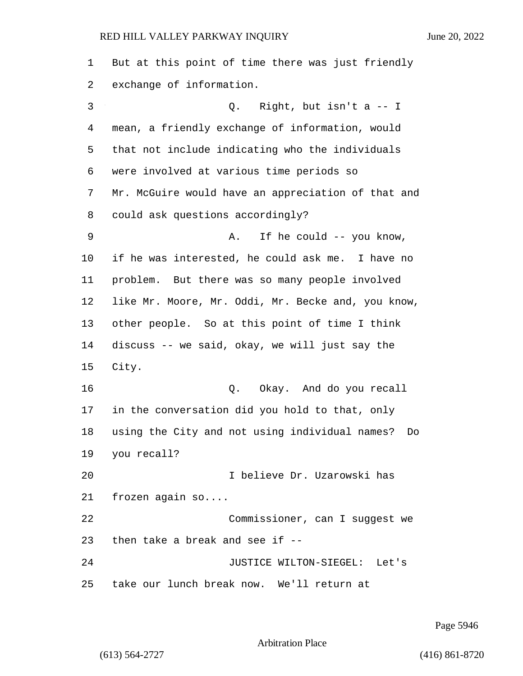| 1  | But at this point of time there was just friendly    |
|----|------------------------------------------------------|
| 2  | exchange of information.                             |
| 3  | Q. Right, but isn't a $-1$                           |
| 4  | mean, a friendly exchange of information, would      |
| 5  | that not include indicating who the individuals      |
| 6  | were involved at various time periods so             |
| 7  | Mr. McGuire would have an appreciation of that and   |
| 8  | could ask questions accordingly?                     |
| 9  | If he could -- you know,<br>Α.                       |
| 10 | if he was interested, he could ask me. I have no     |
| 11 | problem. But there was so many people involved       |
| 12 | like Mr. Moore, Mr. Oddi, Mr. Becke and, you know,   |
| 13 | other people. So at this point of time I think       |
| 14 | discuss -- we said, okay, we will just say the       |
| 15 | City.                                                |
| 16 | Okay. And do you recall<br>Q.                        |
| 17 | in the conversation did you hold to that, only       |
| 18 | using the City and not using individual names?<br>Do |
| 19 | you recall?                                          |
| 20 | I believe Dr. Uzarowski has                          |
| 21 | frozen again $so$                                    |
| 22 | Commissioner, can I suggest we                       |
| 23 | then take a break and see if --                      |
| 24 | JUSTICE WILTON-SIEGEL: Let's                         |
| 25 | take our lunch break now. We'll return at            |

Page 5946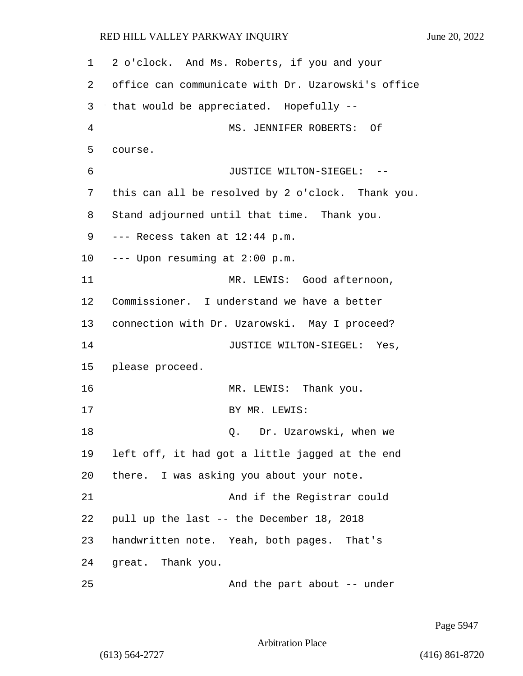| 1  | 2 o'clock. And Ms. Roberts, if you and your        |
|----|----------------------------------------------------|
| 2  | office can communicate with Dr. Uzarowski's office |
| 3  | that would be appreciated. Hopefully --            |
| 4  | MS. JENNIFER ROBERTS: Of                           |
| 5  | course.                                            |
| 6  | JUSTICE WILTON-SIEGEL: --                          |
| 7  | this can all be resolved by 2 o'clock. Thank you.  |
| 8  | Stand adjourned until that time. Thank you.        |
| 9  | --- Recess taken at 12:44 p.m.                     |
| 10 | --- Upon resuming at 2:00 p.m.                     |
| 11 | MR. LEWIS: Good afternoon,                         |
| 12 | Commissioner. I understand we have a better        |
| 13 | connection with Dr. Uzarowski. May I proceed?      |
| 14 | JUSTICE WILTON-SIEGEL: Yes,                        |
| 15 | please proceed.                                    |
| 16 | MR. LEWIS: Thank you.                              |
| 17 | BY MR. LEWIS:                                      |
| 18 | Dr. Uzarowski, when we<br>Q.                       |
| 19 | left off, it had got a little jagged at the end    |
| 20 | there. I was asking you about your note.           |
| 21 | And if the Registrar could                         |
| 22 | pull up the last -- the December 18, 2018          |
| 23 | handwritten note. Yeah, both pages. That's         |
| 24 | great. Thank you.                                  |
| 25 | And the part about -- under                        |

Page 5947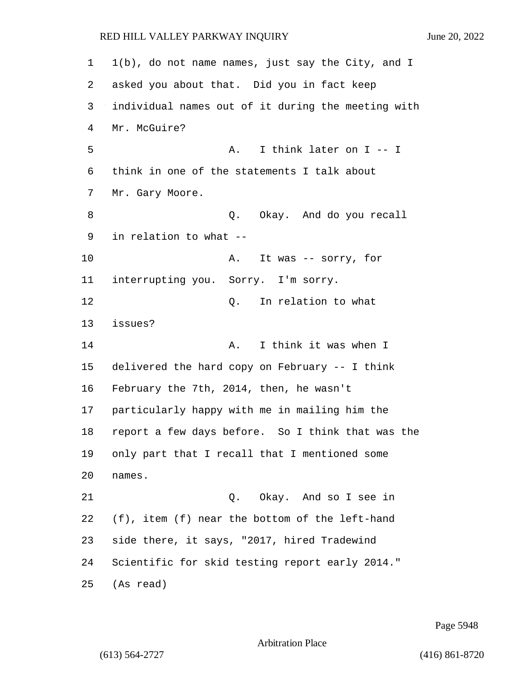1(b), do not name names, just say the City, and I asked you about that. Did you in fact keep individual names out of it during the meeting with Mr. McGuire? 5 A. I think later on I -- I think in one of the statements I talk about Mr. Gary Moore. 8 and  $Q.$  Okay. And do you recall in relation to what -- 10 A. It was -- sorry, for interrupting you. Sorry. I'm sorry. 12 C. In relation to what issues? 14 A. I think it was when I delivered the hard copy on February -- I think February the 7th, 2014, then, he wasn't particularly happy with me in mailing him the report a few days before. So I think that was the only part that I recall that I mentioned some names. 21 Q. Okay. And so I see in (f), item (f) near the bottom of the left-hand side there, it says, "2017, hired Tradewind Scientific for skid testing report early 2014." (As read)

Page 5948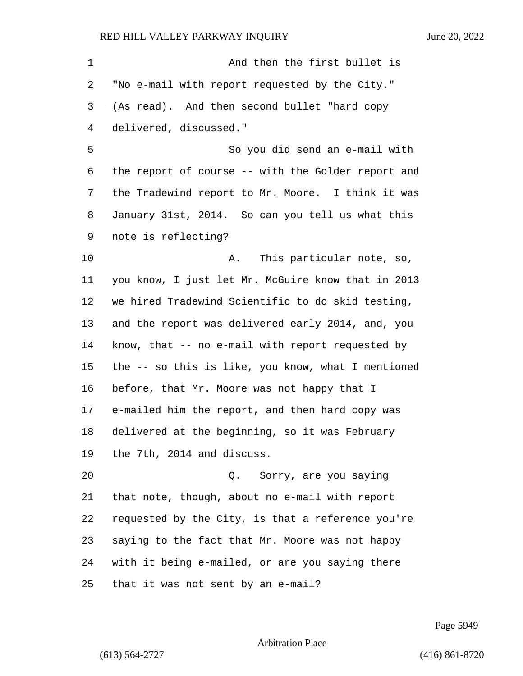| 1  | And then the first bullet is                       |
|----|----------------------------------------------------|
| 2  | "No e-mail with report requested by the City."     |
| 3  | (As read). And then second bullet "hard copy       |
| 4  | delivered, discussed."                             |
| 5  | So you did send an e-mail with                     |
| 6  | the report of course -- with the Golder report and |
| 7  | the Tradewind report to Mr. Moore. I think it was  |
| 8  | January 31st, 2014. So can you tell us what this   |
| 9  | note is reflecting?                                |
| 10 | This particular note, so,<br>Α.                    |
| 11 | you know, I just let Mr. McGuire know that in 2013 |
| 12 | we hired Tradewind Scientific to do skid testing,  |
| 13 | and the report was delivered early 2014, and, you  |
| 14 | know, that -- no e-mail with report requested by   |
| 15 | the -- so this is like, you know, what I mentioned |
| 16 | before, that Mr. Moore was not happy that I        |
| 17 | e-mailed him the report, and then hard copy was    |
| 18 | delivered at the beginning, so it was February     |
| 19 | the 7th, 2014 and discuss.                         |
| 20 | Sorry, are you saying<br>Q.                        |
| 21 | that note, though, about no e-mail with report     |
| 22 | requested by the City, is that a reference you're  |
| 23 | saying to the fact that Mr. Moore was not happy    |
| 24 | with it being e-mailed, or are you saying there    |
| 25 | that it was not sent by an e-mail?                 |

Page 5949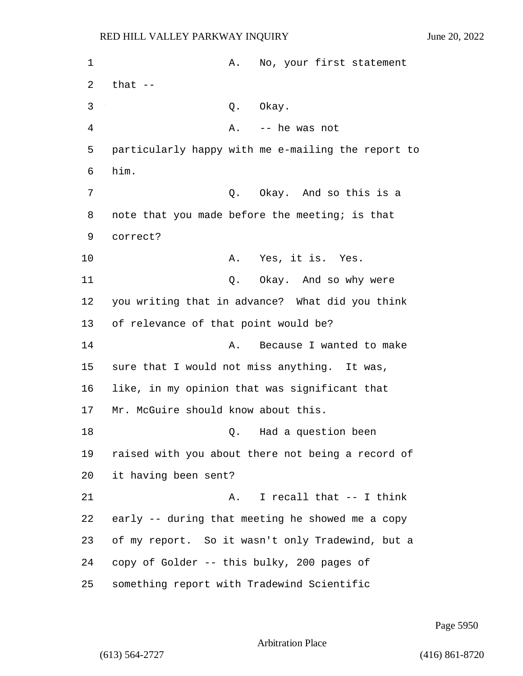1 A. No, your first statement 2  $that$   $-$ 3 Q. Okay. 4 A. -- he was not 5 particularly happy with me e-mailing the report to 6 him. 7 C. Okay. And so this is a 8 note that you made before the meeting; is that 9 correct? 10 A. Yes, it is. Yes. 11 C. Okay. And so why were 12 you writing that in advance? What did you think 13 of relevance of that point would be? 14 **A.** Because I wanted to make 15 sure that I would not miss anything. It was, 16 like, in my opinion that was significant that 17 Mr. McGuire should know about this. 18 Q. Had a question been 19 raised with you about there not being a record of 20 it having been sent? 21 A. I recall that -- I think 22 early -- during that meeting he showed me a copy 23 of my report. So it wasn't only Tradewind, but a 24 copy of Golder -- this bulky, 200 pages of 25 something report with Tradewind Scientific

Page 5950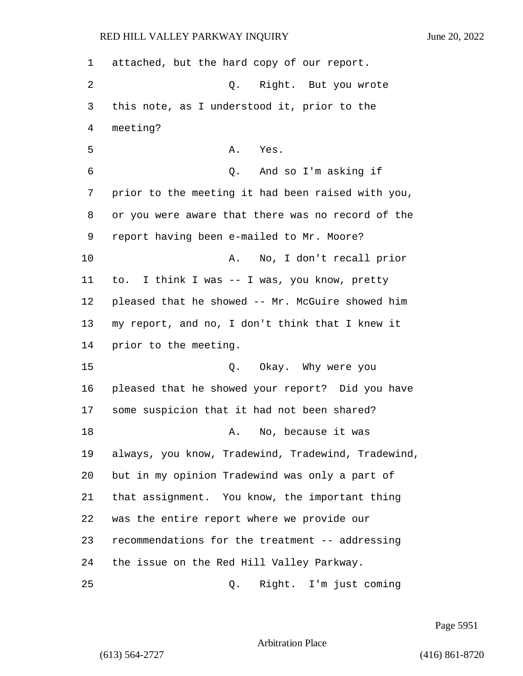attached, but the hard copy of our report. 2 Q. Right. But you wrote this note, as I understood it, prior to the meeting? 5 A. Yes. 6 Q. And so I'm asking if prior to the meeting it had been raised with you, or you were aware that there was no record of the report having been e-mailed to Mr. Moore? 10 A. No, I don't recall prior to. I think I was -- I was, you know, pretty pleased that he showed -- Mr. McGuire showed him my report, and no, I don't think that I knew it prior to the meeting. 15 Q. Okay. Why were you pleased that he showed your report? Did you have some suspicion that it had not been shared? 18 A. No, because it was always, you know, Tradewind, Tradewind, Tradewind, but in my opinion Tradewind was only a part of that assignment. You know, the important thing was the entire report where we provide our recommendations for the treatment -- addressing the issue on the Red Hill Valley Parkway. 25 Q. Right. I'm just coming

Page 5951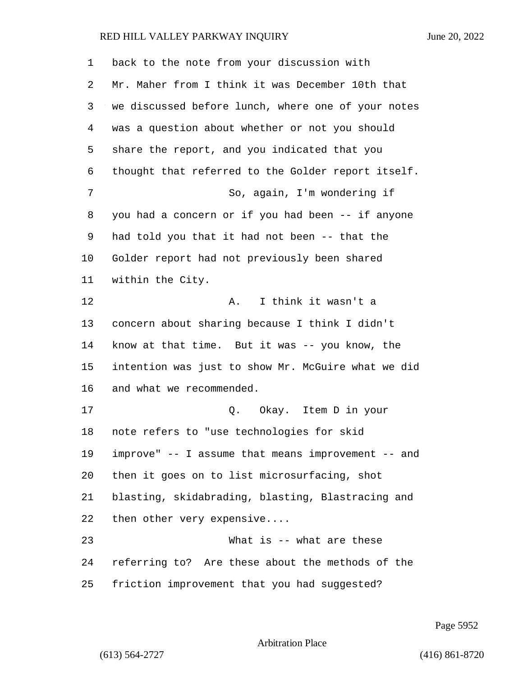| 1  | back to the note from your discussion with         |
|----|----------------------------------------------------|
| 2  | Mr. Maher from I think it was December 10th that   |
| 3  | we discussed before lunch, where one of your notes |
| 4  | was a question about whether or not you should     |
| 5  | share the report, and you indicated that you       |
| 6  | thought that referred to the Golder report itself. |
| 7  | So, again, I'm wondering if                        |
| 8  | you had a concern or if you had been -- if anyone  |
| 9  | had told you that it had not been -- that the      |
| 10 | Golder report had not previously been shared       |
| 11 | within the City.                                   |
| 12 | I think it wasn't a<br>Α.                          |
| 13 | concern about sharing because I think I didn't     |
| 14 | know at that time. But it was -- you know, the     |
| 15 | intention was just to show Mr. McGuire what we did |
| 16 | and what we recommended.                           |
| 17 | Q. Okay. Item D in your                            |
| 18 | note refers to "use technologies for skid          |
| 19 | improve" -- I assume that means improvement -- and |
| 20 | then it goes on to list microsurfacing, shot       |
| 21 | blasting, skidabrading, blasting, Blastracing and  |
| 22 | then other very expensive                          |
| 23 | What is -- what are these                          |
| 24 | referring to? Are these about the methods of the   |
| 25 | friction improvement that you had suggested?       |

Page 5952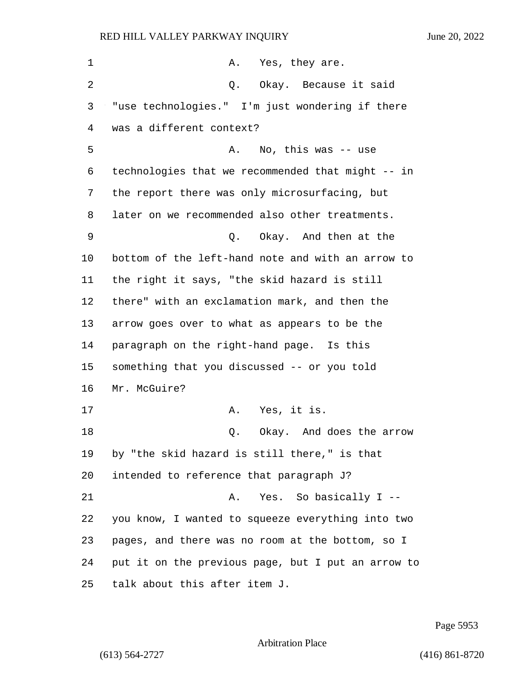| 1       | Α.<br>Yes, they are.                               |
|---------|----------------------------------------------------|
| 2       | Q. Okay. Because it said                           |
| 3       | "use technologies." I'm just wondering if there    |
| 4       | was a different context?                           |
| 5       | No, this was -- use<br>Α.                          |
| 6       | technologies that we recommended that might -- in  |
| 7       | the report there was only microsurfacing, but      |
| 8       | later on we recommended also other treatments.     |
| 9       | Okay. And then at the<br>Q.                        |
| $10 \,$ | bottom of the left-hand note and with an arrow to  |
| 11      | the right it says, "the skid hazard is still       |
| 12      | there" with an exclamation mark, and then the      |
| 13      | arrow goes over to what as appears to be the       |
| 14      | paragraph on the right-hand page. Is this          |
| 15      | something that you discussed -- or you told        |
| 16      | Mr. McGuire?                                       |
| 17      | Yes, it is.<br>Α.                                  |
| 18      | Okay. And does the arrow<br>Q.                     |
| 19      | by "the skid hazard is still there," is that       |
| 20      | intended to reference that paragraph J?            |
| 21      | Yes. So basically I --<br>Α.                       |
| 22      | you know, I wanted to squeeze everything into two  |
| 23      | pages, and there was no room at the bottom, so I   |
| 24      | put it on the previous page, but I put an arrow to |
| 25      | talk about this after item J.                      |

Page 5953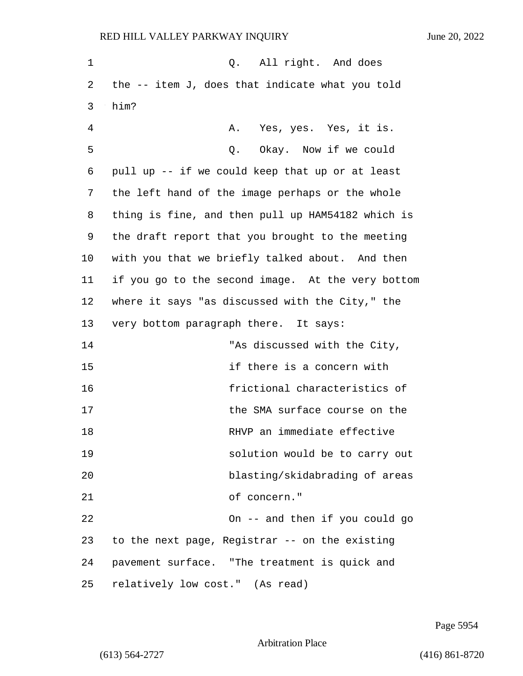| 1  | Q. All right. And does                            |
|----|---------------------------------------------------|
| 2  | the $-$ item J, does that indicate what you told  |
| 3  | him?                                              |
| 4  | Yes, yes. Yes, it is.<br>Α.                       |
| 5  | Okay. Now if we could<br>Q.                       |
| 6  | pull up -- if we could keep that up or at least   |
| 7  | the left hand of the image perhaps or the whole   |
| 8  | thing is fine, and then pull up HAM54182 which is |
| 9  | the draft report that you brought to the meeting  |
| 10 | with you that we briefly talked about. And then   |
| 11 | if you go to the second image. At the very bottom |
| 12 | where it says "as discussed with the City," the   |
| 13 | very bottom paragraph there. It says:             |
| 14 | "As discussed with the City,                      |
| 15 | if there is a concern with                        |
| 16 | frictional characteristics of                     |
| 17 | the SMA surface course on the                     |
| 18 | RHVP an immediate effective                       |
| 19 | solution would be to carry out                    |
| 20 | blasting/skidabrading of areas                    |
| 21 | of concern."                                      |
| 22 | On -- and then if you could go                    |
| 23 | to the next page, Registrar -- on the existing    |
| 24 | pavement surface. "The treatment is quick and     |
| 25 | relatively low cost." (As read)                   |

Page 5954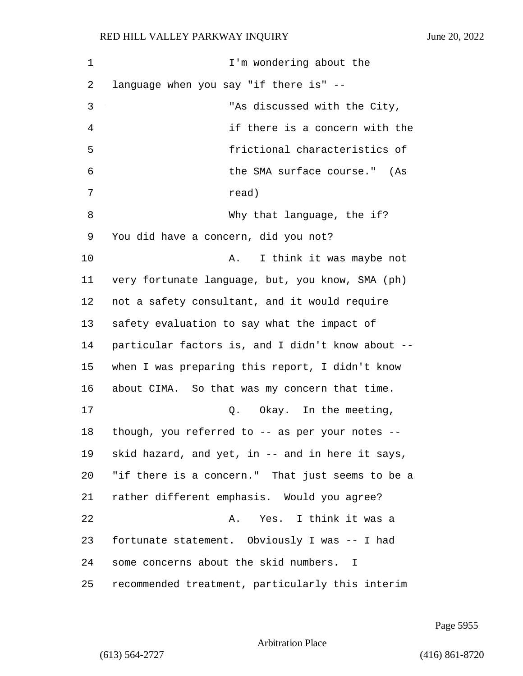| 1  | I'm wondering about the                           |
|----|---------------------------------------------------|
| 2  | language when you say "if there is" --            |
| 3  | "As discussed with the City,                      |
| 4  | if there is a concern with the                    |
| 5  | frictional characteristics of                     |
| 6  | the SMA surface course."<br>(As                   |
| 7  | read)                                             |
| 8  | Why that language, the if?                        |
| 9  | You did have a concern, did you not?              |
| 10 | I think it was maybe not<br>Α.                    |
| 11 | very fortunate language, but, you know, SMA (ph)  |
| 12 | not a safety consultant, and it would require     |
| 13 | safety evaluation to say what the impact of       |
| 14 | particular factors is, and I didn't know about -- |
| 15 | when I was preparing this report, I didn't know   |
| 16 | about CIMA. So that was my concern that time.     |
| 17 | Okay. In the meeting,<br>Q.                       |
| 18 | though, you referred to -- as per your notes --   |
| 19 | skid hazard, and yet, in -- and in here it says,  |
| 20 | "if there is a concern." That just seems to be a  |
| 21 | rather different emphasis. Would you agree?       |
| 22 | A. Yes. I think it was a                          |
| 23 | fortunate statement. Obviously I was -- I had     |
| 24 | some concerns about the skid numbers. I           |
| 25 | recommended treatment, particularly this interim  |

Page 5955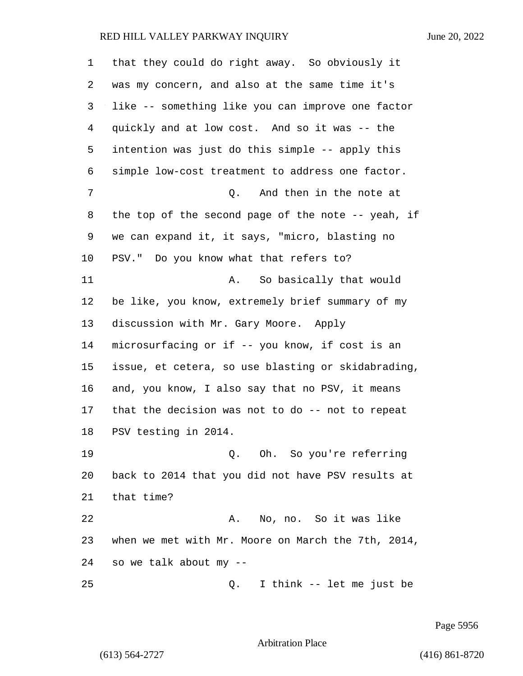| 1  | that they could do right away. So obviously it        |
|----|-------------------------------------------------------|
| 2  | was my concern, and also at the same time it's        |
| 3  | like -- something like you can improve one factor     |
| 4  | quickly and at low cost. And so it was -- the         |
| 5  | intention was just do this simple -- apply this       |
| 6  | simple low-cost treatment to address one factor.      |
| 7  | And then in the note at<br>Q.                         |
| 8  | the top of the second page of the note $-$ - yeah, if |
| 9  | we can expand it, it says, "micro, blasting no        |
| 10 | PSV." Do you know what that refers to?                |
| 11 | So basically that would<br>Α.                         |
| 12 | be like, you know, extremely brief summary of my      |
| 13 | discussion with Mr. Gary Moore. Apply                 |
| 14 | microsurfacing or if -- you know, if cost is an       |
| 15 | issue, et cetera, so use blasting or skidabrading,    |
| 16 | and, you know, I also say that no PSV, it means       |
| 17 | that the decision was not to do -- not to repeat      |
| 18 | PSV testing in 2014.                                  |
| 19 | Oh. So you're referring<br>Q.                         |
| 20 | back to 2014 that you did not have PSV results at     |
| 21 | that time?                                            |
| 22 | No, no. So it was like<br>Α.                          |
| 23 | when we met with Mr. Moore on March the 7th, 2014,    |
| 24 | so we talk about my --                                |
| 25 | I think -- let me just be<br>Q.                       |

Page 5956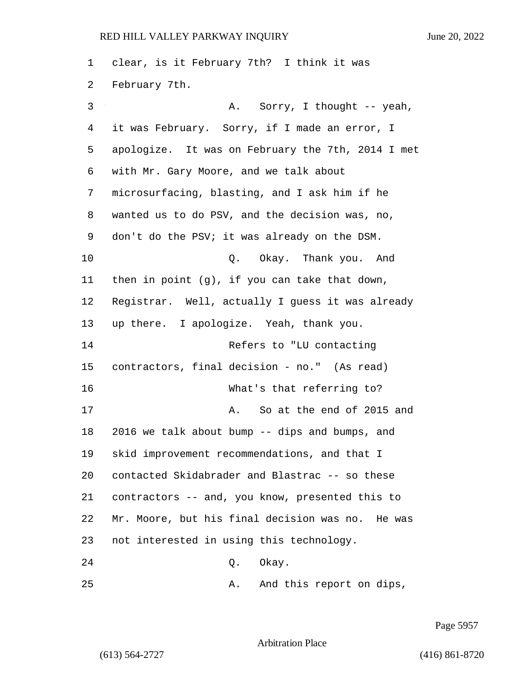clear, is it February 7th? I think it was February 7th. 3 A. Sorry, I thought -- yeah, it was February. Sorry, if I made an error, I apologize. It was on February the 7th, 2014 I met with Mr. Gary Moore, and we talk about microsurfacing, blasting, and I ask him if he wanted us to do PSV, and the decision was, no, don't do the PSV; it was already on the DSM. 10 Q. Okay. Thank you. And then in point (g), if you can take that down, Registrar. Well, actually I guess it was already up there. I apologize. Yeah, thank you. 14 Refers to "LU contacting contractors, final decision - no." (As read) 16 What's that referring to? 17 A. So at the end of 2015 and 2016 we talk about bump -- dips and bumps, and skid improvement recommendations, and that I contacted Skidabrader and Blastrac -- so these contractors -- and, you know, presented this to Mr. Moore, but his final decision was no. He was not interested in using this technology. 24 Q. Okay. 25 A. And this report on dips,

Page 5957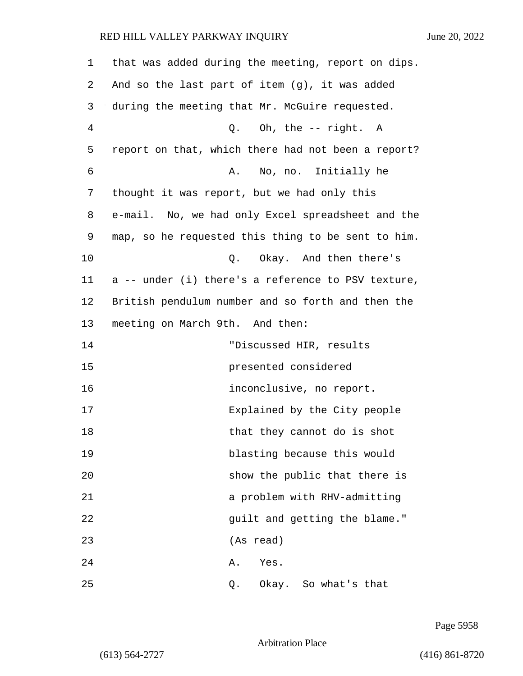| 1              | that was added during the meeting, report on dips. |
|----------------|----------------------------------------------------|
| 2              | And so the last part of item (g), it was added     |
| 3              | during the meeting that Mr. McGuire requested.     |
| $\overline{4}$ | Q. Oh, the -- right. A                             |
| 5              | report on that, which there had not been a report? |
| 6              | No, no. Initially he<br>Α.                         |
| 7              | thought it was report, but we had only this        |
| 8              | e-mail. No, we had only Excel spreadsheet and the  |
| 9              | map, so he requested this thing to be sent to him. |
| 10             | Q. Okay. And then there's                          |
| 11             | a -- under (i) there's a reference to PSV texture, |
| 12             | British pendulum number and so forth and then the  |
| 13             | meeting on March 9th. And then:                    |
| 14             | "Discussed HIR, results                            |
| 15             | presented considered                               |
| 16             | inconclusive, no report.                           |
| 17             | Explained by the City people                       |
| 18             | that they cannot do is shot                        |
| 19             | blasting because this would                        |
| 20             | show the public that there is                      |
| 21             | a problem with RHV-admitting                       |
| 22             | guilt and getting the blame."                      |
| 23             | (As read)                                          |
| 24             | Α.<br>Yes.                                         |
| 25             | Okay. So what's that<br>Q.                         |

Page 5958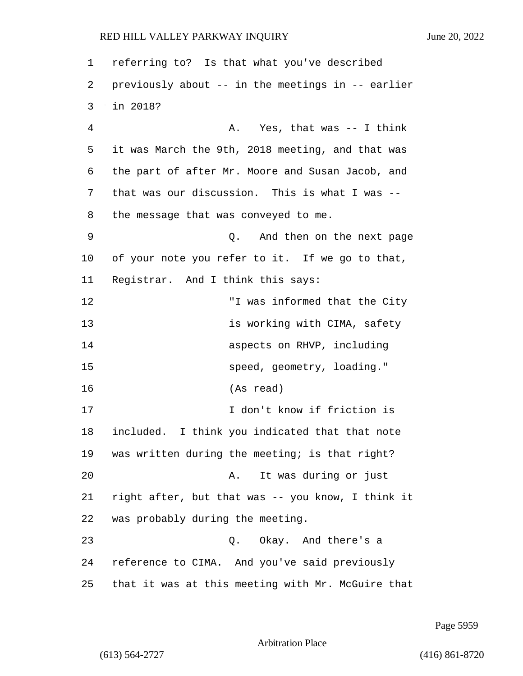referring to? Is that what you've described previously about -- in the meetings in -- earlier 3 in 2018? 4 A. Yes, that was -- I think it was March the 9th, 2018 meeting, and that was the part of after Mr. Moore and Susan Jacob, and that was our discussion. This is what I was -- the message that was conveyed to me. 9 Q. And then on the next page of your note you refer to it. If we go to that, Registrar. And I think this says: 12 "I was informed that the City **is working with CIMA, safety aspects on RHVP, including** 15 speed, geometry, loading." 16 (As read) 17 I don't know if friction is included. I think you indicated that that note was written during the meeting; is that right? 20 A. It was during or just right after, but that was -- you know, I think it was probably during the meeting. 23 Q. Okay. And there's a reference to CIMA. And you've said previously that it was at this meeting with Mr. McGuire that

Page 5959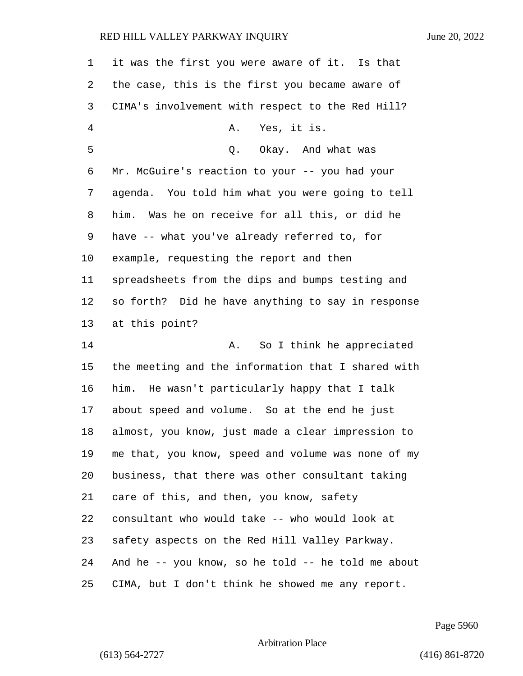| 1  | it was the first you were aware of it. Is that     |
|----|----------------------------------------------------|
| 2  | the case, this is the first you became aware of    |
| 3  | CIMA's involvement with respect to the Red Hill?   |
| 4  | Yes, it is.<br>Α.                                  |
| 5  | Okay. And what was<br>Q.                           |
| 6  | Mr. McGuire's reaction to your -- you had your     |
| 7  | agenda. You told him what you were going to tell   |
| 8  | him. Was he on receive for all this, or did he     |
| 9  | have -- what you've already referred to, for       |
| 10 | example, requesting the report and then            |
| 11 | spreadsheets from the dips and bumps testing and   |
| 12 | so forth? Did he have anything to say in response  |
| 13 | at this point?                                     |
| 14 | So I think he appreciated<br>Α.                    |
| 15 | the meeting and the information that I shared with |
| 16 | him. He wasn't particularly happy that I talk      |
| 17 | about speed and volume. So at the end he just      |
| 18 | almost, you know, just made a clear impression to  |
| 19 | me that, you know, speed and volume was none of my |
| 20 | business, that there was other consultant taking   |
| 21 | care of this, and then, you know, safety           |
| 22 | consultant who would take -- who would look at     |
| 23 | safety aspects on the Red Hill Valley Parkway.     |
| 24 | And he -- you know, so he told -- he told me about |
| 25 | CIMA, but I don't think he showed me any report.   |

Page 5960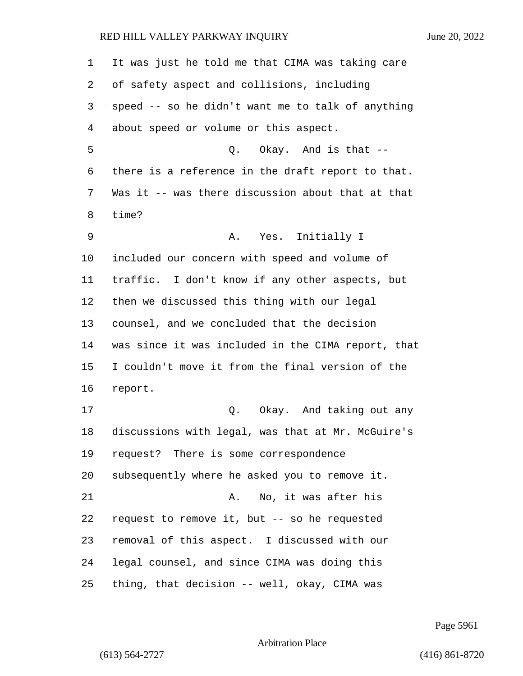| $\mathbf 1$ | It was just he told me that CIMA was taking care   |
|-------------|----------------------------------------------------|
| 2           | of safety aspect and collisions, including         |
| 3           | speed -- so he didn't want me to talk of anything  |
| 4           | about speed or volume or this aspect.              |
| 5           | Q. Okay. And is that --                            |
| 6           | there is a reference in the draft report to that.  |
| 7           | Was it -- was there discussion about that at that  |
| 8           | time?                                              |
| 9           | Yes. Initially I<br>Α.                             |
| 10          | included our concern with speed and volume of      |
| 11          | traffic. I don't know if any other aspects, but    |
| 12          | then we discussed this thing with our legal        |
| 13          | counsel, and we concluded that the decision        |
| 14          | was since it was included in the CIMA report, that |
| 15          | I couldn't move it from the final version of the   |
| 16          | report.                                            |
| 17          | Okay. And taking out any<br>Q.                     |
| 18          | discussions with legal, was that at Mr. McGuire's  |
| 19          | request? There is some correspondence              |
| 20          | subsequently where he asked you to remove it.      |
| 21          | No, it was after his<br>A.                         |
| 22          | request to remove it, but -- so he requested       |
| 23          | removal of this aspect. I discussed with our       |
| 24          | legal counsel, and since CIMA was doing this       |
| 25          | thing, that decision -- well, okay, CIMA was       |

Page 5961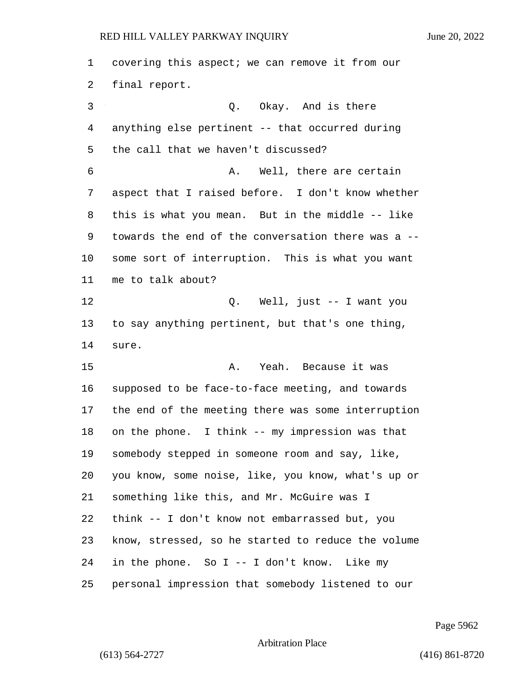covering this aspect; we can remove it from our final report. 3 Q. Okay. And is there anything else pertinent -- that occurred during the call that we haven't discussed? 6 A. Well, there are certain aspect that I raised before. I don't know whether this is what you mean. But in the middle -- like towards the end of the conversation there was a -- some sort of interruption. This is what you want me to talk about? 12 Q. Well, just -- I want you to say anything pertinent, but that's one thing, sure. 15 A. Yeah. Because it was supposed to be face-to-face meeting, and towards the end of the meeting there was some interruption on the phone. I think -- my impression was that somebody stepped in someone room and say, like, you know, some noise, like, you know, what's up or something like this, and Mr. McGuire was I think -- I don't know not embarrassed but, you know, stressed, so he started to reduce the volume in the phone. So I -- I don't know. Like my personal impression that somebody listened to our

Page 5962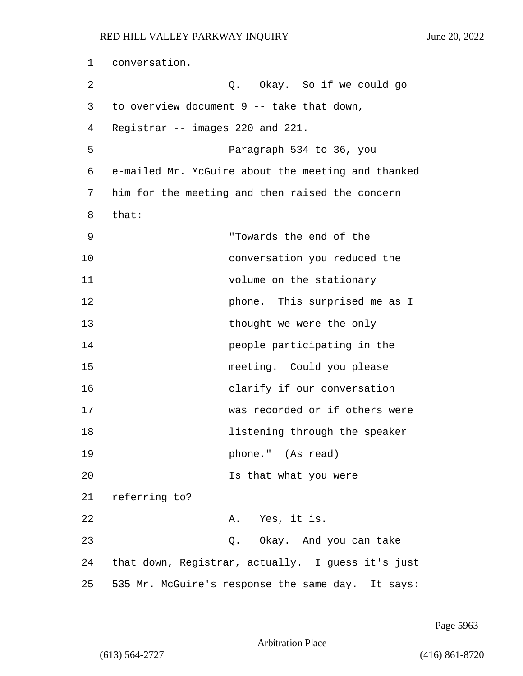| 1  | conversation.                                      |
|----|----------------------------------------------------|
| 2  | Q. Okay. So if we could go                         |
| 3  | to overview document $9$ -- take that down,        |
| 4  | Registrar -- images 220 and 221.                   |
| 5  | Paragraph 534 to 36, you                           |
| 6  | e-mailed Mr. McGuire about the meeting and thanked |
| 7  | him for the meeting and then raised the concern    |
| 8  | that:                                              |
| 9  | "Towards the end of the                            |
| 10 | conversation you reduced the                       |
| 11 | volume on the stationary                           |
| 12 | phone. This surprised me as I                      |
| 13 | thought we were the only                           |
| 14 | people participating in the                        |
| 15 | meeting. Could you please                          |
| 16 | clarify if our conversation                        |
| 17 | was recorded or if others were                     |
| 18 | listening through the speaker                      |
| 19 | phone." (As read)                                  |
| 20 | Is that what you were                              |
| 21 | referring to?                                      |
| 22 | A. Yes, it is.                                     |
| 23 | Q. Okay. And you can take                          |
| 24 | that down, Registrar, actually. I guess it's just  |
| 25 | 535 Mr. McGuire's response the same day. It says:  |

Page 5963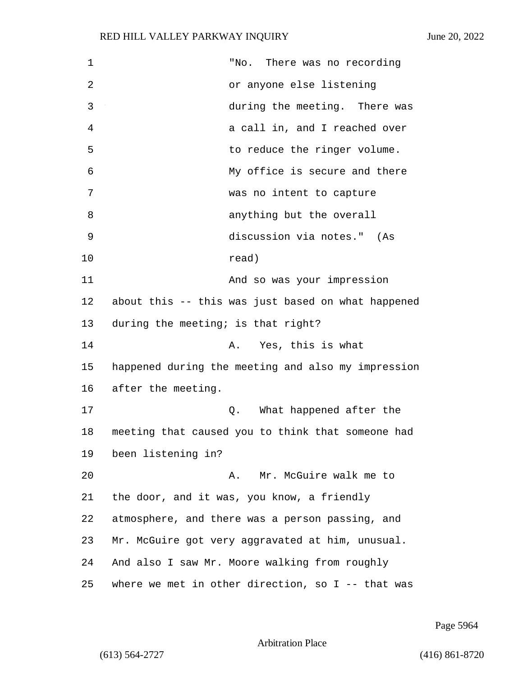| $\mathbf 1$ | There was no recording<br>"No.                      |
|-------------|-----------------------------------------------------|
| 2           | or anyone else listening                            |
| 3           | during the meeting. There was                       |
| 4           | a call in, and I reached over                       |
| 5           | to reduce the ringer volume.                        |
| 6           | My office is secure and there                       |
| 7           | was no intent to capture                            |
| 8           | anything but the overall                            |
| 9           | discussion via notes." (As                          |
| 10          | read)                                               |
| 11          | And so was your impression                          |
| 12          | about this -- this was just based on what happened  |
| 13          | during the meeting; is that right?                  |
| 14          | Yes, this is what<br>Α.                             |
| 15          | happened during the meeting and also my impression  |
| 16          | after the meeting.                                  |
| 17          | What happened after the<br>Q.                       |
| 18          | meeting that caused you to think that someone had   |
| 19          | been listening in?                                  |
| 20          | Mr. McGuire walk me to<br>Α.                        |
| 21          | the door, and it was, you know, a friendly          |
| 22          | atmosphere, and there was a person passing, and     |
| 23          | Mr. McGuire got very aggravated at him, unusual.    |
| 24          | And also I saw Mr. Moore walking from roughly       |
| 25          | where we met in other direction, so $I$ -- that was |

Page 5964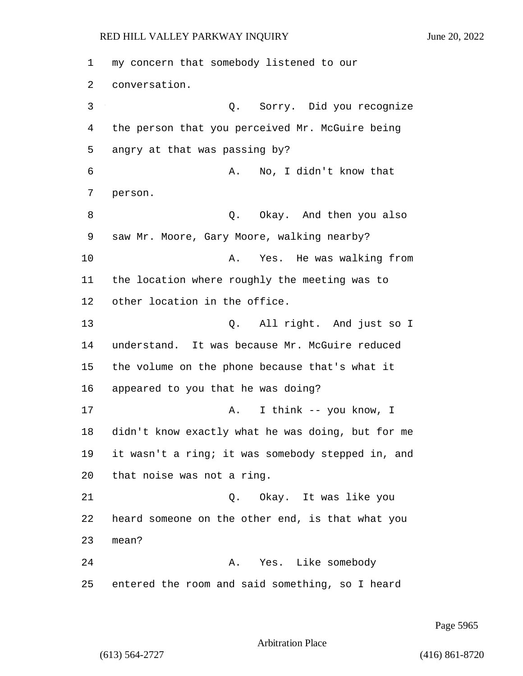1 my concern that somebody listened to our 2 conversation. 3 Q. Sorry. Did you recognize 4 the person that you perceived Mr. McGuire being 5 angry at that was passing by? 6 A. No, I didn't know that 7 person. 8 a.u. C. Okay. And then you also 9 saw Mr. Moore, Gary Moore, walking nearby? 10 A. Yes. He was walking from 11 the location where roughly the meeting was to 12 other location in the office. 13 Q. All right. And just so I 14 understand. It was because Mr. McGuire reduced 15 the volume on the phone because that's what it 16 appeared to you that he was doing? 17 A. I think -- you know, I 18 didn't know exactly what he was doing, but for me 19 it wasn't a ring; it was somebody stepped in, and 20 that noise was not a ring. 21 Q. Okay. It was like you 22 heard someone on the other end, is that what you 23 mean? 24 A. Yes. Like somebody 25 entered the room and said something, so I heard

Page 5965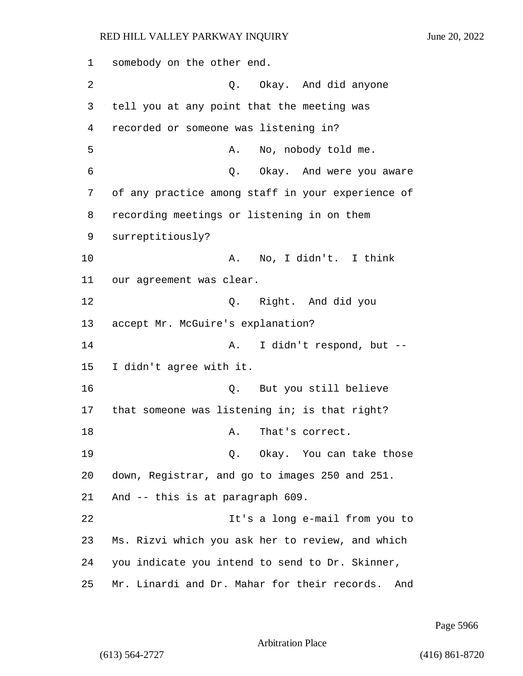1 somebody on the other end. 2 Q. Okay. And did anyone 3 tell you at any point that the meeting was 4 recorded or someone was listening in? 5 A. No, nobody told me. 6 Q. Okay. And were you aware 7 of any practice among staff in your experience of 8 recording meetings or listening in on them 9 surreptitiously? 10 A. No, I didn't. I think 11 our agreement was clear. 12 Q. Right. And did you 13 accept Mr. McGuire's explanation? 14 A. I didn't respond, but --15 I didn't agree with it. 16 Q. But you still believe 17 that someone was listening in; is that right? 18 A. That's correct. 19 Q. Okay. You can take those 20 down, Registrar, and go to images 250 and 251. 21 And -- this is at paragraph 609. 22 It's a long e-mail from you to 23 Ms. Rizvi which you ask her to review, and which 24 you indicate you intend to send to Dr. Skinner, 25 Mr. Linardi and Dr. Mahar for their records. And

Page 5966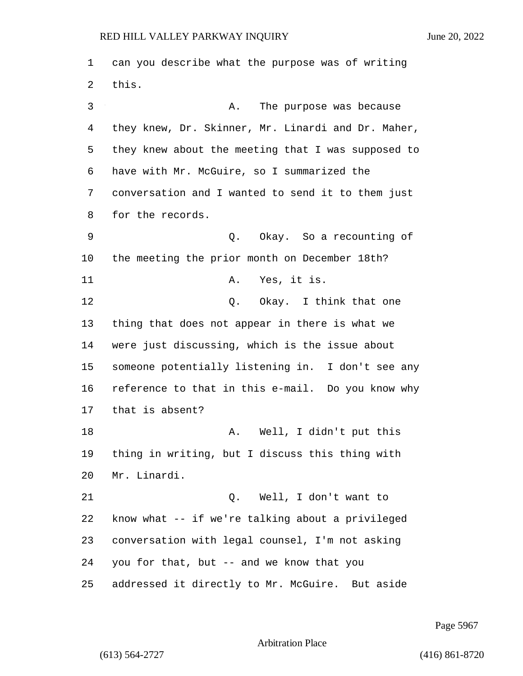can you describe what the purpose was of writing this. 3 A. The purpose was because they knew, Dr. Skinner, Mr. Linardi and Dr. Maher, they knew about the meeting that I was supposed to have with Mr. McGuire, so I summarized the conversation and I wanted to send it to them just for the records. 9 Q. Okay. So a recounting of the meeting the prior month on December 18th? 11 A. Yes, it is. 12 O. Okay. I think that one thing that does not appear in there is what we were just discussing, which is the issue about someone potentially listening in. I don't see any reference to that in this e-mail. Do you know why that is absent? 18 A. Well, I didn't put this thing in writing, but I discuss this thing with Mr. Linardi. 21 Q. Well, I don't want to know what -- if we're talking about a privileged conversation with legal counsel, I'm not asking you for that, but -- and we know that you addressed it directly to Mr. McGuire. But aside

Page 5967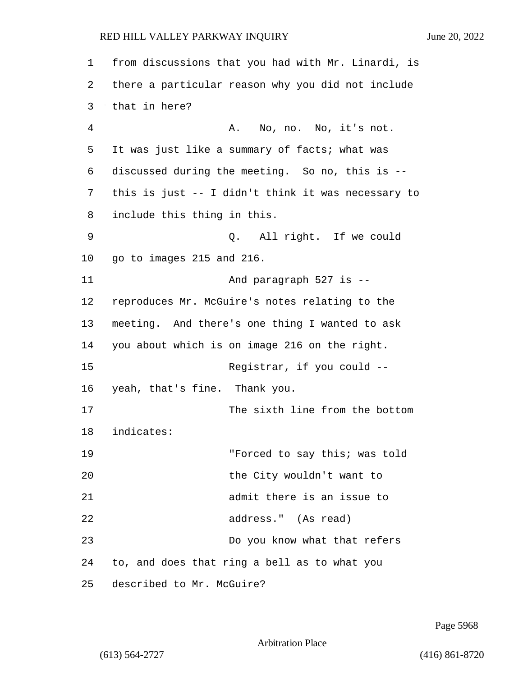| $\mathbf 1$    | from discussions that you had with Mr. Linardi, is |
|----------------|----------------------------------------------------|
| 2              | there a particular reason why you did not include  |
| 3              | that in here?                                      |
| $\overline{4}$ | No, no. No, it's not.<br>Α.                        |
| 5              | It was just like a summary of facts; what was      |
| 6              | discussed during the meeting. So no, this is --    |
| 7              | this is just -- I didn't think it was necessary to |
| 8              | include this thing in this.                        |
| 9              | Q. All right. If we could                          |
| 10             | go to images 215 and 216.                          |
| 11             | And paragraph 527 is --                            |
| 12             | reproduces Mr. McGuire's notes relating to the     |
| 13             | meeting. And there's one thing I wanted to ask     |
| 14             | you about which is on image 216 on the right.      |
| 15             | Registrar, if you could --                         |
| 16             | yeah, that's fine. Thank you.                      |
| 17             | The sixth line from the bottom                     |
| 18             | indicates:                                         |
| 19             | "Forced to say this; was told                      |
| 20             | the City wouldn't want to                          |
| 21             | admit there is an issue to                         |
| 22             | address." (As read)                                |
| 23             | Do you know what that refers                       |
| 24             | to, and does that ring a bell as to what you       |
| 25             | described to Mr. McGuire?                          |

Page 5968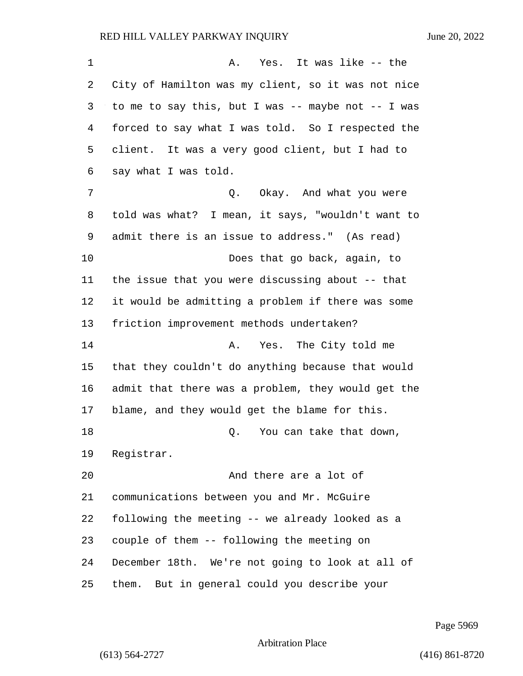| 1  | Yes. It was like -- the<br>Α.                         |
|----|-------------------------------------------------------|
| 2  | City of Hamilton was my client, so it was not nice    |
| 3  | to me to say this, but I was -- maybe not $-$ - I was |
| 4  | forced to say what I was told. So I respected the     |
| 5  | client. It was a very good client, but I had to       |
| 6  | say what I was told.                                  |
| 7  | Q. Okay. And what you were                            |
| 8  | told was what? I mean, it says, "wouldn't want to     |
| 9  | admit there is an issue to address." (As read)        |
| 10 | Does that go back, again, to                          |
| 11 | the issue that you were discussing about -- that      |
| 12 | it would be admitting a problem if there was some     |
| 13 | friction improvement methods undertaken?              |
| 14 | Yes. The City told me<br>Α.                           |
| 15 | that they couldn't do anything because that would     |
| 16 | admit that there was a problem, they would get the    |
| 17 | blame, and they would get the blame for this.         |
| 18 | Q. You can take that down,                            |
| 19 | Registrar.                                            |
| 20 | And there are a lot of                                |
| 21 | communications between you and Mr. McGuire            |
| 22 | following the meeting -- we already looked as a       |
| 23 | couple of them -- following the meeting on            |
| 24 | December 18th. We're not going to look at all of      |
| 25 | But in general could you describe your<br>them.       |

Page 5969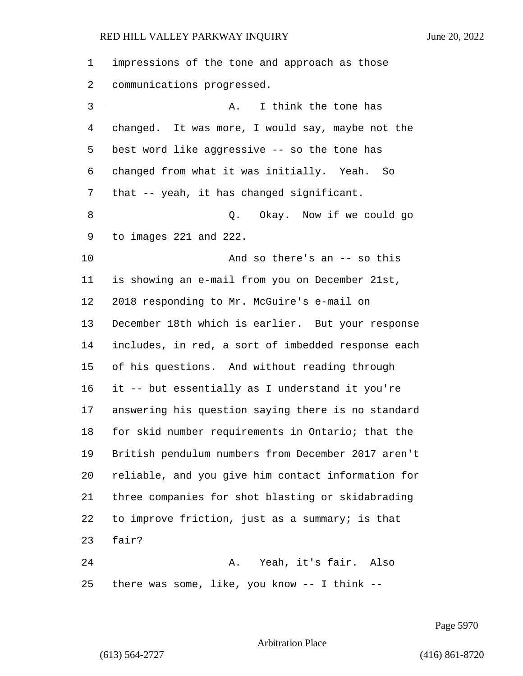| 1  | impressions of the tone and approach as those      |
|----|----------------------------------------------------|
| 2  | communications progressed.                         |
| 3  | I think the tone has<br>Α.                         |
| 4  | changed. It was more, I would say, maybe not the   |
| 5  | best word like aggressive -- so the tone has       |
| 6  | changed from what it was initially. Yeah. So       |
| 7  | that -- yeah, it has changed significant.          |
| 8  | Okay. Now if we could go<br>Q.                     |
| 9  | to images 221 and 222.                             |
| 10 | And so there's an $-$ so this                      |
| 11 | is showing an e-mail from you on December 21st,    |
| 12 | 2018 responding to Mr. McGuire's e-mail on         |
| 13 | December 18th which is earlier. But your response  |
| 14 | includes, in red, a sort of imbedded response each |
| 15 | of his questions. And without reading through      |
| 16 | it -- but essentially as I understand it you're    |
| 17 | answering his question saying there is no standard |
| 18 | for skid number requirements in Ontario; that the  |
| 19 | British pendulum numbers from December 2017 aren't |
| 20 | reliable, and you give him contact information for |
| 21 | three companies for shot blasting or skidabrading  |
| 22 | to improve friction, just as a summary; is that    |
| 23 | fair?                                              |
| 24 | Yeah, it's fair. Also<br>Α.                        |
| 25 | there was some, like, you know $--$ I think $--$   |

Page 5970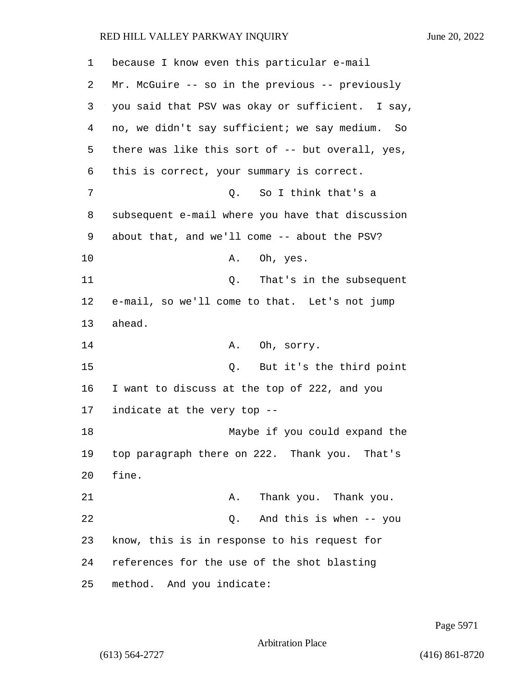| 1  | because I know even this particular e-mail         |
|----|----------------------------------------------------|
| 2  | Mr. McGuire -- so in the previous -- previously    |
| 3  | you said that PSV was okay or sufficient. I say,   |
| 4  | no, we didn't say sufficient; we say medium.<br>So |
| 5  | there was like this sort of -- but overall, yes,   |
| 6  | this is correct, your summary is correct.          |
| 7  | So I think that's a<br>Q.                          |
| 8  | subsequent e-mail where you have that discussion   |
| 9  | about that, and we'll come -- about the PSV?       |
| 10 | Oh, yes.<br>Α.                                     |
| 11 | That's in the subsequent<br>Q.                     |
| 12 | e-mail, so we'll come to that. Let's not jump      |
| 13 | ahead.                                             |
| 14 | Oh, sorry.<br>Α.                                   |
| 15 | But it's the third point<br>Q.                     |
| 16 | I want to discuss at the top of 222, and you       |
| 17 | indicate at the very top --                        |
| 18 | Maybe if you could expand the                      |
| 19 | top paragraph there on 222. Thank you. That's      |
| 20 | fine.                                              |
| 21 | Thank you. Thank you.<br>Α.                        |
| 22 | Q. And this is when -- you                         |
| 23 | know, this is in response to his request for       |
| 24 | references for the use of the shot blasting        |
| 25 | method. And you indicate:                          |

Page 5971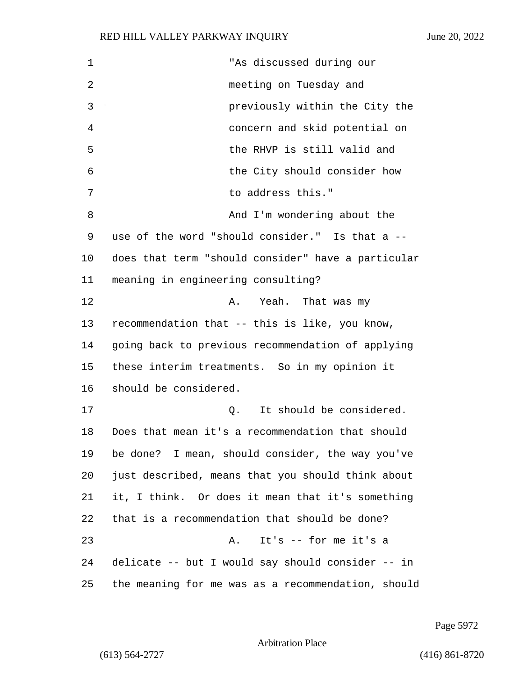| 1  | "As discussed during our                           |
|----|----------------------------------------------------|
| 2  | meeting on Tuesday and                             |
| 3  | previously within the City the                     |
| 4  | concern and skid potential on                      |
| 5  | the RHVP is still valid and                        |
| 6  | the City should consider how                       |
| 7  | to address this."                                  |
| 8  | And I'm wondering about the                        |
| 9  | use of the word "should consider." Is that a --    |
| 10 | does that term "should consider" have a particular |
| 11 | meaning in engineering consulting?                 |
| 12 | Yeah. That was my<br>Α.                            |
| 13 | recommendation that -- this is like, you know,     |
| 14 | going back to previous recommendation of applying  |
| 15 | these interim treatments. So in my opinion it      |
| 16 | should be considered.                              |
| 17 | It should be considered.<br>Q.                     |
| 18 | Does that mean it's a recommendation that should   |
| 19 | be done? I mean, should consider, the way you've   |
| 20 | just described, means that you should think about  |
| 21 | it, I think. Or does it mean that it's something   |
| 22 | that is a recommendation that should be done?      |
| 23 | It's -- for me it's a<br>Α.                        |
| 24 | delicate -- but I would say should consider -- in  |
| 25 | the meaning for me was as a recommendation, should |

Page 5972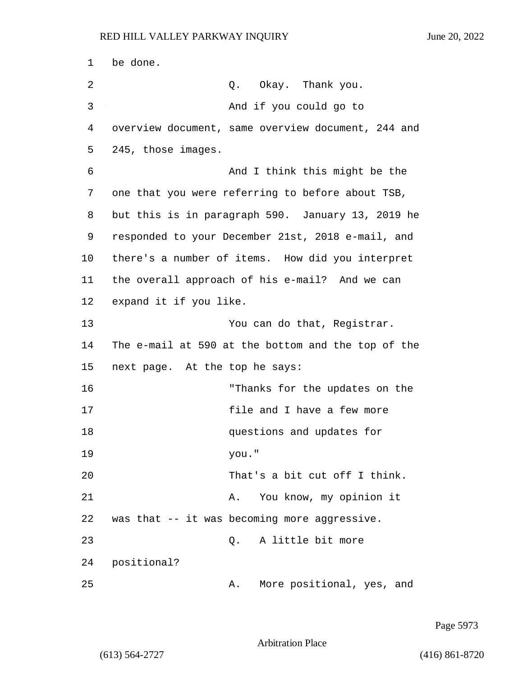1 be done. 2 Q. Okay. Thank you. 3 And if you could go to 4 overview document, same overview document, 244 and 5 245, those images. 6 And I think this might be the 7 one that you were referring to before about TSB, 8 but this is in paragraph 590. January 13, 2019 he 9 responded to your December 21st, 2018 e-mail, and 10 there's a number of items. How did you interpret 11 the overall approach of his e-mail? And we can 12 expand it if you like. 13 You can do that, Registrar. 14 The e-mail at 590 at the bottom and the top of the 15 next page. At the top he says: 16 "Thanks for the updates on the 17 file and I have a few more 18 questions and updates for 19 you." 20 That's a bit cut off I think. 21 A. You know, my opinion it 22 was that -- it was becoming more aggressive. 23 Q. A little bit more 24 positional? 25 A. More positional, yes, and

Page 5973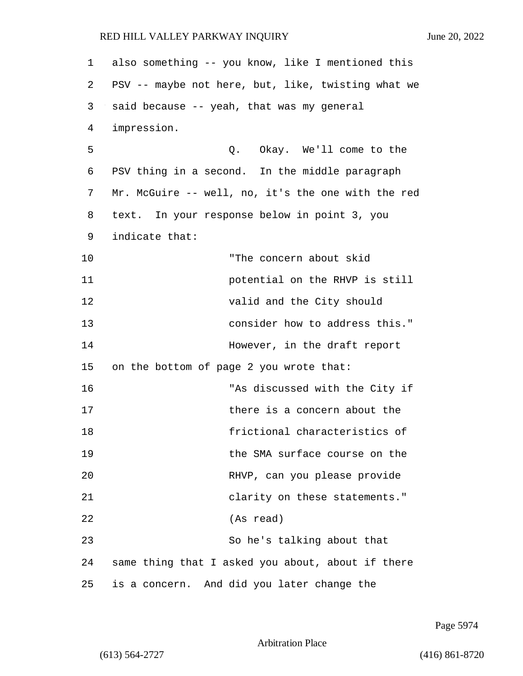| 1  | also something -- you know, like I mentioned this  |
|----|----------------------------------------------------|
| 2  | PSV -- maybe not here, but, like, twisting what we |
| 3  | said because -- yeah, that was my general          |
| 4  | impression.                                        |
| 5  | Q. Okay. We'll come to the                         |
| 6  | PSV thing in a second. In the middle paragraph     |
| 7  | Mr. McGuire -- well, no, it's the one with the red |
| 8  | text. In your response below in point 3, you       |
| 9  | indicate that:                                     |
| 10 | "The concern about skid                            |
| 11 | potential on the RHVP is still                     |
| 12 | valid and the City should                          |
| 13 | consider how to address this."                     |
| 14 | However, in the draft report                       |
| 15 | on the bottom of page 2 you wrote that:            |
| 16 | "As discussed with the City if                     |
| 17 | there is a concern about the                       |
| 18 | frictional characteristics of                      |
| 19 | the SMA surface course on the                      |
| 20 | RHVP, can you please provide                       |
| 21 | clarity on these statements."                      |
| 22 | (As read)                                          |
| 23 | So he's talking about that                         |
| 24 | same thing that I asked you about, about if there  |
| 25 | is a concern. And did you later change the         |

Page 5974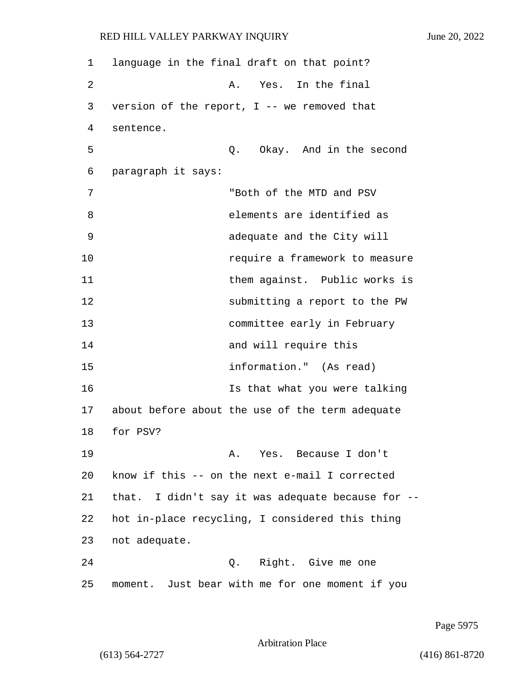1 language in the final draft on that point? 2 A. Yes. In the final 3 version of the report, I -- we removed that 4 sentence. 5 Q. Okay. And in the second 6 paragraph it says: 7 "Both of the MTD and PSV 8 elements are identified as 9 adequate and the City will 10 require a framework to measure 11 them against. Public works is 12 submitting a report to the PW 13 committee early in February 14 and will require this 15 information." (As read) 16 Is that what you were talking 17 about before about the use of the term adequate 18 for PSV? 19 A. Yes. Because I don't 20 know if this -- on the next e-mail I corrected 21 that. I didn't say it was adequate because for -- 22 hot in-place recycling, I considered this thing 23 not adequate. 24 Q. Right. Give me one 25 moment. Just bear with me for one moment if you

Page 5975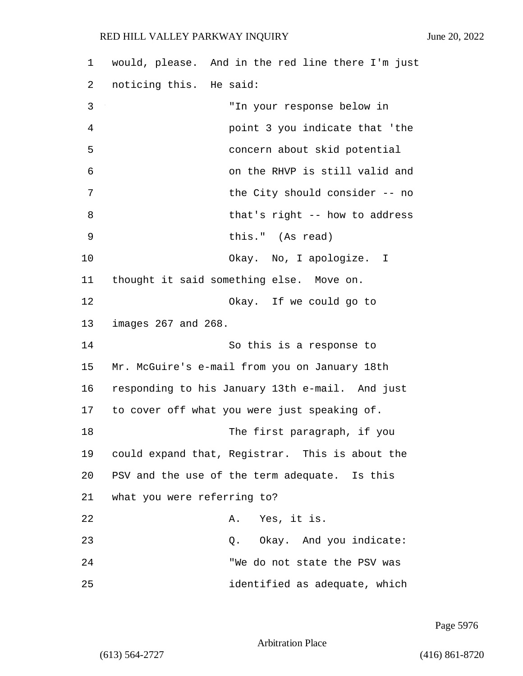| 1  | would, please. And in the red line there I'm just |
|----|---------------------------------------------------|
| 2  | noticing this. He said:                           |
| 3  | "In your response below in                        |
| 4  | point 3 you indicate that 'the                    |
| 5  | concern about skid potential                      |
| 6  | on the RHVP is still valid and                    |
| 7  | the City should consider -- no                    |
| 8  | that's right -- how to address                    |
| 9  | this." (As read)                                  |
| 10 | Okay. No, I apologize. I                          |
| 11 | thought it said something else. Move on.          |
| 12 | Okay. If we could go to                           |
| 13 | images 267 and 268.                               |
| 14 | So this is a response to                          |
| 15 | Mr. McGuire's e-mail from you on January 18th     |
| 16 | responding to his January 13th e-mail. And just   |
| 17 | to cover off what you were just speaking of.      |
| 18 | The first paragraph, if you                       |
| 19 | could expand that, Registrar. This is about the   |
| 20 | PSV and the use of the term adequate. Is this     |
| 21 | what you were referring to?                       |
| 22 | A. Yes, it is.                                    |
| 23 | Q. Okay. And you indicate:                        |
| 24 | "We do not state the PSV was                      |
| 25 | identified as adequate, which                     |

Page 5976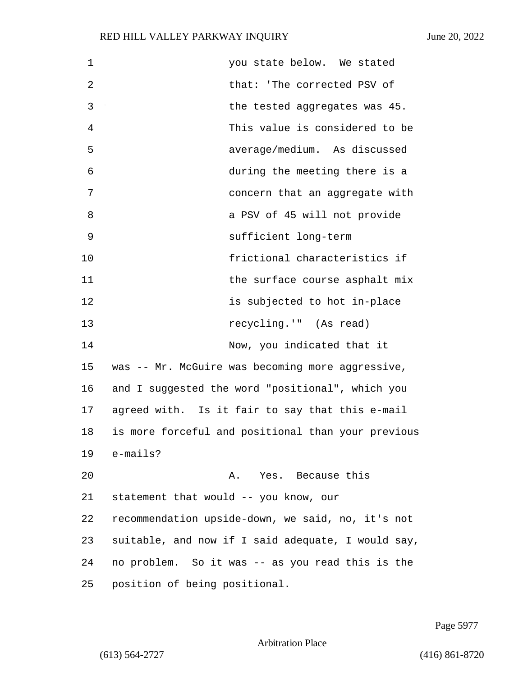| $\mathbf 1$    | you state below. We stated                         |
|----------------|----------------------------------------------------|
| $\overline{2}$ | that: 'The corrected PSV of                        |
| 3              | the tested aggregates was 45.                      |
| 4              | This value is considered to be                     |
| 5              | average/medium. As discussed                       |
| 6              | during the meeting there is a                      |
| 7              | concern that an aggregate with                     |
| 8              | a PSV of 45 will not provide                       |
| 9              | sufficient long-term                               |
| 10             | frictional characteristics if                      |
| 11             | the surface course asphalt mix                     |
| 12             | is subjected to hot in-place                       |
| 13             | recycling.'" (As read)                             |
| 14             | Now, you indicated that it                         |
| 15             | was -- Mr. McGuire was becoming more aggressive,   |
| 16             | and I suggested the word "positional", which you   |
| 17             | agreed with. Is it fair to say that this e-mail    |
| 18             | is more forceful and positional than your previous |
| 19             | e-mails?                                           |
| 20             | A. Yes. Because this                               |
| 21             | statement that would -- you know, our              |
| 22             | recommendation upside-down, we said, no, it's not  |
| 23             | suitable, and now if I said adequate, I would say, |
| 24             | no problem. So it was -- as you read this is the   |
| 25             | position of being positional.                      |

Page 5977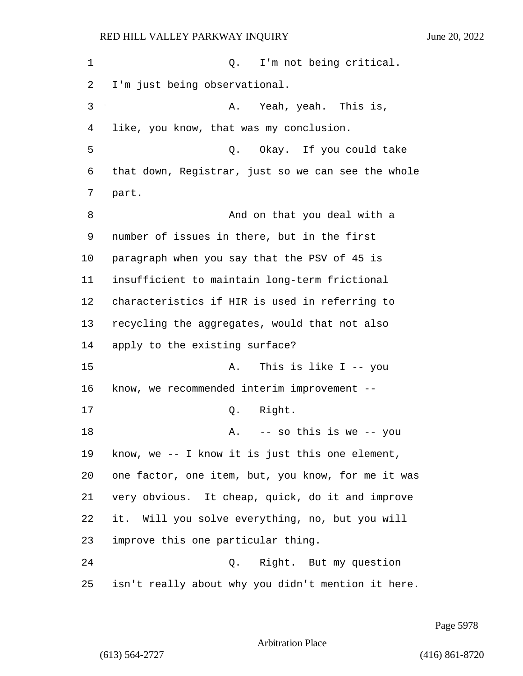| 1       | I'm not being critical.<br>Q.                      |
|---------|----------------------------------------------------|
| 2       | I'm just being observational.                      |
| 3       | Yeah, yeah. This is,<br>Α.                         |
| 4       | like, you know, that was my conclusion.            |
| 5       | Okay. If you could take<br>Q.                      |
| 6       | that down, Registrar, just so we can see the whole |
| 7       | part.                                              |
| 8       | And on that you deal with a                        |
| 9       | number of issues in there, but in the first        |
| $10 \,$ | paragraph when you say that the PSV of 45 is       |
| 11      | insufficient to maintain long-term frictional      |
| 12      | characteristics if HIR is used in referring to     |
| 13      | recycling the aggregates, would that not also      |
| 14      | apply to the existing surface?                     |
| 15      | This is like I -- you<br>Α.                        |
| 16      | know, we recommended interim improvement --        |
| 17      | Right.<br>Q.                                       |
| 18      | -- so this is we -- you<br>А.                      |
| 19      | know, we $-$ - I know it is just this one element, |
| 20      | one factor, one item, but, you know, for me it was |
| 21      | very obvious. It cheap, quick, do it and improve   |
| 22      | it. Will you solve everything, no, but you will    |
| 23      | improve this one particular thing.                 |
| 24      | Right. But my question<br>Q.                       |
| 25      | isn't really about why you didn't mention it here. |

Page 5978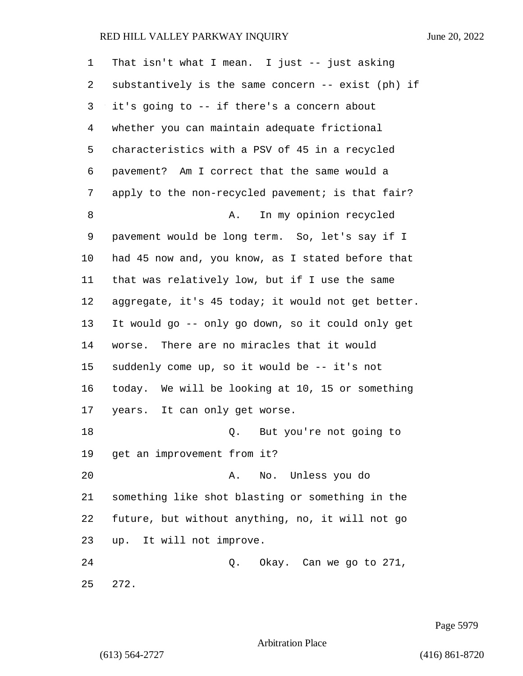| 1  | That isn't what I mean. I just $-$ - just asking   |
|----|----------------------------------------------------|
| 2  | substantively is the same concern -- exist (ph) if |
| 3  | it's going to -- if there's a concern about        |
| 4  | whether you can maintain adequate frictional       |
| 5  | characteristics with a PSV of 45 in a recycled     |
| 6  | pavement? Am I correct that the same would a       |
| 7  | apply to the non-recycled pavement; is that fair?  |
| 8  | In my opinion recycled<br>Α.                       |
| 9  | pavement would be long term. So, let's say if I    |
| 10 | had 45 now and, you know, as I stated before that  |
| 11 | that was relatively low, but if I use the same     |
| 12 | aggregate, it's 45 today; it would not get better. |
| 13 | It would go -- only go down, so it could only get  |
| 14 | worse. There are no miracles that it would         |
| 15 | suddenly come up, so it would be -- it's not       |
| 16 | today. We will be looking at 10, 15 or something   |
| 17 | years. It can only get worse.                      |
| 18 | But you're not going to<br>Q.                      |
| 19 | get an improvement from it?                        |
| 20 | No. Unless you do<br>Α.                            |
| 21 | something like shot blasting or something in the   |
| 22 | future, but without anything, no, it will not go   |
| 23 | up. It will not improve.                           |
| 24 | Q.<br>Okay. Can we go to 271,                      |
| 25 | 272.                                               |

Page 5979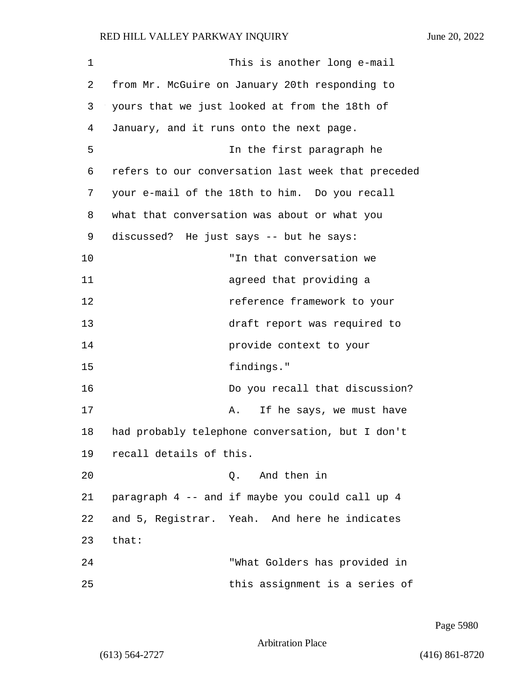| 1  | This is another long e-mail                        |
|----|----------------------------------------------------|
| 2  | from Mr. McGuire on January 20th responding to     |
| 3  | yours that we just looked at from the 18th of      |
| 4  | January, and it runs onto the next page.           |
| 5  | In the first paragraph he                          |
| 6  | refers to our conversation last week that preceded |
| 7  | your e-mail of the 18th to him. Do you recall      |
| 8  | what that conversation was about or what you       |
| 9  | discussed? He just says -- but he says:            |
| 10 | "In that conversation we                           |
| 11 | agreed that providing a                            |
| 12 | reference framework to your                        |
| 13 | draft report was required to                       |
| 14 | provide context to your                            |
| 15 | findings."                                         |
| 16 | Do you recall that discussion?                     |
| 17 | If he says, we must have<br>Α.                     |
| 18 | had probably telephone conversation, but I don't   |
| 19 | recall details of this.                            |
| 20 | And then in<br>Q.                                  |
| 21 | paragraph 4 -- and if maybe you could call up 4    |
| 22 | and 5, Registrar. Yeah. And here he indicates      |
| 23 | that:                                              |
| 24 | "What Golders has provided in                      |
| 25 | this assignment is a series of                     |

Page 5980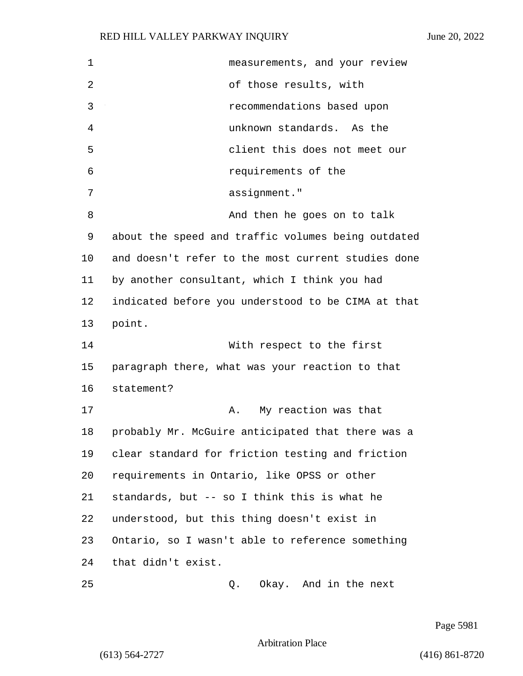| 1  | measurements, and your review                      |
|----|----------------------------------------------------|
| 2  | of those results, with                             |
| 3  | recommendations based upon                         |
| 4  | unknown standards. As the                          |
| 5  | client this does not meet our                      |
| 6  | requirements of the                                |
| 7  | assignment."                                       |
| 8  | And then he goes on to talk                        |
| 9  | about the speed and traffic volumes being outdated |
| 10 | and doesn't refer to the most current studies done |
| 11 | by another consultant, which I think you had       |
| 12 | indicated before you understood to be CIMA at that |
| 13 | point.                                             |
| 14 | With respect to the first                          |
| 15 | paragraph there, what was your reaction to that    |
| 16 | statement?                                         |
| 17 | My reaction was that<br>Α.                         |
| 18 | probably Mr. McGuire anticipated that there was a  |
| 19 | clear standard for friction testing and friction   |
| 20 | requirements in Ontario, like OPSS or other        |
| 21 | standards, but -- so I think this is what he       |
| 22 | understood, but this thing doesn't exist in        |
| 23 | Ontario, so I wasn't able to reference something   |
| 24 | that didn't exist.                                 |
| 25 | Okay. And in the next<br>Q.                        |

Page 5981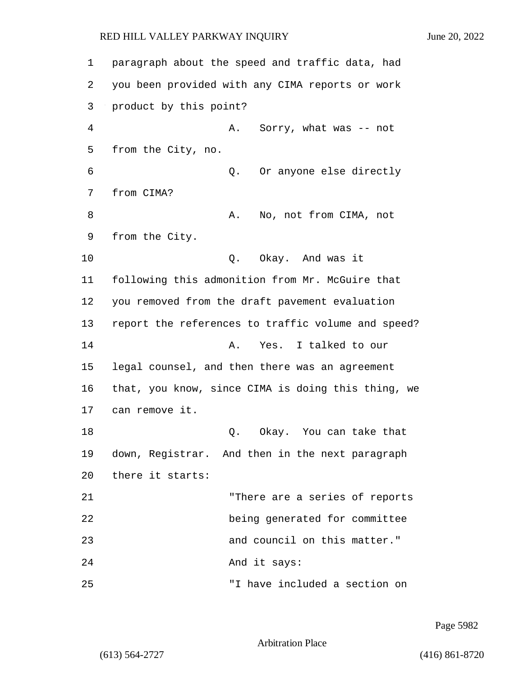| 1  | paragraph about the speed and traffic data, had    |
|----|----------------------------------------------------|
| 2  | you been provided with any CIMA reports or work    |
| 3  | product by this point?                             |
| 4  | Sorry, what was -- not<br>Α.                       |
| 5  | from the City, no.                                 |
| 6  | Or anyone else directly<br>Q.                      |
| 7  | from CIMA?                                         |
| 8  | No, not from CIMA, not<br>Α.                       |
| 9  | from the City.                                     |
| 10 | Okay. And was it<br>Q.                             |
| 11 | following this admonition from Mr. McGuire that    |
| 12 | you removed from the draft pavement evaluation     |
| 13 | report the references to traffic volume and speed? |
| 14 | Yes. I talked to our<br>Α.                         |
| 15 | legal counsel, and then there was an agreement     |
| 16 | that, you know, since CIMA is doing this thing, we |
| 17 | can remove it.                                     |
| 18 | Okay. You can take that<br>Q.                      |
| 19 | down, Registrar. And then in the next paragraph    |
| 20 | there it starts:                                   |
| 21 | "There are a series of reports                     |
| 22 | being generated for committee                      |
| 23 | and council on this matter."                       |
| 24 | And it says:                                       |
| 25 | "I have included a section on                      |

Page 5982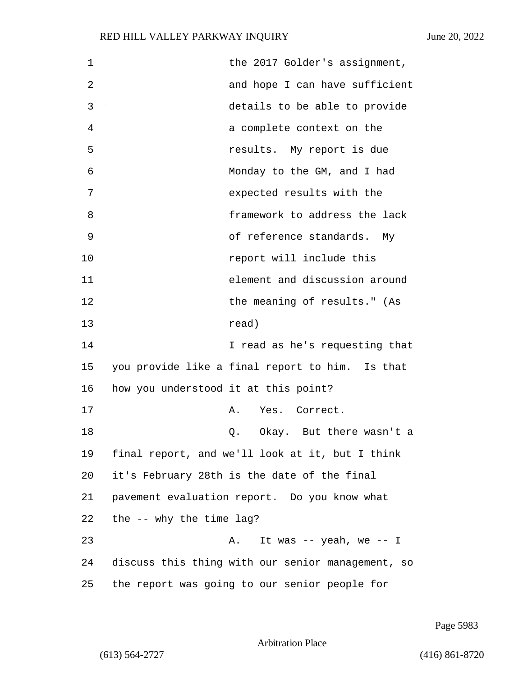| $\mathbf 1$ | the 2017 Golder's assignment,                     |  |
|-------------|---------------------------------------------------|--|
| 2           | and hope I can have sufficient                    |  |
| 3           | details to be able to provide                     |  |
| 4           | a complete context on the                         |  |
| 5           | results. My report is due                         |  |
| 6           | Monday to the GM, and I had                       |  |
| 7           | expected results with the                         |  |
| 8           | framework to address the lack                     |  |
| 9           | of reference standards. My                        |  |
| 10          | report will include this                          |  |
| 11          | element and discussion around                     |  |
| 12          | the meaning of results." (As                      |  |
| 13          | read)                                             |  |
| 14          | I read as he's requesting that                    |  |
| 15          | you provide like a final report to him. Is that   |  |
| 16          | how you understood it at this point?              |  |
| 17          | Yes. Correct.<br>Α.                               |  |
| 18          | Okay. But there wasn't a<br>Q.                    |  |
| 19          | final report, and we'll look at it, but I think   |  |
| 20          | it's February 28th is the date of the final       |  |
| 21          | pavement evaluation report. Do you know what      |  |
| 22          | the $--$ why the time lag?                        |  |
| 23          | It was $-$ yeah, we $-$ I<br>Α.                   |  |
| 24          | discuss this thing with our senior management, so |  |
| 25          | the report was going to our senior people for     |  |

Page 5983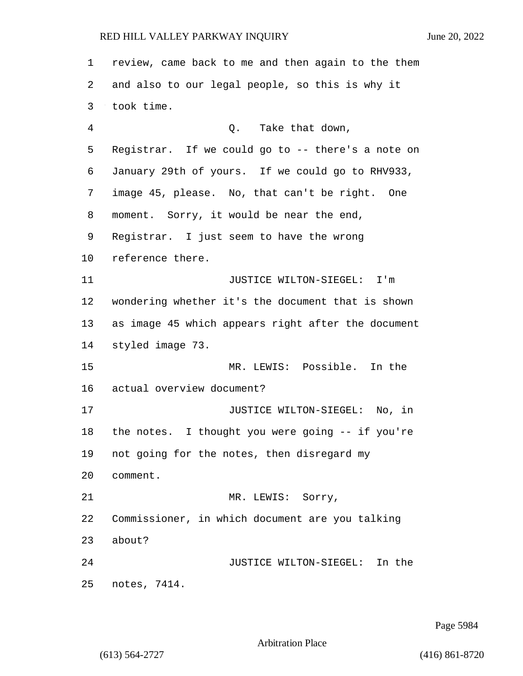review, came back to me and then again to the them and also to our legal people, so this is why it took time. 4 Q. Take that down, Registrar. If we could go to -- there's a note on January 29th of yours. If we could go to RHV933, image 45, please. No, that can't be right. One moment. Sorry, it would be near the end, Registrar. I just seem to have the wrong reference there. 11 JUSTICE WILTON-SIEGEL: I'm wondering whether it's the document that is shown as image 45 which appears right after the document styled image 73. 15 MR. LEWIS: Possible. In the actual overview document? 17 JUSTICE WILTON-SIEGEL: No, in the notes. I thought you were going -- if you're not going for the notes, then disregard my comment. 21 MR. LEWIS: Sorry, Commissioner, in which document are you talking about? 24 JUSTICE WILTON-SIEGEL: In the notes, 7414.

Page 5984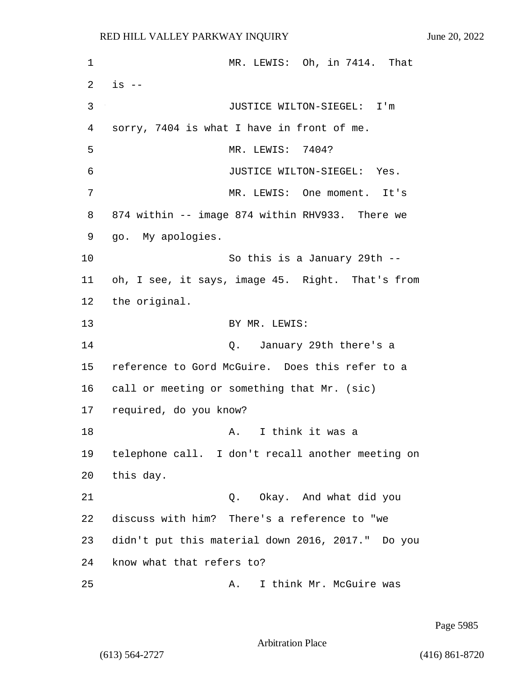1 MR. LEWIS: Oh, in 7414. That  $2 \text{ is } -$ 3 JUSTICE WILTON-SIEGEL: I'm 4 sorry, 7404 is what I have in front of me. 5 MR. LEWIS: 7404? 6 JUSTICE WILTON-SIEGEL: Yes. 7 MR. LEWIS: One moment. It's 8 874 within -- image 874 within RHV933. There we 9 go. My apologies. 10 So this is a January 29th -- 11 oh, I see, it says, image 45. Right. That's from 12 the original. 13 BY MR. LEWIS: 14 Q. January 29th there's a 15 reference to Gord McGuire. Does this refer to a 16 call or meeting or something that Mr. (sic) 17 required, do you know? 18 A. I think it was a 19 telephone call. I don't recall another meeting on 20 this day. 21 Q. Okay. And what did you 22 discuss with him? There's a reference to "we 23 didn't put this material down 2016, 2017." Do you 24 know what that refers to? 25 A. I think Mr. McGuire was

Page 5985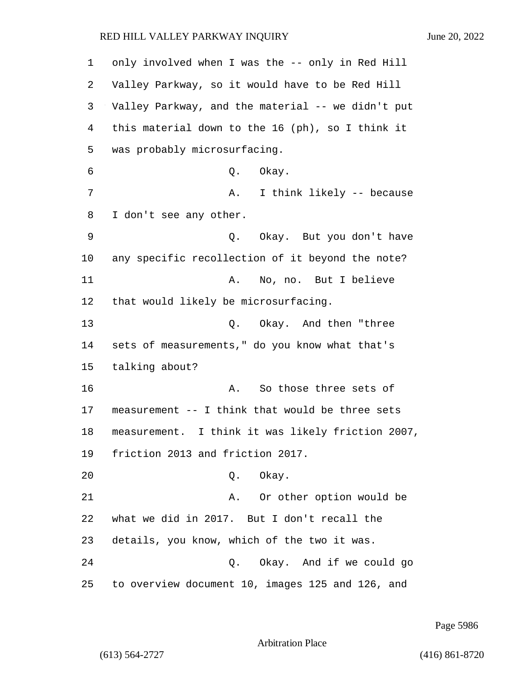| 1  | only involved when I was the -- only in Red Hill  |
|----|---------------------------------------------------|
| 2  | Valley Parkway, so it would have to be Red Hill   |
| 3  | Valley Parkway, and the material -- we didn't put |
| 4  | this material down to the 16 (ph), so I think it  |
| 5  | was probably microsurfacing.                      |
| 6  | Okay.<br>Q.                                       |
| 7  | I think likely -- because<br>Α.                   |
| 8  | I don't see any other.                            |
| 9  | Q. Okay. But you don't have                       |
| 10 | any specific recollection of it beyond the note?  |
| 11 | No, no. But I believe<br>Α.                       |
| 12 | that would likely be microsurfacing.              |
| 13 | Q. Okay. And then "three                          |
| 14 | sets of measurements," do you know what that's    |
| 15 | talking about?                                    |
| 16 | So those three sets of<br>Α.                      |
| 17 | measurement -- I think that would be three sets   |
| 18 | measurement. I think it was likely friction 2007, |
| 19 | friction 2013 and friction 2017.                  |
| 20 | Okay.<br>Q.                                       |
| 21 | Or other option would be<br>Α.                    |
| 22 | what we did in 2017. But I don't recall the       |
| 23 | details, you know, which of the two it was.       |
| 24 | Q. Okay. And if we could go                       |
| 25 | to overview document 10, images 125 and 126, and  |

Page 5986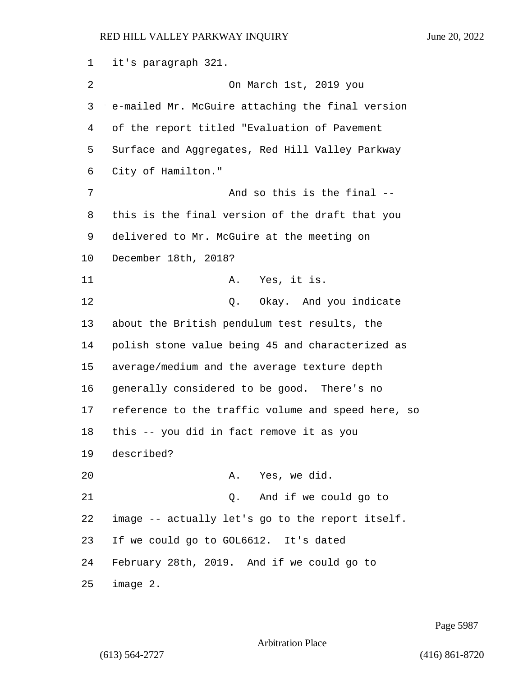it's paragraph 321. 2 On March 1st, 2019 you e-mailed Mr. McGuire attaching the final version of the report titled "Evaluation of Pavement Surface and Aggregates, Red Hill Valley Parkway City of Hamilton." 7 And so this is the final  $-$  this is the final version of the draft that you delivered to Mr. McGuire at the meeting on December 18th, 2018? 11 A. Yes, it is. 12 O. Okay. And you indicate about the British pendulum test results, the polish stone value being 45 and characterized as average/medium and the average texture depth generally considered to be good. There's no reference to the traffic volume and speed here, so this -- you did in fact remove it as you described? 20 A. Yes, we did. 21 Q. And if we could go to image -- actually let's go to the report itself. If we could go to GOL6612. It's dated February 28th, 2019. And if we could go to image 2.

Page 5987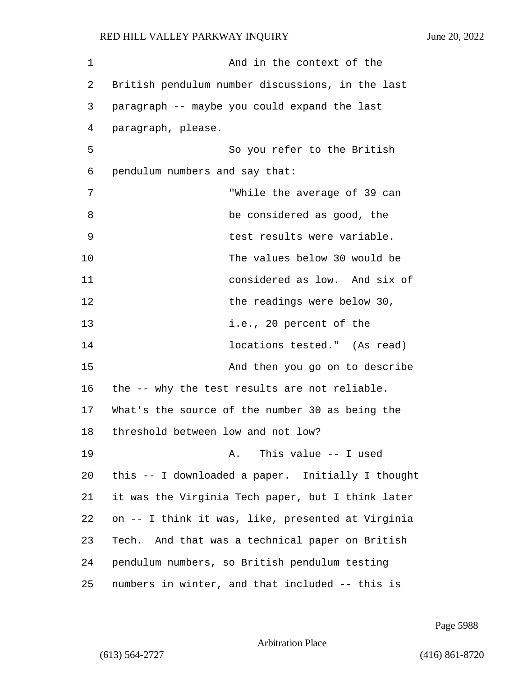| 1  | And in the context of the                          |
|----|----------------------------------------------------|
| 2  | British pendulum number discussions, in the last   |
| 3  | paragraph -- maybe you could expand the last       |
| 4  | paragraph, please.                                 |
| 5  | So you refer to the British                        |
| 6  | pendulum numbers and say that:                     |
| 7  | "While the average of 39 can                       |
| 8  | be considered as good, the                         |
| 9  | test results were variable.                        |
| 10 | The values below 30 would be                       |
| 11 | considered as low. And six of                      |
| 12 | the readings were below 30,                        |
| 13 | i.e., 20 percent of the                            |
| 14 | locations tested." (As read)                       |
| 15 | And then you go on to describe                     |
| 16 | the -- why the test results are not reliable.      |
| 17 | What's the source of the number 30 as being the    |
| 18 | threshold between low and not low?                 |
| 19 | This value $--$ I used<br>Α.                       |
| 20 | this -- I downloaded a paper. Initially I thought  |
| 21 | it was the Virginia Tech paper, but I think later  |
| 22 | on -- I think it was, like, presented at Virginia  |
| 23 | And that was a technical paper on British<br>Tech. |
| 24 | pendulum numbers, so British pendulum testing      |
| 25 | numbers in winter, and that included -- this is    |

Page 5988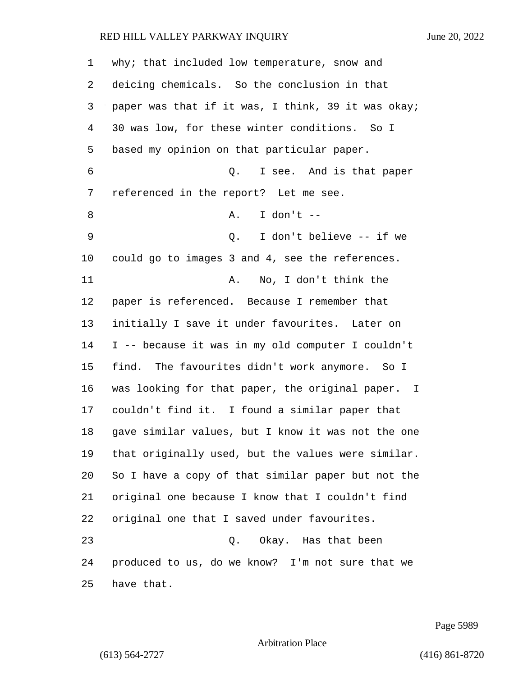| 1  | why; that included low temperature, snow and       |
|----|----------------------------------------------------|
| 2  | deicing chemicals. So the conclusion in that       |
| 3  | paper was that if it was, I think, 39 it was okay; |
| 4  | 30 was low, for these winter conditions. So I      |
| 5  | based my opinion on that particular paper.         |
| 6  | I see. And is that paper<br>Q.                     |
| 7  | referenced in the report? Let me see.              |
| 8  | I don't $--$<br>Α.                                 |
| 9  | I don't believe -- if we<br>$\circ$ .              |
| 10 | could go to images 3 and 4, see the references.    |
| 11 | No, I don't think the<br>Α.                        |
| 12 | paper is referenced. Because I remember that       |
| 13 | initially I save it under favourites. Later on     |
| 14 | I -- because it was in my old computer I couldn't  |
| 15 | find. The favourites didn't work anymore. So I     |
| 16 | was looking for that paper, the original paper. I  |
| 17 | couldn't find it. I found a similar paper that     |
| 18 | gave similar values, but I know it was not the one |
| 19 | that originally used, but the values were similar. |
| 20 | So I have a copy of that similar paper but not the |
| 21 | original one because I know that I couldn't find   |
| 22 | original one that I saved under favourites.        |
| 23 | Q. Okay. Has that been                             |
| 24 | produced to us, do we know? I'm not sure that we   |
| 25 | have that.                                         |

Page 5989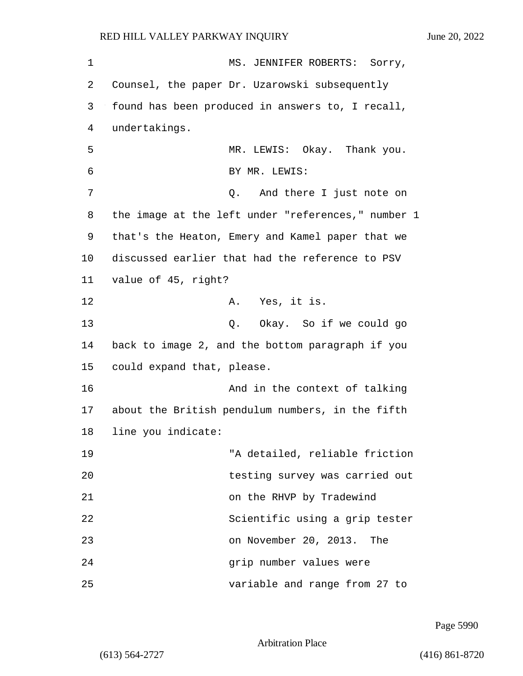| 1  | MS. JENNIFER ROBERTS: Sorry,                       |
|----|----------------------------------------------------|
| 2  | Counsel, the paper Dr. Uzarowski subsequently      |
| 3  | found has been produced in answers to, I recall,   |
| 4  | undertakings.                                      |
| 5  | MR. LEWIS: Okay. Thank you.                        |
| 6  | BY MR. LEWIS:                                      |
| 7  | And there I just note on<br>Q.                     |
| 8  | the image at the left under "references," number 1 |
| 9  | that's the Heaton, Emery and Kamel paper that we   |
| 10 | discussed earlier that had the reference to PSV    |
| 11 | value of 45, right?                                |
| 12 | A. Yes, it is.                                     |
| 13 | Q. Okay. So if we could go                         |
| 14 | back to image 2, and the bottom paragraph if you   |
| 15 | could expand that, please.                         |
| 16 | And in the context of talking                      |
| 17 | about the British pendulum numbers, in the fifth   |
| 18 | line you indicate:                                 |
| 19 | "A detailed, reliable friction                     |
| 20 | testing survey was carried out                     |
| 21 | on the RHVP by Tradewind                           |
| 22 | Scientific using a grip tester                     |
| 23 | on November 20, 2013. The                          |
| 24 | grip number values were                            |
| 25 | variable and range from 27 to                      |

Page 5990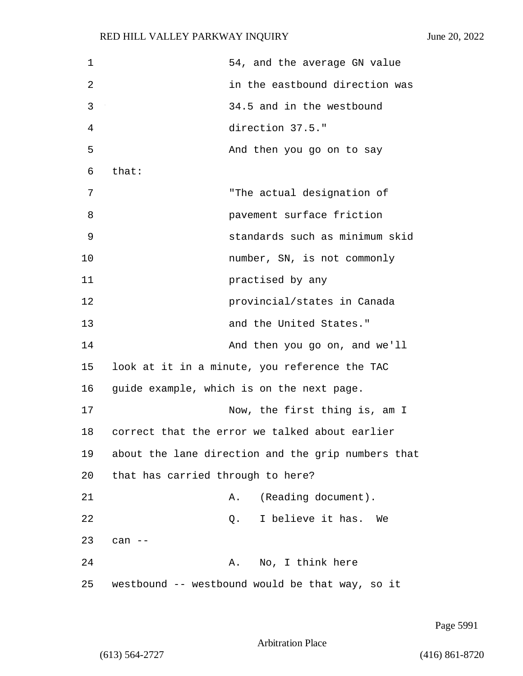| $\mathbf 1$ | 54, and the average GN value                       |
|-------------|----------------------------------------------------|
| 2           | in the eastbound direction was                     |
| 3           | 34.5 and in the westbound                          |
| 4           | direction 37.5."                                   |
| 5           | And then you go on to say                          |
| 6           | that:                                              |
| 7           | "The actual designation of                         |
| 8           | pavement surface friction                          |
| 9           | standards such as minimum skid                     |
| 10          | number, SN, is not commonly                        |
| 11          | practised by any                                   |
| 12          | provincial/states in Canada                        |
| 13          | and the United States."                            |
| 14          | And then you go on, and we'll                      |
| 15          | look at it in a minute, you reference the TAC      |
| 16          | guide example, which is on the next page.          |
| 17          | Now, the first thing is, am I                      |
| 18          | correct that the error we talked about earlier     |
| 19          | about the lane direction and the grip numbers that |
| 20          | that has carried through to here?                  |
| 21          | (Reading document).<br>Α.                          |
| 22          | I believe it has.<br>Q.<br>We                      |
| 23          | can $--$                                           |
| 24          | No, I think here<br>Α.                             |
| 25          | westbound -- westbound would be that way, so it    |

Page 5991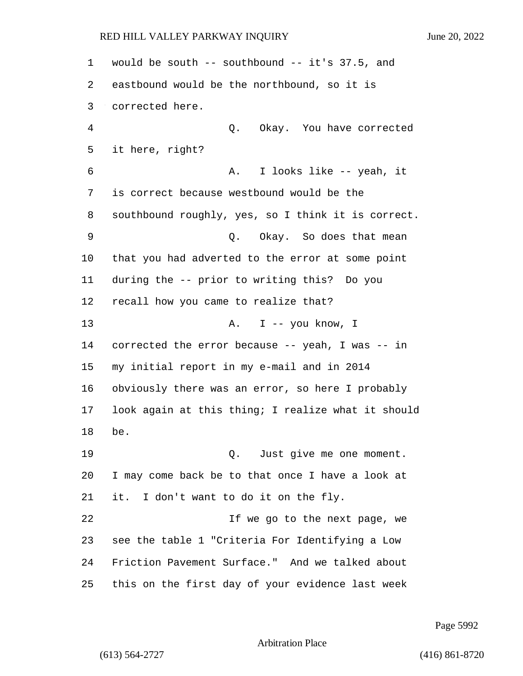would be south -- southbound -- it's 37.5, and eastbound would be the northbound, so it is corrected here. 4 Q. Okay. You have corrected it here, right? 6 A. I looks like -- yeah, it is correct because westbound would be the southbound roughly, yes, so I think it is correct. 9 Q. Okay. So does that mean that you had adverted to the error at some point during the -- prior to writing this? Do you recall how you came to realize that? 13 A. I -- you know, I corrected the error because -- yeah, I was -- in my initial report in my e-mail and in 2014 obviously there was an error, so here I probably look again at this thing; I realize what it should be. 19 Q. Just give me one moment. I may come back be to that once I have a look at it. I don't want to do it on the fly. 22 If we go to the next page, we see the table 1 "Criteria For Identifying a Low Friction Pavement Surface." And we talked about this on the first day of your evidence last week

Page 5992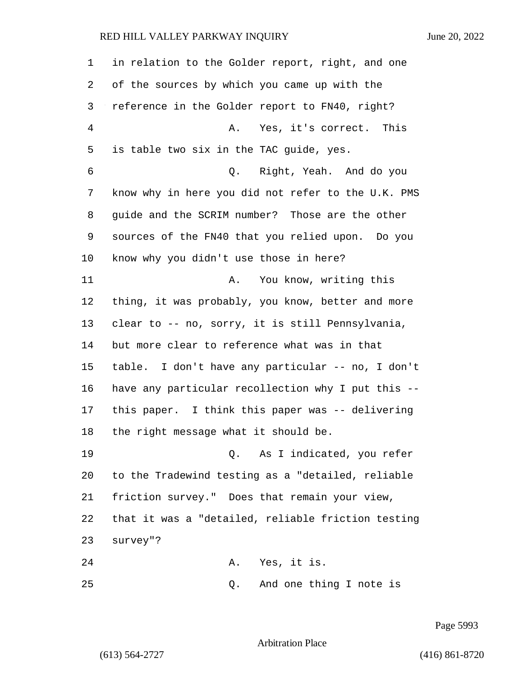in relation to the Golder report, right, and one of the sources by which you came up with the reference in the Golder report to FN40, right? 4 A. Yes, it's correct. This is table two six in the TAC guide, yes. 6 Q. Right, Yeah. And do you know why in here you did not refer to the U.K. PMS guide and the SCRIM number? Those are the other sources of the FN40 that you relied upon. Do you know why you didn't use those in here? 11 A. You know, writing this thing, it was probably, you know, better and more clear to -- no, sorry, it is still Pennsylvania, but more clear to reference what was in that table. I don't have any particular -- no, I don't have any particular recollection why I put this -- this paper. I think this paper was -- delivering the right message what it should be. 19 Q. As I indicated, you refer to the Tradewind testing as a "detailed, reliable friction survey." Does that remain your view, that it was a "detailed, reliable friction testing survey"? 24 A. Yes, it is. 25 Q. And one thing I note is

Page 5993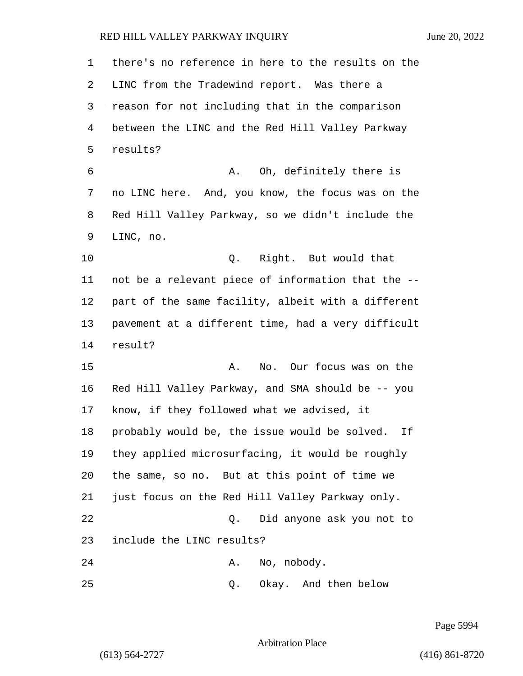| 1  | there's no reference in here to the results on the  |
|----|-----------------------------------------------------|
| 2  | LINC from the Tradewind report. Was there a         |
| 3  | reason for not including that in the comparison     |
| 4  | between the LINC and the Red Hill Valley Parkway    |
| 5  | results?                                            |
| 6  | A. Oh, definitely there is                          |
| 7  | no LINC here. And, you know, the focus was on the   |
| 8  | Red Hill Valley Parkway, so we didn't include the   |
| 9  | LINC, no.                                           |
| 10 | Q. Right. But would that                            |
| 11 | not be a relevant piece of information that the --  |
| 12 | part of the same facility, albeit with a different  |
| 13 | pavement at a different time, had a very difficult  |
| 14 | result?                                             |
| 15 | No. Our focus was on the<br>Α.                      |
| 16 | Red Hill Valley Parkway, and SMA should be -- you   |
| 17 | know, if they followed what we advised, it          |
| 18 | probably would be, the issue would be solved.<br>Ιf |
| 19 | they applied microsurfacing, it would be roughly    |
| 20 | the same, so no. But at this point of time we       |
| 21 | just focus on the Red Hill Valley Parkway only.     |
| 22 | Did anyone ask you not to<br>Q.                     |
| 23 | include the LINC results?                           |
| 24 | No, nobody.<br>Α.                                   |
| 25 | Okay. And then below<br>Q.                          |

Page 5994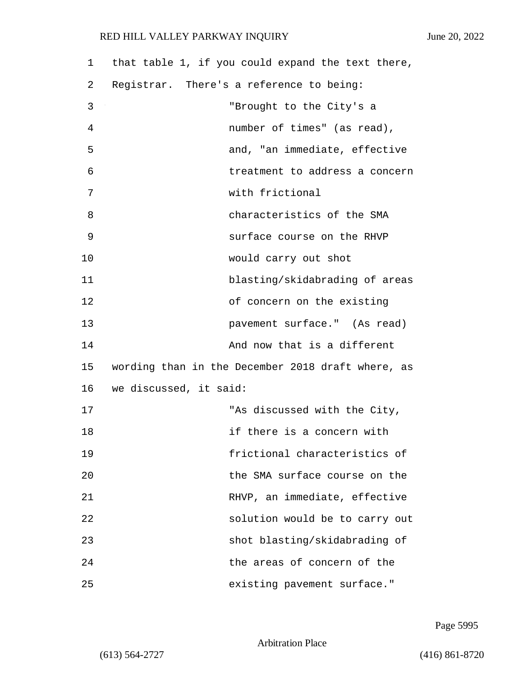| 1  | that table 1, if you could expand the text there, |
|----|---------------------------------------------------|
| 2  | Registrar. There's a reference to being:          |
| 3  | "Brought to the City's a                          |
| 4  | number of times" (as read),                       |
| 5  | and, "an immediate, effective                     |
| 6  | treatment to address a concern                    |
| 7  | with frictional                                   |
| 8  | characteristics of the SMA                        |
| 9  | surface course on the RHVP                        |
| 10 | would carry out shot                              |
| 11 | blasting/skidabrading of areas                    |
| 12 | of concern on the existing                        |
| 13 | pavement surface." (As read)                      |
| 14 | And now that is a different                       |
| 15 | wording than in the December 2018 draft where, as |
| 16 | we discussed, it said:                            |
| 17 | "As discussed with the City,                      |
| 18 | if there is a concern with                        |
| 19 | frictional characteristics of                     |
| 20 | the SMA surface course on the                     |
| 21 | RHVP, an immediate, effective                     |
| 22 | solution would be to carry out                    |
| 23 | shot blasting/skidabrading of                     |
| 24 | the areas of concern of the                       |
| 25 | existing pavement surface."                       |

Page 5995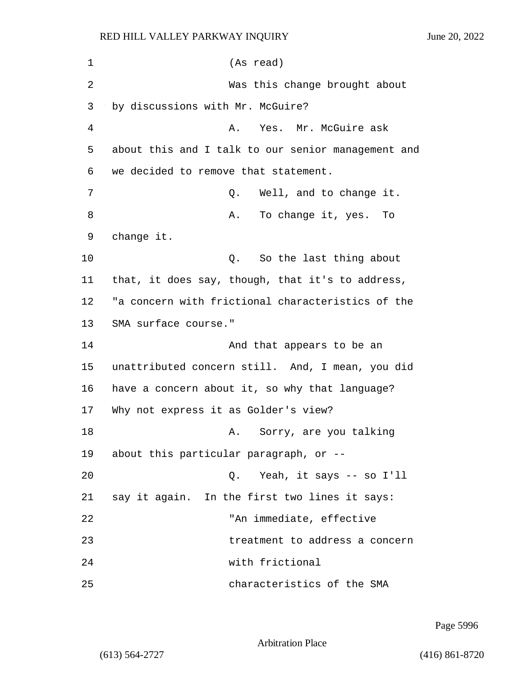| 1  | (As read)                                          |
|----|----------------------------------------------------|
| 2  | Was this change brought about                      |
| 3  | by discussions with Mr. McGuire?                   |
| 4  | Yes. Mr. McGuire ask<br>Α.                         |
| 5  | about this and I talk to our senior management and |
| 6  | we decided to remove that statement.               |
| 7  | Well, and to change it.<br>Q.                      |
| 8  | To change it, yes. To<br>Α.                        |
| 9  | change it.                                         |
| 10 | Q. So the last thing about                         |
| 11 | that, it does say, though, that it's to address,   |
| 12 | "a concern with frictional characteristics of the  |
| 13 | SMA surface course."                               |
| 14 | And that appears to be an                          |
| 15 | unattributed concern still. And, I mean, you did   |
| 16 | have a concern about it, so why that language?     |
| 17 | Why not express it as Golder's view?               |
| 18 | Sorry, are you talking<br>Α.                       |
| 19 | about this particular paragraph, or --             |
| 20 | Yeah, it says -- so I'll<br>Q.                     |
| 21 | say it again. In the first two lines it says:      |
| 22 | "An immediate, effective                           |
| 23 | treatment to address a concern                     |
| 24 | with frictional                                    |
| 25 | characteristics of the SMA                         |

Page 5996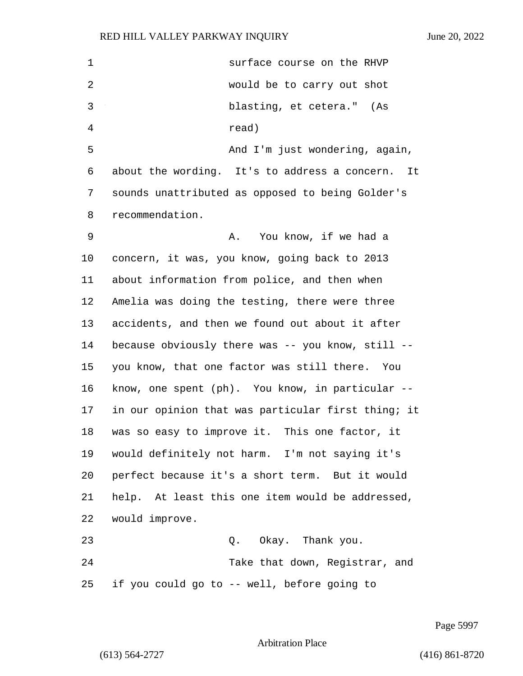| 1  | surface course on the RHVP                         |
|----|----------------------------------------------------|
| 2  | would be to carry out shot                         |
| 3  | blasting, et cetera." (As                          |
| 4  | read)                                              |
| 5  | And I'm just wondering, again,                     |
| 6  | about the wording. It's to address a concern. It   |
| 7  | sounds unattributed as opposed to being Golder's   |
| 8  | recommendation.                                    |
| 9  | You know, if we had a<br>Α.                        |
| 10 | concern, it was, you know, going back to 2013      |
| 11 | about information from police, and then when       |
| 12 | Amelia was doing the testing, there were three     |
| 13 | accidents, and then we found out about it after    |
| 14 | because obviously there was -- you know, still --  |
| 15 | you know, that one factor was still there. You     |
| 16 | know, one spent (ph). You know, in particular --   |
| 17 | in our opinion that was particular first thing; it |
| 18 | was so easy to improve it. This one factor, it     |
| 19 | would definitely not harm. I'm not saying it's     |
| 20 | perfect because it's a short term. But it would    |
| 21 | help. At least this one item would be addressed,   |
| 22 | would improve.                                     |
| 23 | Q. Okay. Thank you.                                |
| 24 | Take that down, Registrar, and                     |
| 25 | if you could go to -- well, before going to        |

Page 5997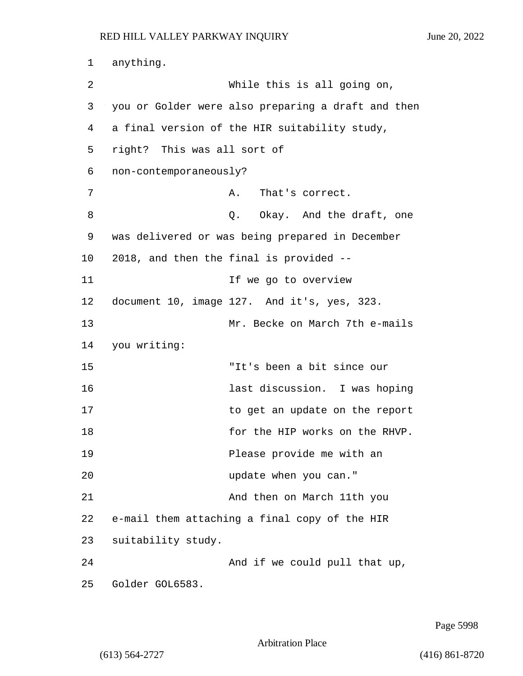1 anything. 2 While this is all going on, 3 you or Golder were also preparing a draft and then 4 a final version of the HIR suitability study, 5 right? This was all sort of 6 non-contemporaneously? 7 A. That's correct. 8 a Q. Okay. And the draft, one 9 was delivered or was being prepared in December 10 2018, and then the final is provided -- 11 If we go to overview 12 document 10, image 127. And it's, yes, 323. 13 Mr. Becke on March 7th e-mails 14 you writing: 15 "It's been a bit since our 16 last discussion. I was hoping 17 to get an update on the report 18 for the HIP works on the RHVP. 19 Please provide me with an 20 update when you can." 21 And then on March 11th you 22 e-mail them attaching a final copy of the HIR 23 suitability study. 24 And if we could pull that up, 25 Golder GOL6583.

Page 5998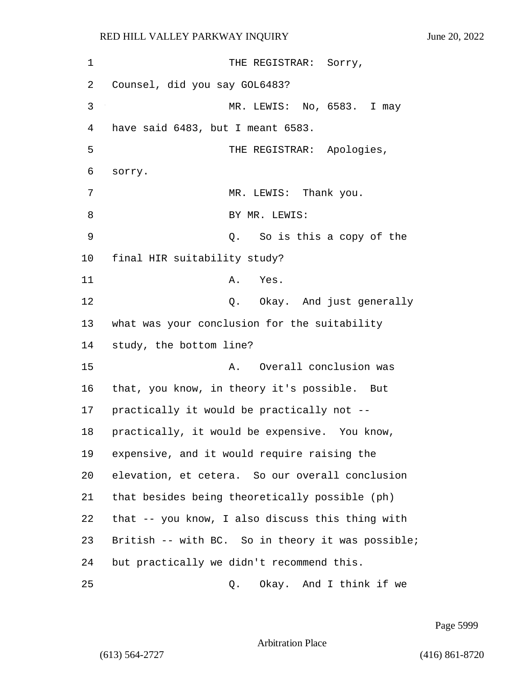1 THE REGISTRAR: Sorry, 2 Counsel, did you say GOL6483? 3 MR. LEWIS: No, 6583. I may 4 have said 6483, but I meant 6583. 5 THE REGISTRAR: Apologies, 6 sorry. 7 MR. LEWIS: Thank you. 8 BY MR. LEWIS: 9 Q. So is this a copy of the 10 final HIR suitability study? 11 A. Yes. 12 C. Okay. And just generally 13 what was your conclusion for the suitability 14 study, the bottom line? 15 A. Overall conclusion was 16 that, you know, in theory it's possible. But 17 practically it would be practically not -- 18 practically, it would be expensive. You know, 19 expensive, and it would require raising the 20 elevation, et cetera. So our overall conclusion 21 that besides being theoretically possible (ph) 22 that -- you know, I also discuss this thing with 23 British -- with BC. So in theory it was possible; 24 but practically we didn't recommend this. 25 Q. Okay. And I think if we

Page 5999

Arbitration Place

(613) 564-2727 (416) 861-8720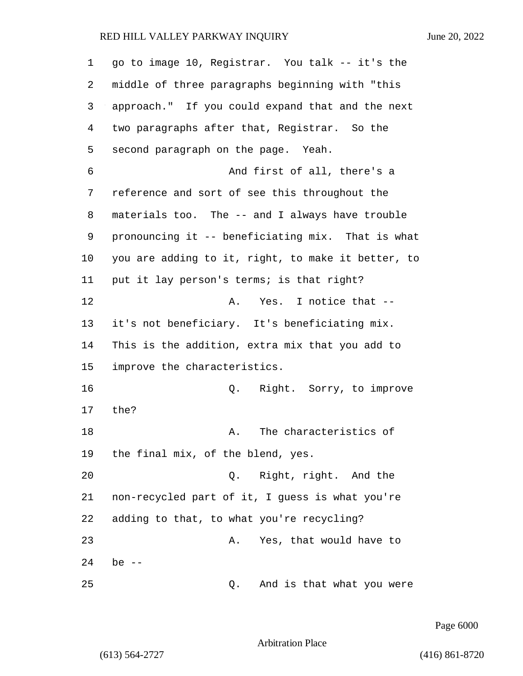| 1  | go to image 10, Registrar. You talk -- it's the    |
|----|----------------------------------------------------|
| 2  | middle of three paragraphs beginning with "this    |
| 3  | approach." If you could expand that and the next   |
| 4  | two paragraphs after that, Registrar. So the       |
| 5  | second paragraph on the page. Yeah.                |
| 6  | And first of all, there's a                        |
| 7  | reference and sort of see this throughout the      |
| 8  | materials too. The -- and I always have trouble    |
| 9  | pronouncing it -- beneficiating mix. That is what  |
| 10 | you are adding to it, right, to make it better, to |
| 11 | put it lay person's terms; is that right?          |
| 12 | Yes. I notice that --<br>Α.                        |
| 13 | it's not beneficiary. It's beneficiating mix.      |
| 14 | This is the addition, extra mix that you add to    |
| 15 | improve the characteristics.                       |
| 16 | Right. Sorry, to improve<br>Q.                     |
| 17 | the?                                               |
| 18 | The characteristics of<br>Α.                       |
| 19 | the final mix, of the blend, yes.                  |
| 20 | Right, right. And the<br>Q.                        |
| 21 | non-recycled part of it, I guess is what you're    |
| 22 | adding to that, to what you're recycling?          |
| 23 | Yes, that would have to<br>Α.                      |
| 24 | be $--$                                            |
| 25 | And is that what you were<br>Q.                    |

Page 6000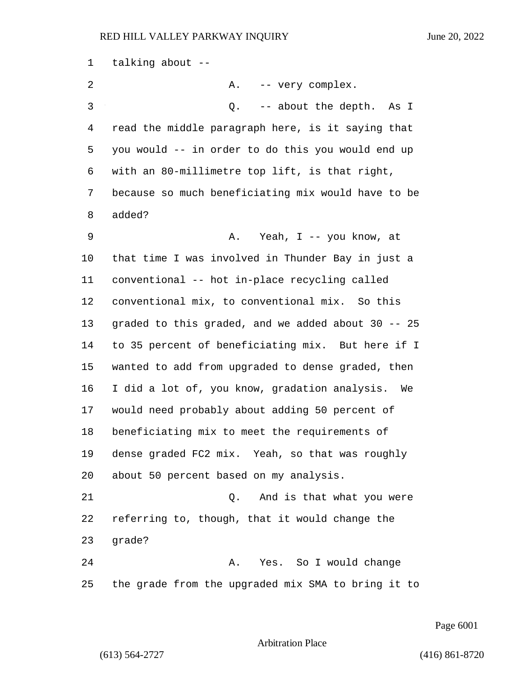| 1  | talking about --                                    |
|----|-----------------------------------------------------|
| 2  | Α.<br>-- very complex.                              |
| 3  | -- about the depth.<br>Q.<br>As I                   |
| 4  | read the middle paragraph here, is it saying that   |
| 5  | you would -- in order to do this you would end up   |
| 6  | with an 80-millimetre top lift, is that right,      |
| 7  | because so much beneficiating mix would have to be  |
| 8  | added?                                              |
| 9  | Yeah, I -- you know, at<br>Α.                       |
| 10 | that time I was involved in Thunder Bay in just a   |
| 11 | conventional -- hot in-place recycling called       |
| 12 | conventional mix, to conventional mix. So this      |
| 13 | graded to this graded, and we added about 30 -- 25  |
| 14 | to 35 percent of beneficiating mix. But here if I   |
| 15 | wanted to add from upgraded to dense graded, then   |
| 16 | I did a lot of, you know, gradation analysis.<br>We |
| 17 | would need probably about adding 50 percent of      |
| 18 | beneficiating mix to meet the requirements of       |
| 19 | dense graded FC2 mix. Yeah, so that was roughly     |
| 20 | about 50 percent based on my analysis.              |
| 21 | And is that what you were<br>Q.                     |
| 22 | referring to, though, that it would change the      |
| 23 | grade?                                              |
| 24 | Yes. So I would change<br>Α.                        |
| 25 | the grade from the upgraded mix SMA to bring it to  |

Page 6001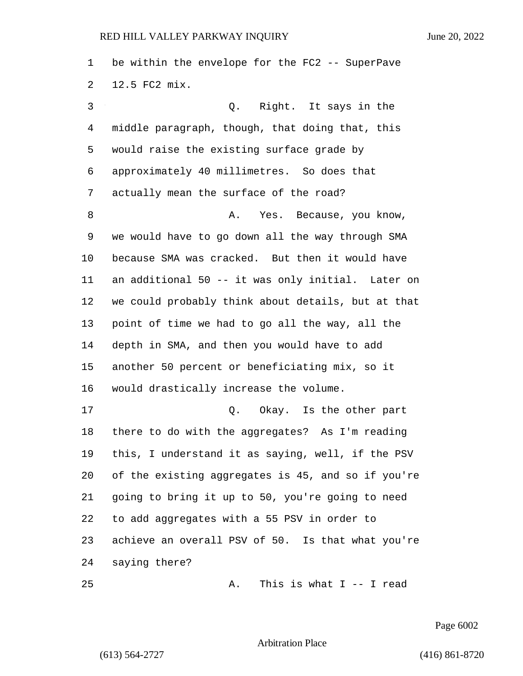be within the envelope for the FC2 -- SuperPave 12.5 FC2 mix. 3 Q. Right. It says in the middle paragraph, though, that doing that, this would raise the existing surface grade by approximately 40 millimetres. So does that actually mean the surface of the road? 8 A. Yes. Because, you know, we would have to go down all the way through SMA because SMA was cracked. But then it would have an additional 50 -- it was only initial. Later on we could probably think about details, but at that point of time we had to go all the way, all the depth in SMA, and then you would have to add another 50 percent or beneficiating mix, so it would drastically increase the volume. 17 C. Okay. Is the other part there to do with the aggregates? As I'm reading this, I understand it as saying, well, if the PSV of the existing aggregates is 45, and so if you're going to bring it up to 50, you're going to need to add aggregates with a 55 PSV in order to achieve an overall PSV of 50. Is that what you're saying there? 25 A. This is what I -- I read

Page 6002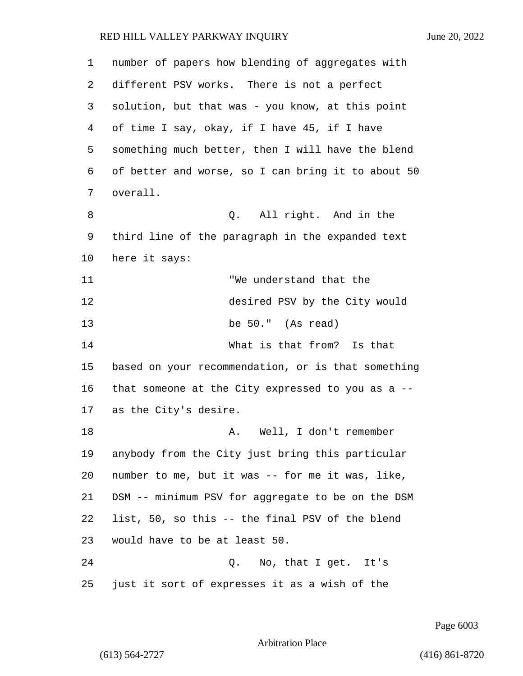| 1  | number of papers how blending of aggregates with   |
|----|----------------------------------------------------|
| 2  | different PSV works. There is not a perfect        |
| 3  | solution, but that was - you know, at this point   |
| 4  | of time I say, okay, if I have 45, if I have       |
| 5  | something much better, then I will have the blend  |
| 6  | of better and worse, so I can bring it to about 50 |
| 7  | overall.                                           |
| 8  | Q. All right. And in the                           |
| 9  | third line of the paragraph in the expanded text   |
| 10 | here it says:                                      |
| 11 | "We understand that the                            |
| 12 | desired PSV by the City would                      |
| 13 | be 50." (As read)                                  |
| 14 | What is that from? Is that                         |
| 15 | based on your recommendation, or is that something |
| 16 | that someone at the City expressed to you as a $-$ |
| 17 | as the City's desire.                              |
| 18 | A. Well, I don't remember                          |
| 19 | anybody from the City just bring this particular   |
| 20 | number to me, but it was -- for me it was, like,   |
| 21 | DSM -- minimum PSV for aggregate to be on the DSM  |
| 22 | list, 50, so this -- the final PSV of the blend    |
| 23 | would have to be at least 50.                      |
| 24 | Q. No, that I get. It's                            |
| 25 | just it sort of expresses it as a wish of the      |

Page 6003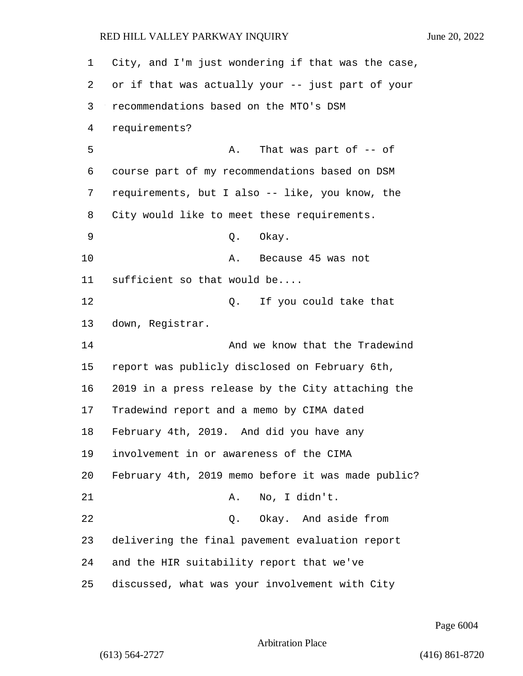City, and I'm just wondering if that was the case, or if that was actually your -- just part of your recommendations based on the MTO's DSM requirements? 5 A. That was part of  $-$  of course part of my recommendations based on DSM requirements, but I also -- like, you know, the City would like to meet these requirements. 9 Q. Okay. 10 A. Because 45 was not sufficient so that would be.... 12 0. If you could take that down, Registrar. 14 And we know that the Tradewind report was publicly disclosed on February 6th, 2019 in a press release by the City attaching the Tradewind report and a memo by CIMA dated February 4th, 2019. And did you have any involvement in or awareness of the CIMA February 4th, 2019 memo before it was made public? 21 A. No, I didn't. 22 Q. Okay. And aside from delivering the final pavement evaluation report and the HIR suitability report that we've discussed, what was your involvement with City

Page 6004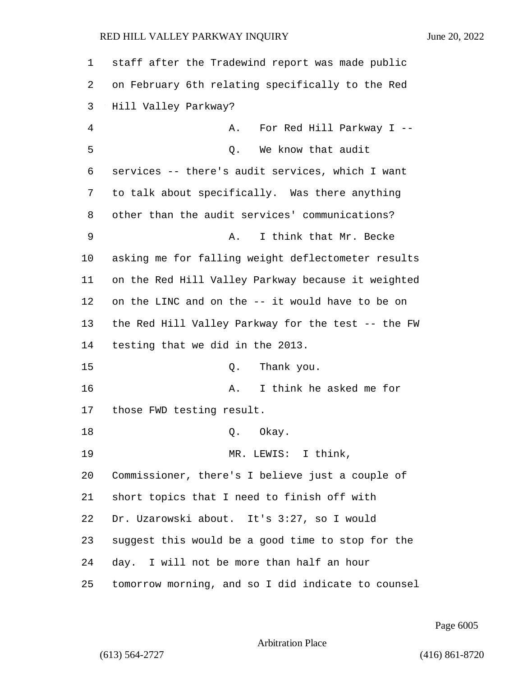## RED HILL VALLEY PARKWAY INQUIRY June 20, 2022

| 1  | staff after the Tradewind report was made public   |
|----|----------------------------------------------------|
| 2  | on February 6th relating specifically to the Red   |
| 3  | Hill Valley Parkway?                               |
| 4  | For Red Hill Parkway I --<br>Α.                    |
| 5  | We know that audit<br>Q.                           |
| 6  | services -- there's audit services, which I want   |
| 7  | to talk about specifically. Was there anything     |
| 8  | other than the audit services' communications?     |
| 9  | I think that Mr. Becke<br>Α.                       |
| 10 | asking me for falling weight deflectometer results |
| 11 | on the Red Hill Valley Parkway because it weighted |
| 12 | on the LINC and on the -- it would have to be on   |
| 13 | the Red Hill Valley Parkway for the test -- the FW |
| 14 | testing that we did in the 2013.                   |
| 15 | Thank you.<br>Q.                                   |
| 16 | I think he asked me for<br>Α.                      |
| 17 | those FWD testing result.                          |
| 18 | Q. Okay.                                           |
| 19 | MR. LEWIS: I think,                                |
| 20 | Commissioner, there's I believe just a couple of   |
| 21 | short topics that I need to finish off with        |
| 22 | Dr. Uzarowski about. It's 3:27, so I would         |
| 23 | suggest this would be a good time to stop for the  |
| 24 | day. I will not be more than half an hour          |
| 25 | tomorrow morning, and so I did indicate to counsel |

Page 6005

Arbitration Place